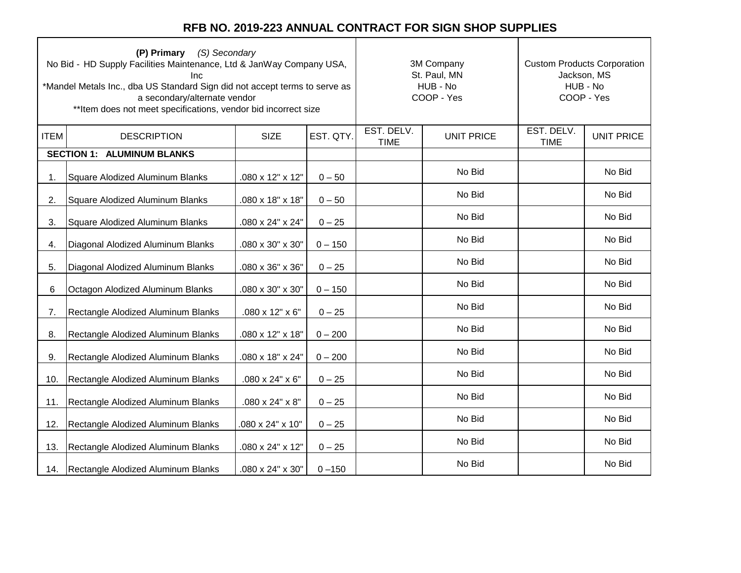ㄱ

| (P) Primary (S) Secondary<br>No Bid - HD Supply Facilities Maintenance, Ltd & JanWay Company USA,<br>Inc<br>*Mandel Metals Inc., dba US Standard Sign did not accept terms to serve as<br>a secondary/alternate vendor<br>** Item does not meet specifications, vendor bid incorrect size |                                    |                  |           |                           | 3M Company<br>St. Paul, MN<br>HUB - No<br>COOP - Yes | <b>Custom Products Corporation</b><br>Jackson, MS<br>HUB - No<br>COOP - Yes |                   |
|-------------------------------------------------------------------------------------------------------------------------------------------------------------------------------------------------------------------------------------------------------------------------------------------|------------------------------------|------------------|-----------|---------------------------|------------------------------------------------------|-----------------------------------------------------------------------------|-------------------|
| <b>ITEM</b>                                                                                                                                                                                                                                                                               | <b>DESCRIPTION</b>                 | <b>SIZE</b>      | EST. QTY. | EST. DELV.<br><b>TIME</b> | <b>UNIT PRICE</b>                                    | EST. DELV.<br><b>TIME</b>                                                   | <b>UNIT PRICE</b> |
|                                                                                                                                                                                                                                                                                           | <b>SECTION 1: ALUMINUM BLANKS</b>  |                  |           |                           |                                                      |                                                                             |                   |
| 1.                                                                                                                                                                                                                                                                                        | Square Alodized Aluminum Blanks    | .080 x 12" x 12" | $0 - 50$  |                           | No Bid                                               |                                                                             | No Bid            |
| 2.                                                                                                                                                                                                                                                                                        | Square Alodized Aluminum Blanks    | .080 x 18" x 18" | $0 - 50$  |                           | No Bid                                               |                                                                             | No Bid            |
| 3.                                                                                                                                                                                                                                                                                        | Square Alodized Aluminum Blanks    | .080 x 24" x 24" | $0 - 25$  |                           | No Bid                                               |                                                                             | No Bid            |
| 4.                                                                                                                                                                                                                                                                                        | Diagonal Alodized Aluminum Blanks  | .080 x 30" x 30" | $0 - 150$ |                           | No Bid                                               |                                                                             | No Bid            |
| 5.                                                                                                                                                                                                                                                                                        | Diagonal Alodized Aluminum Blanks  | .080 x 36" x 36" | $0 - 25$  |                           | No Bid                                               |                                                                             | No Bid            |
| 6                                                                                                                                                                                                                                                                                         | Octagon Alodized Aluminum Blanks   | .080 x 30" x 30" | $0 - 150$ |                           | No Bid                                               |                                                                             | No Bid            |
| 7.                                                                                                                                                                                                                                                                                        | Rectangle Alodized Aluminum Blanks | .080 x 12" x 6"  | $0 - 25$  |                           | No Bid                                               |                                                                             | No Bid            |
| 8.                                                                                                                                                                                                                                                                                        | Rectangle Alodized Aluminum Blanks | .080 x 12" x 18" | $0 - 200$ |                           | No Bid                                               |                                                                             | No Bid            |
| 9.                                                                                                                                                                                                                                                                                        | Rectangle Alodized Aluminum Blanks | .080 x 18" x 24" | $0 - 200$ |                           | No Bid                                               |                                                                             | No Bid            |
| 10.                                                                                                                                                                                                                                                                                       | Rectangle Alodized Aluminum Blanks | .080 x 24" x 6"  | $0 - 25$  |                           | No Bid                                               |                                                                             | No Bid            |
| 11.                                                                                                                                                                                                                                                                                       | Rectangle Alodized Aluminum Blanks | .080 x 24" x 8"  | $0 - 25$  |                           | No Bid                                               |                                                                             | No Bid            |
| 12.                                                                                                                                                                                                                                                                                       | Rectangle Alodized Aluminum Blanks | 080 x 24" x 10"  | $0 - 25$  |                           | No Bid                                               |                                                                             | No Bid            |
| 13.                                                                                                                                                                                                                                                                                       | Rectangle Alodized Aluminum Blanks | .080 x 24" x 12" | $0 - 25$  |                           | No Bid                                               |                                                                             | No Bid            |
| 14.                                                                                                                                                                                                                                                                                       | Rectangle Alodized Aluminum Blanks | .080 x 24" x 30" | $0 - 150$ |                           | No Bid                                               |                                                                             | No Bid            |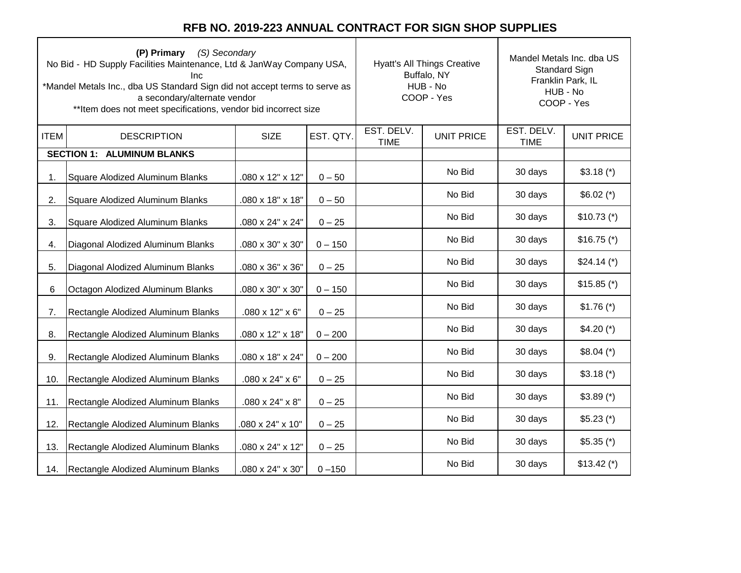|             | (P) Primary (S) Secondary<br>No Bid - HD Supply Facilities Maintenance, Ltd & JanWay Company USA,<br>Inc<br>*Mandel Metals Inc., dba US Standard Sign did not accept terms to serve as<br>a secondary/alternate vendor<br>** Item does not meet specifications, vendor bid incorrect size |                  |           |                           | <b>Hyatt's All Things Creative</b><br>Buffalo, NY<br>HUB - No<br>COOP - Yes | Mandel Metals Inc. dba US<br><b>Standard Sign</b><br>Franklin Park, IL<br>HUB - No<br>COOP - Yes |                   |
|-------------|-------------------------------------------------------------------------------------------------------------------------------------------------------------------------------------------------------------------------------------------------------------------------------------------|------------------|-----------|---------------------------|-----------------------------------------------------------------------------|--------------------------------------------------------------------------------------------------|-------------------|
| <b>ITEM</b> | <b>DESCRIPTION</b>                                                                                                                                                                                                                                                                        | <b>SIZE</b>      | EST. QTY. | EST. DELV.<br><b>TIME</b> | <b>UNIT PRICE</b>                                                           | EST. DELV.<br><b>TIME</b>                                                                        | <b>UNIT PRICE</b> |
|             | <b>SECTION 1: ALUMINUM BLANKS</b>                                                                                                                                                                                                                                                         |                  |           |                           |                                                                             |                                                                                                  |                   |
| 1.          | Square Alodized Aluminum Blanks                                                                                                                                                                                                                                                           | .080 x 12" x 12" | $0 - 50$  |                           | No Bid                                                                      | 30 days                                                                                          | $$3.18$ (*)       |
| 2.          | Square Alodized Aluminum Blanks                                                                                                                                                                                                                                                           | .080 x 18" x 18" | $0 - 50$  |                           | No Bid                                                                      | 30 days                                                                                          | $$6.02$ (*)       |
| 3.          | Square Alodized Aluminum Blanks                                                                                                                                                                                                                                                           | .080 x 24" x 24" | $0 - 25$  |                           | No Bid                                                                      | 30 days                                                                                          | $$10.73$ (*)      |
| 4.          | Diagonal Alodized Aluminum Blanks                                                                                                                                                                                                                                                         | .080 x 30" x 30" | $0 - 150$ |                           | No Bid                                                                      | 30 days                                                                                          | $$16.75$ (*)      |
| 5.          | Diagonal Alodized Aluminum Blanks                                                                                                                                                                                                                                                         | .080 x 36" x 36" | $0 - 25$  |                           | No Bid                                                                      | 30 days                                                                                          | $$24.14 (*)$      |
| 6           | Octagon Alodized Aluminum Blanks                                                                                                                                                                                                                                                          | .080 x 30" x 30" | $0 - 150$ |                           | No Bid                                                                      | 30 days                                                                                          | $$15.85$ (*)      |
| 7.          | Rectangle Alodized Aluminum Blanks                                                                                                                                                                                                                                                        | .080 x 12" x 6"  | $0 - 25$  |                           | No Bid                                                                      | 30 days                                                                                          | $$1.76$ (*)       |
| 8.          | Rectangle Alodized Aluminum Blanks                                                                                                                                                                                                                                                        | .080 x 12" x 18" | $0 - 200$ |                           | No Bid                                                                      | 30 days                                                                                          | $$4.20 (*)$       |
| 9.          | Rectangle Alodized Aluminum Blanks                                                                                                                                                                                                                                                        | .080 x 18" x 24" | $0 - 200$ |                           | No Bid                                                                      | 30 days                                                                                          | $$8.04 (*)$       |
| 10.         | Rectangle Alodized Aluminum Blanks                                                                                                                                                                                                                                                        | .080 x 24" x 6"  | $0 - 25$  |                           | No Bid                                                                      | 30 days                                                                                          | $$3.18$ (*)       |
| 11.         | Rectangle Alodized Aluminum Blanks                                                                                                                                                                                                                                                        | .080 x 24" x 8"  | $0 - 25$  |                           | No Bid                                                                      | 30 days                                                                                          | $$3.89$ (*)       |
| 12.         | Rectangle Alodized Aluminum Blanks                                                                                                                                                                                                                                                        | 080 x 24" x 10"  | $0 - 25$  |                           | No Bid                                                                      | 30 days                                                                                          | $$5.23$ (*)       |
| 13.         | Rectangle Alodized Aluminum Blanks                                                                                                                                                                                                                                                        | .080 x 24" x 12" | $0 - 25$  |                           | No Bid                                                                      | 30 days                                                                                          | $$5.35$ (*)       |
| 14.         | Rectangle Alodized Aluminum Blanks                                                                                                                                                                                                                                                        | .080 x 24" x 30" | $0 - 150$ |                           | No Bid                                                                      | 30 days                                                                                          | $$13.42 (*)$      |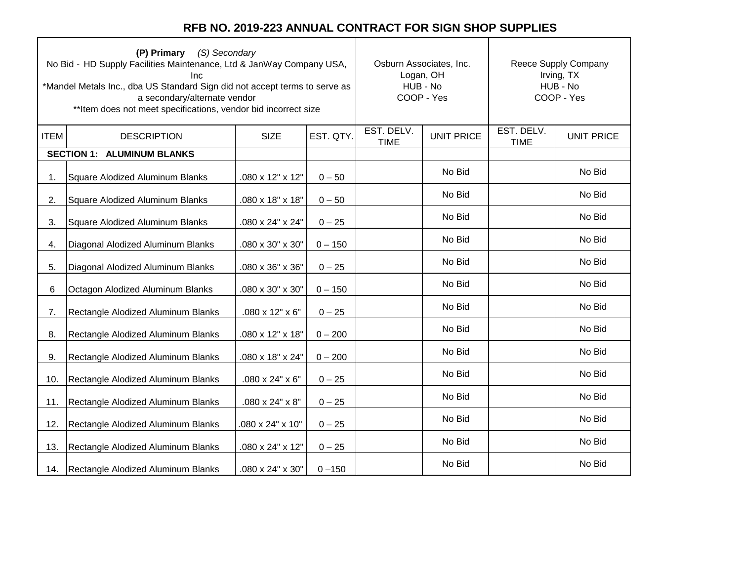| (P) Primary (S) Secondary<br>No Bid - HD Supply Facilities Maintenance, Ltd & JanWay Company USA,<br>Inc<br>*Mandel Metals Inc., dba US Standard Sign did not accept terms to serve as<br>a secondary/alternate vendor<br>** Item does not meet specifications, vendor bid incorrect size |                                        |                             |           | Osburn Associates, Inc.<br>Logan, OH<br>HUB - No<br>COOP - Yes | Reece Supply Company<br>Irving, TX<br>HUB - No<br>COOP - Yes |                           |                   |
|-------------------------------------------------------------------------------------------------------------------------------------------------------------------------------------------------------------------------------------------------------------------------------------------|----------------------------------------|-----------------------------|-----------|----------------------------------------------------------------|--------------------------------------------------------------|---------------------------|-------------------|
| <b>ITEM</b>                                                                                                                                                                                                                                                                               | <b>DESCRIPTION</b>                     | <b>SIZE</b>                 | EST. QTY. | EST. DELV.<br><b>UNIT PRICE</b><br><b>TIME</b>                 |                                                              | EST. DELV.<br><b>TIME</b> | <b>UNIT PRICE</b> |
|                                                                                                                                                                                                                                                                                           | <b>SECTION 1: ALUMINUM BLANKS</b>      |                             |           |                                                                |                                                              |                           |                   |
| 1.                                                                                                                                                                                                                                                                                        | Square Alodized Aluminum Blanks        | .080 x 12" x 12"            | $0 - 50$  |                                                                | No Bid                                                       |                           | No Bid            |
| 2.                                                                                                                                                                                                                                                                                        | Square Alodized Aluminum Blanks        | .080 x 18" x 18"            | $0 - 50$  |                                                                | No Bid                                                       |                           | No Bid            |
| 3.                                                                                                                                                                                                                                                                                        | Square Alodized Aluminum Blanks        | .080 x 24" x 24"            | $0 - 25$  |                                                                | No Bid                                                       |                           | No Bid            |
| 4.                                                                                                                                                                                                                                                                                        | Diagonal Alodized Aluminum Blanks      | .080 x 30" x 30"            | $0 - 150$ |                                                                | No Bid                                                       |                           | No Bid            |
| 5.                                                                                                                                                                                                                                                                                        | Diagonal Alodized Aluminum Blanks      | .080 x 36" x 36"            | $0 - 25$  |                                                                | No Bid                                                       |                           | No Bid            |
| 6                                                                                                                                                                                                                                                                                         | Octagon Alodized Aluminum Blanks       | .080 x 30" x 30"            | $0 - 150$ |                                                                | No Bid                                                       |                           | No Bid            |
| 7.                                                                                                                                                                                                                                                                                        | Rectangle Alodized Aluminum Blanks     | $.080 \times 12" \times 6"$ | $0 - 25$  |                                                                | No Bid                                                       |                           | No Bid            |
| 8.                                                                                                                                                                                                                                                                                        | Rectangle Alodized Aluminum Blanks     | .080 x 12" x 18"            | $0 - 200$ |                                                                | No Bid                                                       |                           | No Bid            |
| 9.                                                                                                                                                                                                                                                                                        | Rectangle Alodized Aluminum Blanks     | .080 x 18" x 24"            | $0 - 200$ |                                                                | No Bid                                                       |                           | No Bid            |
| 10.                                                                                                                                                                                                                                                                                       | Rectangle Alodized Aluminum Blanks     | .080 x 24" x 6"             | $0 - 25$  |                                                                | No Bid                                                       |                           | No Bid            |
| 11.                                                                                                                                                                                                                                                                                       | Rectangle Alodized Aluminum Blanks     | .080 x 24" x 8"             | $0 - 25$  |                                                                | No Bid                                                       |                           | No Bid            |
| 12.                                                                                                                                                                                                                                                                                       | Rectangle Alodized Aluminum Blanks     | .080 x 24" x 10"            | $0 - 25$  |                                                                | No Bid                                                       |                           | No Bid            |
| 13.                                                                                                                                                                                                                                                                                       | Rectangle Alodized Aluminum Blanks     | .080 x 24" x 12"            | $0 - 25$  |                                                                | No Bid                                                       |                           | No Bid            |
|                                                                                                                                                                                                                                                                                           | 14. Rectangle Alodized Aluminum Blanks | .080 x 24" x 30"            | $0 - 150$ |                                                                | No Bid                                                       |                           | No Bid            |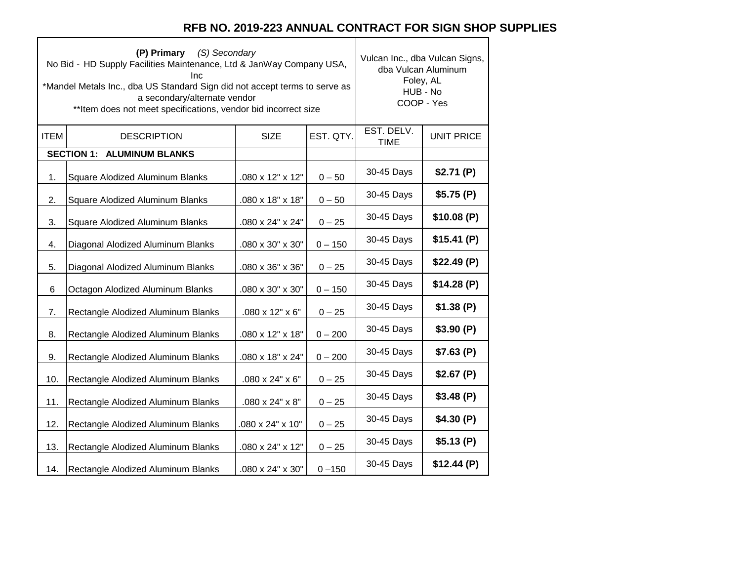٦

 $\top$ 

|             | (P) Primary (S) Secondary<br>No Bid - HD Supply Facilities Maintenance, Ltd & JanWay Company USA,<br>Inc.<br>*Mandel Metals Inc., dba US Standard Sign did not accept terms to serve as<br>a secondary/alternate vendor<br>** Item does not meet specifications, vendor bid incorrect size | Vulcan Inc., dba Vulcan Signs,<br>dba Vulcan Aluminum<br>Foley, AL<br>HUB - No<br>COOP - Yes |           |                           |                   |
|-------------|--------------------------------------------------------------------------------------------------------------------------------------------------------------------------------------------------------------------------------------------------------------------------------------------|----------------------------------------------------------------------------------------------|-----------|---------------------------|-------------------|
| <b>ITEM</b> | <b>DESCRIPTION</b>                                                                                                                                                                                                                                                                         | <b>SIZE</b>                                                                                  | EST. QTY. | EST. DELV.<br><b>TIME</b> | <b>UNIT PRICE</b> |
|             | <b>SECTION 1: ALUMINUM BLANKS</b>                                                                                                                                                                                                                                                          |                                                                                              |           |                           |                   |
| 1.          | Square Alodized Aluminum Blanks                                                                                                                                                                                                                                                            | .080 x 12" x 12"                                                                             | $0 - 50$  | 30-45 Days                | \$2.71(P)         |
| 2.          | Square Alodized Aluminum Blanks                                                                                                                                                                                                                                                            | .080 x 18" x 18"                                                                             | $0 - 50$  | 30-45 Days                | \$5.75(P)         |
| 3.          | Square Alodized Aluminum Blanks                                                                                                                                                                                                                                                            | .080 x 24" x 24"                                                                             | $0 - 25$  | 30-45 Days                | \$10.08(P)        |
| 4.          | Diagonal Alodized Aluminum Blanks                                                                                                                                                                                                                                                          | .080 x 30" x 30"                                                                             | $0 - 150$ | 30-45 Days                | \$15.41(P)        |
| 5.          | Diagonal Alodized Aluminum Blanks                                                                                                                                                                                                                                                          | .080 x 36" x 36"                                                                             | $0 - 25$  | 30-45 Days                | \$22.49(P)        |
| 6           | Octagon Alodized Aluminum Blanks                                                                                                                                                                                                                                                           | .080 x 30" x 30"                                                                             | $0 - 150$ | 30-45 Days                | \$14.28(P)        |
| 7.          | Rectangle Alodized Aluminum Blanks                                                                                                                                                                                                                                                         | $.080 \times 12" \times 6"$                                                                  | $0 - 25$  | 30-45 Days                | \$1.38(P)         |
| 8.          | Rectangle Alodized Aluminum Blanks                                                                                                                                                                                                                                                         | .080 x 12" x 18"                                                                             | $0 - 200$ | 30-45 Days                | \$3.90(P)         |
| 9.          | Rectangle Alodized Aluminum Blanks                                                                                                                                                                                                                                                         | .080 x 18" x 24"                                                                             | $0 - 200$ | 30-45 Days                | \$7.63(P)         |
| 10.         | Rectangle Alodized Aluminum Blanks                                                                                                                                                                                                                                                         | .080 x 24" x 6"                                                                              | $0 - 25$  | 30-45 Days                | \$2.67(P)         |
| 11.         | Rectangle Alodized Aluminum Blanks                                                                                                                                                                                                                                                         | .080 x 24" x 8"                                                                              | $0 - 25$  | 30-45 Days                | \$3.48(P)         |
| 12.         | Rectangle Alodized Aluminum Blanks                                                                                                                                                                                                                                                         | .080 x 24" x 10"                                                                             | $0 - 25$  | 30-45 Days                | \$4.30(P)         |
| 13.         | Rectangle Alodized Aluminum Blanks                                                                                                                                                                                                                                                         | .080 x 24" x 12"                                                                             | $0 - 25$  | 30-45 Days                | \$5.13(P)         |
| 14.         | Rectangle Alodized Aluminum Blanks                                                                                                                                                                                                                                                         | .080 x 24" x 30"                                                                             | $0 - 150$ | 30-45 Days                | \$12.44(P)        |

 $\Gamma$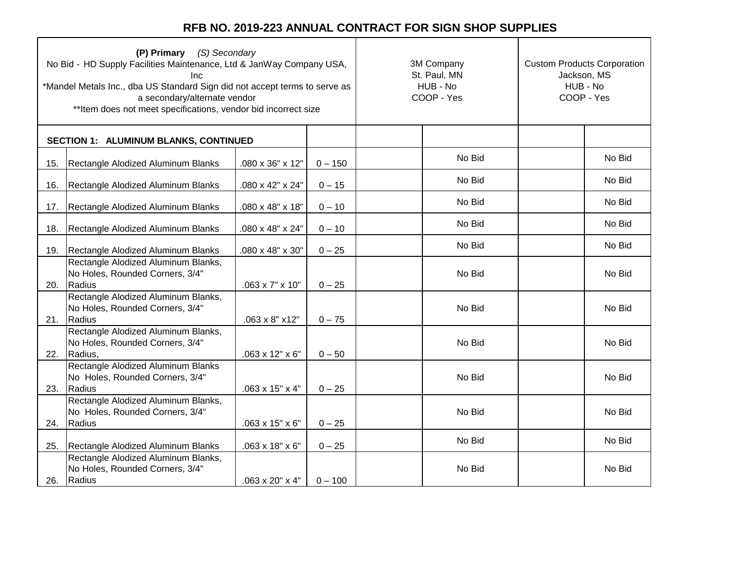|     | (P) Primary (S) Secondary<br>No Bid - HD Supply Facilities Maintenance, Ltd & JanWay Company USA,<br>Inc.<br>*Mandel Metals Inc., dba US Standard Sign did not accept terms to serve as<br>a secondary/alternate vendor<br>** Item does not meet specifications, vendor bid incorrect size |                             |           | 3M Company<br>St. Paul, MN<br>HUB - No<br>COOP - Yes | <b>Custom Products Corporation</b><br>Jackson, MS<br>HUB - No<br>COOP - Yes |        |
|-----|--------------------------------------------------------------------------------------------------------------------------------------------------------------------------------------------------------------------------------------------------------------------------------------------|-----------------------------|-----------|------------------------------------------------------|-----------------------------------------------------------------------------|--------|
|     | SECTION 1: ALUMINUM BLANKS, CONTINUED                                                                                                                                                                                                                                                      |                             |           |                                                      |                                                                             |        |
| 15. | Rectangle Alodized Aluminum Blanks                                                                                                                                                                                                                                                         | .080 x 36" x 12"            | $0 - 150$ | No Bid                                               |                                                                             | No Bid |
| 16. | Rectangle Alodized Aluminum Blanks                                                                                                                                                                                                                                                         | .080 x 42" x 24"            | $0 - 15$  | No Bid                                               |                                                                             | No Bid |
| 17. | Rectangle Alodized Aluminum Blanks                                                                                                                                                                                                                                                         | .080 x 48" x 18"            | $0 - 10$  | No Bid                                               |                                                                             | No Bid |
| 18. | Rectangle Alodized Aluminum Blanks                                                                                                                                                                                                                                                         | .080 x 48" x 24"            | $0 - 10$  | No Bid                                               |                                                                             | No Bid |
| 19. | Rectangle Alodized Aluminum Blanks                                                                                                                                                                                                                                                         | .080 x 48" x 30"            | $0 - 25$  | No Bid                                               |                                                                             | No Bid |
| 20. | Rectangle Alodized Aluminum Blanks,<br>No Holes, Rounded Corners, 3/4"<br>Radius                                                                                                                                                                                                           | .063 x 7" x 10"             | $0 - 25$  | No Bid                                               |                                                                             | No Bid |
| 21. | Rectangle Alodized Aluminum Blanks,<br>No Holes, Rounded Corners, 3/4"<br>Radius                                                                                                                                                                                                           | .063 x 8" x12"              | $0 - 75$  | No Bid                                               |                                                                             | No Bid |
| 22. | Rectangle Alodized Aluminum Blanks,<br>No Holes, Rounded Corners, 3/4"<br>Radius,                                                                                                                                                                                                          | $.063 \times 12" \times 6"$ | $0 - 50$  | No Bid                                               |                                                                             | No Bid |
| 23. | Rectangle Alodized Aluminum Blanks<br>No Holes, Rounded Corners, 3/4"<br>Radius                                                                                                                                                                                                            | .063 x 15" x 4"             | $0 - 25$  | No Bid                                               |                                                                             | No Bid |
| 24. | Rectangle Alodized Aluminum Blanks,<br>No Holes, Rounded Corners, 3/4"<br>Radius                                                                                                                                                                                                           | .063 x 15" x 6"             | $0 - 25$  | No Bid                                               |                                                                             | No Bid |
| 25. | Rectangle Alodized Aluminum Blanks                                                                                                                                                                                                                                                         | .063 x 18" x 6"             | $0 - 25$  | No Bid                                               |                                                                             | No Bid |
| 26. | Rectangle Alodized Aluminum Blanks,<br>No Holes, Rounded Corners, 3/4"<br>Radius                                                                                                                                                                                                           | .063 x 20" x 4"             | $0 - 100$ | No Bid                                               |                                                                             | No Bid |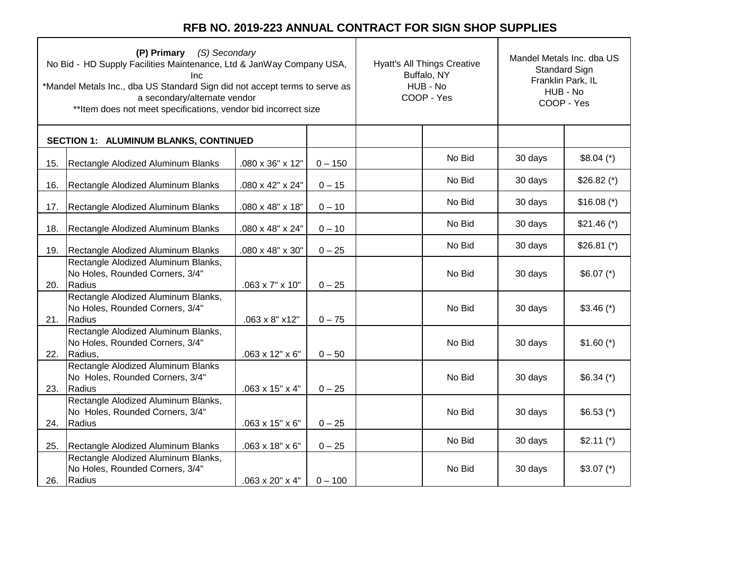| (P) Primary (S) Secondary<br>No Bid - HD Supply Facilities Maintenance, Ltd & JanWay Company USA,<br>Inc.<br>*Mandel Metals Inc., dba US Standard Sign did not accept terms to serve as<br>a secondary/alternate vendor<br>** Item does not meet specifications, vendor bid incorrect size |                                                                                   |                             |           | <b>Hyatt's All Things Creative</b><br>Buffalo, NY<br>HUB - No<br>COOP - Yes |        | Mandel Metals Inc. dba US<br>Standard Sign<br>Franklin Park, IL<br>HUB - No<br>COOP - Yes |              |
|--------------------------------------------------------------------------------------------------------------------------------------------------------------------------------------------------------------------------------------------------------------------------------------------|-----------------------------------------------------------------------------------|-----------------------------|-----------|-----------------------------------------------------------------------------|--------|-------------------------------------------------------------------------------------------|--------------|
|                                                                                                                                                                                                                                                                                            | SECTION 1: ALUMINUM BLANKS, CONTINUED                                             |                             |           |                                                                             |        |                                                                                           |              |
| 15.                                                                                                                                                                                                                                                                                        | Rectangle Alodized Aluminum Blanks                                                | .080 x 36" x 12"            | $0 - 150$ |                                                                             | No Bid | 30 days                                                                                   | $$8.04 (*)$  |
| 16.                                                                                                                                                                                                                                                                                        | Rectangle Alodized Aluminum Blanks                                                | .080 x 42" x 24"            | $0 - 15$  |                                                                             | No Bid | 30 days                                                                                   | $$26.82$ (*) |
| 17.                                                                                                                                                                                                                                                                                        | Rectangle Alodized Aluminum Blanks                                                | .080 x 48" x 18"            | $0 - 10$  |                                                                             | No Bid | 30 days                                                                                   | $$16.08 (*)$ |
| 18.                                                                                                                                                                                                                                                                                        | Rectangle Alodized Aluminum Blanks                                                | .080 x 48" x 24"            | $0 - 10$  |                                                                             | No Bid | 30 days                                                                                   | $$21.46 (*)$ |
| 19.                                                                                                                                                                                                                                                                                        | Rectangle Alodized Aluminum Blanks                                                | .080 x 48" x 30"            | $0 - 25$  |                                                                             | No Bid | 30 days                                                                                   | $$26.81$ (*) |
| 20.                                                                                                                                                                                                                                                                                        | Rectangle Alodized Aluminum Blanks,<br>No Holes, Rounded Corners, 3/4"<br>Radius  | .063 x 7" x 10"             | $0 - 25$  |                                                                             | No Bid | 30 days                                                                                   | $$6.07 (*)$  |
| 21.                                                                                                                                                                                                                                                                                        | Rectangle Alodized Aluminum Blanks,<br>No Holes, Rounded Corners, 3/4"<br>Radius  | .063 x 8" x12"              | $0 - 75$  |                                                                             | No Bid | 30 days                                                                                   | $$3.46 (*)$  |
| 22.                                                                                                                                                                                                                                                                                        | Rectangle Alodized Aluminum Blanks,<br>No Holes, Rounded Corners, 3/4"<br>Radius, | .063 x 12" x 6"             | $0 - 50$  |                                                                             | No Bid | 30 days                                                                                   | $$1.60 (*)$  |
| 23.                                                                                                                                                                                                                                                                                        | Rectangle Alodized Aluminum Blanks<br>No Holes, Rounded Corners, 3/4"<br>Radius   | .063 x 15" x 4"             | $0 - 25$  |                                                                             | No Bid | 30 days                                                                                   | $$6.34 (*)$  |
| 24.                                                                                                                                                                                                                                                                                        | Rectangle Alodized Aluminum Blanks,<br>No Holes, Rounded Corners, 3/4"<br>Radius  | $.063 \times 15" \times 6"$ | $0 - 25$  |                                                                             | No Bid | 30 days                                                                                   | $$6.53$ (*)  |
| 25.                                                                                                                                                                                                                                                                                        | Rectangle Alodized Aluminum Blanks                                                | .063 x 18" x 6"             | $0 - 25$  |                                                                             | No Bid | 30 days                                                                                   | $$2.11$ (*)  |
| 26.                                                                                                                                                                                                                                                                                        | Rectangle Alodized Aluminum Blanks,<br>No Holes, Rounded Corners, 3/4"<br>Radius  | $.063 \times 20" \times 4"$ | $0 - 100$ |                                                                             | No Bid | 30 days                                                                                   | $$3.07 (*)$  |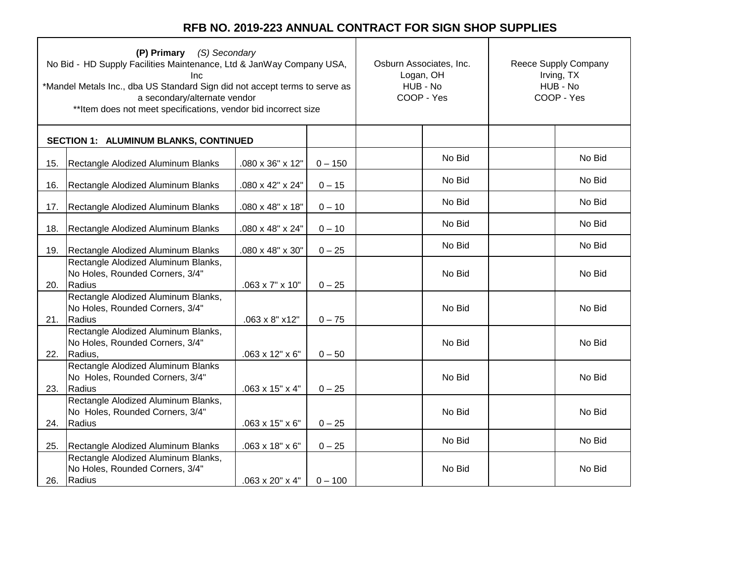| (P) Primary (S) Secondary<br>No Bid - HD Supply Facilities Maintenance, Ltd & JanWay Company USA,<br><b>Inc</b><br>*Mandel Metals Inc., dba US Standard Sign did not accept terms to serve as<br>a secondary/alternate vendor<br>** Item does not meet specifications, vendor bid incorrect size |                                                                                   |                             |           | Osburn Associates, Inc.<br>Logan, OH<br>HUB - No<br>COOP - Yes | Reece Supply Company<br>Irving, TX<br>HUB - No<br>COOP - Yes |        |
|--------------------------------------------------------------------------------------------------------------------------------------------------------------------------------------------------------------------------------------------------------------------------------------------------|-----------------------------------------------------------------------------------|-----------------------------|-----------|----------------------------------------------------------------|--------------------------------------------------------------|--------|
|                                                                                                                                                                                                                                                                                                  | SECTION 1: ALUMINUM BLANKS, CONTINUED                                             |                             |           |                                                                |                                                              |        |
| 15.                                                                                                                                                                                                                                                                                              | Rectangle Alodized Aluminum Blanks                                                | .080 x 36" x 12"            | $0 - 150$ | No Bid                                                         |                                                              | No Bid |
| 16.                                                                                                                                                                                                                                                                                              | Rectangle Alodized Aluminum Blanks                                                | .080 x 42" x 24"            | $0 - 15$  | No Bid                                                         |                                                              | No Bid |
| 17.                                                                                                                                                                                                                                                                                              | Rectangle Alodized Aluminum Blanks                                                | .080 x 48" x 18"            | $0 - 10$  | No Bid                                                         |                                                              | No Bid |
| 18.                                                                                                                                                                                                                                                                                              | Rectangle Alodized Aluminum Blanks                                                | .080 x 48" x 24"            | $0 - 10$  | No Bid                                                         |                                                              | No Bid |
| 19.                                                                                                                                                                                                                                                                                              | Rectangle Alodized Aluminum Blanks                                                | .080 x 48" x 30"            | $0 - 25$  | No Bid                                                         |                                                              | No Bid |
| 20.                                                                                                                                                                                                                                                                                              | Rectangle Alodized Aluminum Blanks,<br>No Holes, Rounded Corners, 3/4"<br>Radius  | .063 x 7" x 10"             | $0 - 25$  | No Bid                                                         |                                                              | No Bid |
| 21.                                                                                                                                                                                                                                                                                              | Rectangle Alodized Aluminum Blanks,<br>No Holes, Rounded Corners, 3/4"<br>Radius  | .063 x 8" x12"              | $0 - 75$  | No Bid                                                         |                                                              | No Bid |
| 22.                                                                                                                                                                                                                                                                                              | Rectangle Alodized Aluminum Blanks,<br>No Holes, Rounded Corners, 3/4"<br>Radius, | .063 x 12" x 6"             | $0 - 50$  | No Bid                                                         |                                                              | No Bid |
| 23.                                                                                                                                                                                                                                                                                              | Rectangle Alodized Aluminum Blanks<br>No Holes, Rounded Corners, 3/4"<br>Radius   | .063 x 15" x 4"             | $0 - 25$  | No Bid                                                         |                                                              | No Bid |
| 24.                                                                                                                                                                                                                                                                                              | Rectangle Alodized Aluminum Blanks,<br>No Holes, Rounded Corners, 3/4"<br>Radius  | $.063 \times 15" \times 6"$ | $0 - 25$  | No Bid                                                         |                                                              | No Bid |
| 25.                                                                                                                                                                                                                                                                                              | Rectangle Alodized Aluminum Blanks                                                | .063 x 18" x 6"             | $0 - 25$  | No Bid                                                         |                                                              | No Bid |
| 26.                                                                                                                                                                                                                                                                                              | Rectangle Alodized Aluminum Blanks,<br>No Holes, Rounded Corners, 3/4"<br>Radius  | .063 x 20" x 4"             | $0 - 100$ | No Bid                                                         |                                                              | No Bid |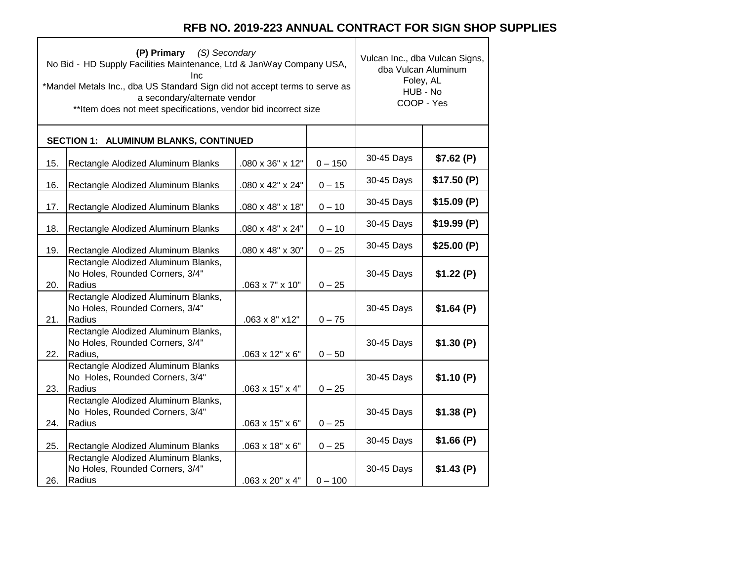٦

 $\top$ 

|     | (P) Primary (S) Secondary<br>No Bid - HD Supply Facilities Maintenance, Ltd & JanWay Company USA,<br>Inc<br>*Mandel Metals Inc., dba US Standard Sign did not accept terms to serve as<br>a secondary/alternate vendor<br>** Item does not meet specifications, vendor bid incorrect size | Vulcan Inc., dba Vulcan Signs,<br>dba Vulcan Aluminum<br>Foley, AL<br>HUB - No<br>COOP - Yes |           |            |            |
|-----|-------------------------------------------------------------------------------------------------------------------------------------------------------------------------------------------------------------------------------------------------------------------------------------------|----------------------------------------------------------------------------------------------|-----------|------------|------------|
|     | SECTION 1: ALUMINUM BLANKS, CONTINUED                                                                                                                                                                                                                                                     |                                                                                              |           |            |            |
| 15. | Rectangle Alodized Aluminum Blanks                                                                                                                                                                                                                                                        | .080 x 36" x 12"                                                                             | $0 - 150$ | 30-45 Days | \$7.62(P)  |
| 16. | Rectangle Alodized Aluminum Blanks                                                                                                                                                                                                                                                        | .080 x 42" x 24"                                                                             | $0 - 15$  | 30-45 Days | \$17.50(P) |
| 17. | Rectangle Alodized Aluminum Blanks                                                                                                                                                                                                                                                        | .080 x 48" x 18"                                                                             | $0 - 10$  | 30-45 Days | \$15.09(P) |
| 18. | Rectangle Alodized Aluminum Blanks                                                                                                                                                                                                                                                        | .080 x 48" x 24"                                                                             | $0 - 10$  | 30-45 Days | \$19.99(P) |
| 19. | Rectangle Alodized Aluminum Blanks                                                                                                                                                                                                                                                        | .080 x 48" x 30"                                                                             | $0 - 25$  | 30-45 Days | \$25.00(P) |
| 20. | Rectangle Alodized Aluminum Blanks,<br>No Holes, Rounded Corners, 3/4"<br>Radius                                                                                                                                                                                                          | $.063 \times 7" \times 10"$                                                                  | $0 - 25$  | 30-45 Days | \$1.22(P)  |
| 21. | Rectangle Alodized Aluminum Blanks,<br>No Holes, Rounded Corners, 3/4"<br>Radius                                                                                                                                                                                                          | .063 x 8" x12"                                                                               | $0 - 75$  | 30-45 Days | \$1.64(P)  |
| 22. | Rectangle Alodized Aluminum Blanks,<br>No Holes, Rounded Corners, 3/4"<br>Radius,                                                                                                                                                                                                         | $.063 \times 12" \times 6"$                                                                  | $0 - 50$  | 30-45 Days | \$1.30(P)  |
| 23. | Rectangle Alodized Aluminum Blanks<br>No Holes, Rounded Corners, 3/4"<br>Radius                                                                                                                                                                                                           | .063 x 15" x 4"                                                                              | $0 - 25$  | 30-45 Days | \$1.10(P)  |
| 24. | Rectangle Alodized Aluminum Blanks,<br>No Holes, Rounded Corners, 3/4"<br>Radius                                                                                                                                                                                                          | $.063 \times 15" \times 6"$                                                                  | $0 - 25$  | 30-45 Days | \$1.38(P)  |
| 25. | Rectangle Alodized Aluminum Blanks                                                                                                                                                                                                                                                        | $.063 \times 18" \times 6"$                                                                  | $0 - 25$  | 30-45 Days | \$1.66(P)  |
| 26. | Rectangle Alodized Aluminum Blanks,<br>No Holes, Rounded Corners, 3/4"<br>Radius                                                                                                                                                                                                          | $.063 \times 20" \times 4"$                                                                  | $0 - 100$ | 30-45 Days | \$1.43(P)  |

 $\Gamma$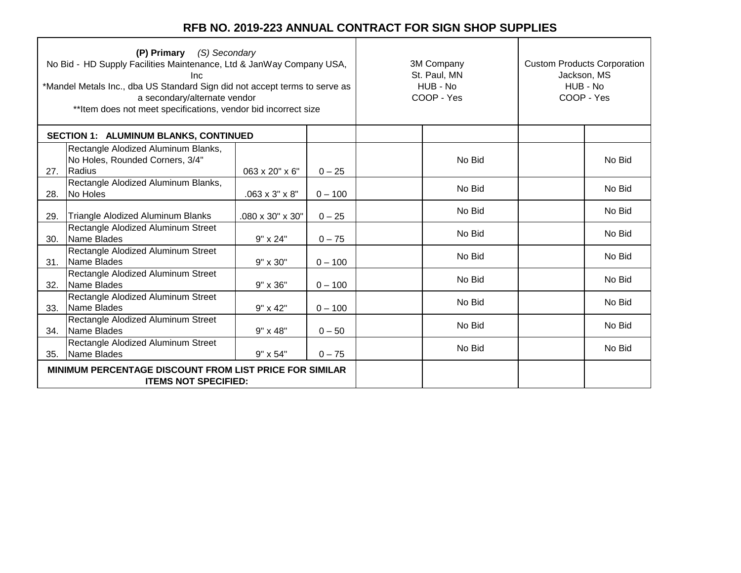|     | (S) Secondary<br>(P) Primary<br>No Bid - HD Supply Facilities Maintenance, Ltd & JanWay Company USA,<br>Inc.<br>*Mandel Metals Inc., dba US Standard Sign did not accept terms to serve as<br>a secondary/alternate vendor<br>** Item does not meet specifications, vendor bid incorrect size |                            |           | 3M Company<br>St. Paul, MN<br>HUB - No<br>COOP - Yes | <b>Custom Products Corporation</b><br>Jackson, MS<br>HUB - No<br>COOP - Yes |        |
|-----|-----------------------------------------------------------------------------------------------------------------------------------------------------------------------------------------------------------------------------------------------------------------------------------------------|----------------------------|-----------|------------------------------------------------------|-----------------------------------------------------------------------------|--------|
|     | SECTION 1: ALUMINUM BLANKS, CONTINUED                                                                                                                                                                                                                                                         |                            |           |                                                      |                                                                             |        |
| 27. | Rectangle Alodized Aluminum Blanks,<br>No Holes, Rounded Corners, 3/4"<br>Radius                                                                                                                                                                                                              | 063 x 20" x 6"             | $0 - 25$  | No Bid                                               |                                                                             | No Bid |
| 28. | Rectangle Alodized Aluminum Blanks,<br>No Holes                                                                                                                                                                                                                                               | $.063 \times 3" \times 8"$ | $0 - 100$ | No Bid                                               |                                                                             | No Bid |
| 29. | Triangle Alodized Aluminum Blanks                                                                                                                                                                                                                                                             | .080 x 30" x 30"           | $0 - 25$  | No Bid                                               |                                                                             | No Bid |
| 30. | Rectangle Alodized Aluminum Street<br>Name Blades                                                                                                                                                                                                                                             | $9" \times 24"$            | $0 - 75$  | No Bid                                               |                                                                             | No Bid |
| 31. | Rectangle Alodized Aluminum Street<br>Name Blades                                                                                                                                                                                                                                             | $9" \times 30"$            | $0 - 100$ | No Bid                                               |                                                                             | No Bid |
| 32. | Rectangle Alodized Aluminum Street<br>Name Blades                                                                                                                                                                                                                                             | 9" x 36"                   | $0 - 100$ | No Bid                                               |                                                                             | No Bid |
| 33. | Rectangle Alodized Aluminum Street<br>Name Blades                                                                                                                                                                                                                                             | 9" x 42"                   | $0 - 100$ | No Bid                                               |                                                                             | No Bid |
| 34. | Rectangle Alodized Aluminum Street<br>Name Blades                                                                                                                                                                                                                                             | 9" x 48"                   | $0 - 50$  | No Bid                                               |                                                                             | No Bid |
| 35. | Rectangle Alodized Aluminum Street<br>Name Blades                                                                                                                                                                                                                                             | 9" x 54"                   | $0 - 75$  | No Bid                                               |                                                                             | No Bid |
|     | MINIMUM PERCENTAGE DISCOUNT FROM LIST PRICE FOR SIMILAR<br><b>ITEMS NOT SPECIFIED:</b>                                                                                                                                                                                                        |                            |           |                                                      |                                                                             |        |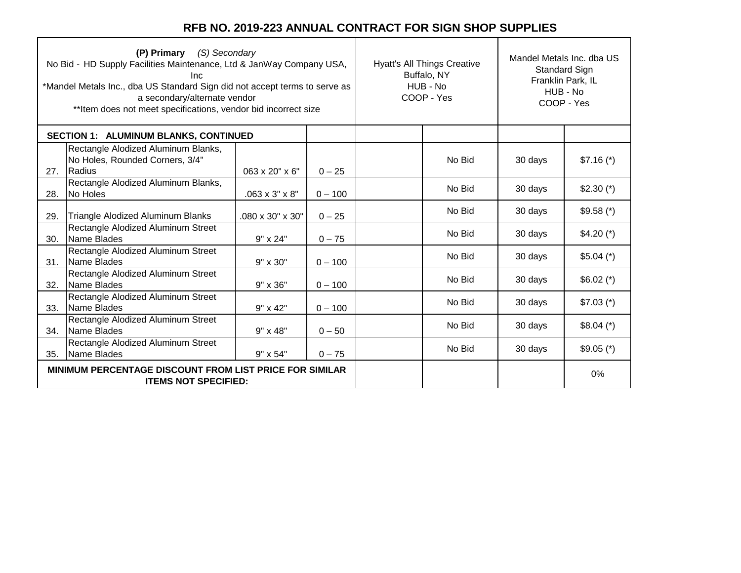| (P) Primary (S) Secondary<br>No Bid - HD Supply Facilities Maintenance, Ltd & JanWay Company USA,<br>Inc.<br>*Mandel Metals Inc., dba US Standard Sign did not accept terms to serve as<br>a secondary/alternate vendor<br>** Item does not meet specifications, vendor bid incorrect size |                                                                                  |                            |           | <b>Hyatt's All Things Creative</b><br>Buffalo, NY<br>HUB - No<br>COOP - Yes |        | Mandel Metals Inc. dba US<br>Standard Sign<br>Franklin Park, IL<br>HUB - No<br>COOP - Yes |             |
|--------------------------------------------------------------------------------------------------------------------------------------------------------------------------------------------------------------------------------------------------------------------------------------------|----------------------------------------------------------------------------------|----------------------------|-----------|-----------------------------------------------------------------------------|--------|-------------------------------------------------------------------------------------------|-------------|
| <b>SECTION 1: ALUMINUM BLANKS, CONTINUED</b>                                                                                                                                                                                                                                               |                                                                                  |                            |           |                                                                             |        |                                                                                           |             |
| 27.                                                                                                                                                                                                                                                                                        | Rectangle Alodized Aluminum Blanks,<br>No Holes, Rounded Corners, 3/4"<br>Radius | $063 \times 20" \times 6"$ | $0 - 25$  |                                                                             | No Bid | 30 days                                                                                   | $$7.16 (*)$ |
| 28.                                                                                                                                                                                                                                                                                        | Rectangle Alodized Aluminum Blanks,<br>No Holes                                  | $.063 \times 3" \times 8"$ | $0 - 100$ |                                                                             | No Bid | 30 days                                                                                   | $$2.30 (*)$ |
| 29.                                                                                                                                                                                                                                                                                        | Triangle Alodized Aluminum Blanks                                                | .080 x 30" x 30"           | $0 - 25$  |                                                                             | No Bid | 30 days                                                                                   | $$9.58$ (*) |
| 30.                                                                                                                                                                                                                                                                                        | Rectangle Alodized Aluminum Street<br>Name Blades                                | $9" \times 24"$            | $0 - 75$  |                                                                             | No Bid | 30 days                                                                                   | $$4.20 (*)$ |
| 31.                                                                                                                                                                                                                                                                                        | Rectangle Alodized Aluminum Street<br>Name Blades                                | 9" x 30"                   | $0 - 100$ |                                                                             | No Bid | 30 days                                                                                   | $$5.04 (*)$ |
| 32.                                                                                                                                                                                                                                                                                        | Rectangle Alodized Aluminum Street<br>Name Blades                                | $9" \times 36"$            | $0 - 100$ |                                                                             | No Bid | 30 days                                                                                   | $$6.02$ (*) |
| 33.                                                                                                                                                                                                                                                                                        | Rectangle Alodized Aluminum Street<br>Name Blades                                | 9" x 42"                   | $0 - 100$ |                                                                             | No Bid | 30 days                                                                                   | $$7.03$ (*) |
| 34.                                                                                                                                                                                                                                                                                        | Rectangle Alodized Aluminum Street<br>Name Blades                                | 9" x 48"                   | $0 - 50$  |                                                                             | No Bid | 30 days                                                                                   | $$8.04 (*)$ |
| 35.                                                                                                                                                                                                                                                                                        | Rectangle Alodized Aluminum Street<br>Name Blades                                | 9" x 54"                   | $0 - 75$  |                                                                             | No Bid | 30 days                                                                                   | $$9.05$ (*) |
| <b>MINIMUM PERCENTAGE DISCOUNT FROM LIST PRICE FOR SIMILAR</b><br><b>ITEMS NOT SPECIFIED:</b>                                                                                                                                                                                              |                                                                                  |                            |           |                                                                             |        |                                                                                           | 0%          |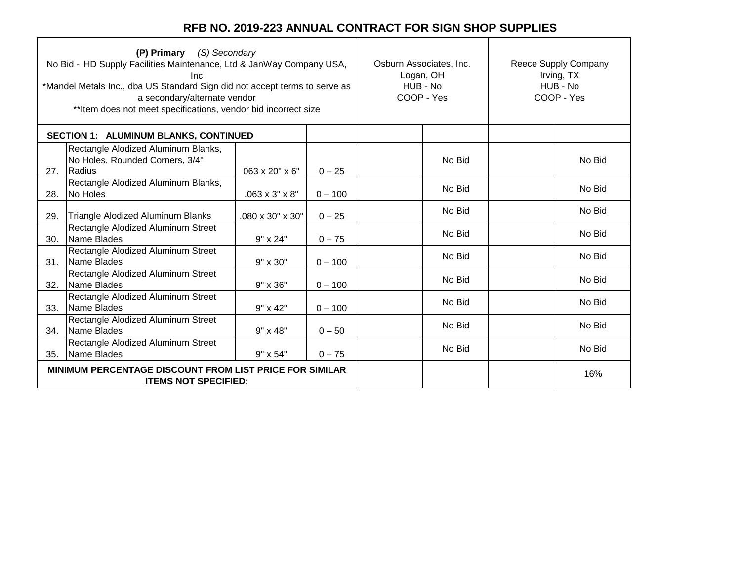| (P) Primary (S) Secondary<br>No Bid - HD Supply Facilities Maintenance, Ltd & JanWay Company USA,<br>Inc<br>*Mandel Metals Inc., dba US Standard Sign did not accept terms to serve as<br>a secondary/alternate vendor<br>** Item does not meet specifications, vendor bid incorrect size |                                                                                               |                            |           | Osburn Associates, Inc.<br>Logan, OH<br>HUB - No<br>COOP - Yes |        | Reece Supply Company<br>Irving, TX<br>HUB - No<br>COOP - Yes |        |
|-------------------------------------------------------------------------------------------------------------------------------------------------------------------------------------------------------------------------------------------------------------------------------------------|-----------------------------------------------------------------------------------------------|----------------------------|-----------|----------------------------------------------------------------|--------|--------------------------------------------------------------|--------|
| <b>SECTION 1: ALUMINUM BLANKS, CONTINUED</b>                                                                                                                                                                                                                                              |                                                                                               |                            |           |                                                                |        |                                                              |        |
| 27.                                                                                                                                                                                                                                                                                       | Rectangle Alodized Aluminum Blanks,<br>No Holes, Rounded Corners, 3/4"<br>Radius              | 063 x 20" x 6"             | $0 - 25$  |                                                                | No Bid |                                                              | No Bid |
| 28.                                                                                                                                                                                                                                                                                       | Rectangle Alodized Aluminum Blanks,<br>No Holes                                               | $.063 \times 3" \times 8"$ | $0 - 100$ |                                                                | No Bid |                                                              | No Bid |
| 29.                                                                                                                                                                                                                                                                                       | Triangle Alodized Aluminum Blanks                                                             | .080 x 30" x 30"           | $0 - 25$  |                                                                | No Bid |                                                              | No Bid |
| 30.                                                                                                                                                                                                                                                                                       | Rectangle Alodized Aluminum Street<br>Name Blades                                             | $9" \times 24"$            | $0 - 75$  |                                                                | No Bid |                                                              | No Bid |
| 31.                                                                                                                                                                                                                                                                                       | Rectangle Alodized Aluminum Street<br>Name Blades                                             | $9" \times 30"$            | $0 - 100$ |                                                                | No Bid |                                                              | No Bid |
| 32.                                                                                                                                                                                                                                                                                       | Rectangle Alodized Aluminum Street<br>Name Blades                                             | $9" \times 36"$            | $0 - 100$ |                                                                | No Bid |                                                              | No Bid |
| 33.                                                                                                                                                                                                                                                                                       | Rectangle Alodized Aluminum Street<br>Name Blades                                             | $9" \times 42"$            | $0 - 100$ |                                                                | No Bid |                                                              | No Bid |
| 34.                                                                                                                                                                                                                                                                                       | Rectangle Alodized Aluminum Street<br>Name Blades                                             | $9" \times 48"$            | $0 - 50$  |                                                                | No Bid |                                                              | No Bid |
| 35.                                                                                                                                                                                                                                                                                       | Rectangle Alodized Aluminum Street<br>Name Blades                                             | 9" x 54"                   | $0 - 75$  |                                                                | No Bid |                                                              | No Bid |
|                                                                                                                                                                                                                                                                                           | <b>MINIMUM PERCENTAGE DISCOUNT FROM LIST PRICE FOR SIMILAR</b><br><b>ITEMS NOT SPECIFIED:</b> |                            |           |                                                                |        | 16%                                                          |        |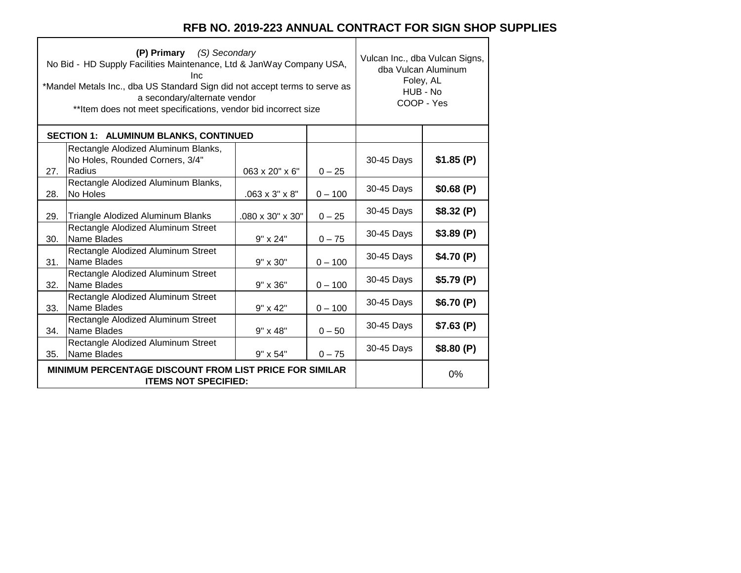Т

|     | (P) Primary (S) Secondary<br>No Bid - HD Supply Facilities Maintenance, Ltd & JanWay Company USA,<br>Inc<br>*Mandel Metals Inc., dba US Standard Sign did not accept terms to serve as<br>a secondary/alternate vendor<br>**Item does not meet specifications, vendor bid incorrect size |                            |           | Vulcan Inc., dba Vulcan Signs,<br>dba Vulcan Aluminum<br>Foley, AL<br>HUB - No<br>COOP - Yes |           |
|-----|------------------------------------------------------------------------------------------------------------------------------------------------------------------------------------------------------------------------------------------------------------------------------------------|----------------------------|-----------|----------------------------------------------------------------------------------------------|-----------|
|     | <b>SECTION 1: ALUMINUM BLANKS, CONTINUED</b>                                                                                                                                                                                                                                             |                            |           |                                                                                              |           |
| 27. | Rectangle Alodized Aluminum Blanks,<br>No Holes, Rounded Corners, 3/4"<br>Radius                                                                                                                                                                                                         | 063 x 20" x 6"             | $0 - 25$  | 30-45 Days                                                                                   | \$1.85(P) |
| 28. | Rectangle Alodized Aluminum Blanks,<br>No Holes                                                                                                                                                                                                                                          | $.063 \times 3" \times 8"$ | $0 - 100$ | 30-45 Days                                                                                   | \$0.68(P) |
| 29. | Triangle Alodized Aluminum Blanks                                                                                                                                                                                                                                                        | .080 x 30" x 30"           | $0 - 25$  | 30-45 Days                                                                                   | \$8.32(P) |
| 30. | Rectangle Alodized Aluminum Street<br>Name Blades                                                                                                                                                                                                                                        | 9" x 24"                   | $0 - 75$  | 30-45 Days                                                                                   | \$3.89(P) |
| 31. | Rectangle Alodized Aluminum Street<br>Name Blades                                                                                                                                                                                                                                        | 9" x 30"                   | $0 - 100$ | 30-45 Days                                                                                   | \$4.70(P) |
| 32. | Rectangle Alodized Aluminum Street<br>Name Blades                                                                                                                                                                                                                                        | 9" x 36"                   | $0 - 100$ | 30-45 Days                                                                                   | \$5.79(P) |
| 33. | Rectangle Alodized Aluminum Street<br>Name Blades                                                                                                                                                                                                                                        | 9" x 42"                   | $0 - 100$ | 30-45 Days                                                                                   | \$6.70(P) |
| 34. | Rectangle Alodized Aluminum Street<br>Name Blades                                                                                                                                                                                                                                        | 9" x 48"                   | $0 - 50$  | 30-45 Days                                                                                   | \$7.63(P) |
| 35. | Rectangle Alodized Aluminum Street<br>Name Blades                                                                                                                                                                                                                                        | $9" \times 54"$            | $0 - 75$  | 30-45 Days                                                                                   | \$8.80(P) |
|     | <b>MINIMUM PERCENTAGE DISCOUNT FROM LIST PRICE FOR SIMILAR</b><br><b>ITEMS NOT SPECIFIED:</b>                                                                                                                                                                                            |                            | 0%        |                                                                                              |           |

 $\blacksquare$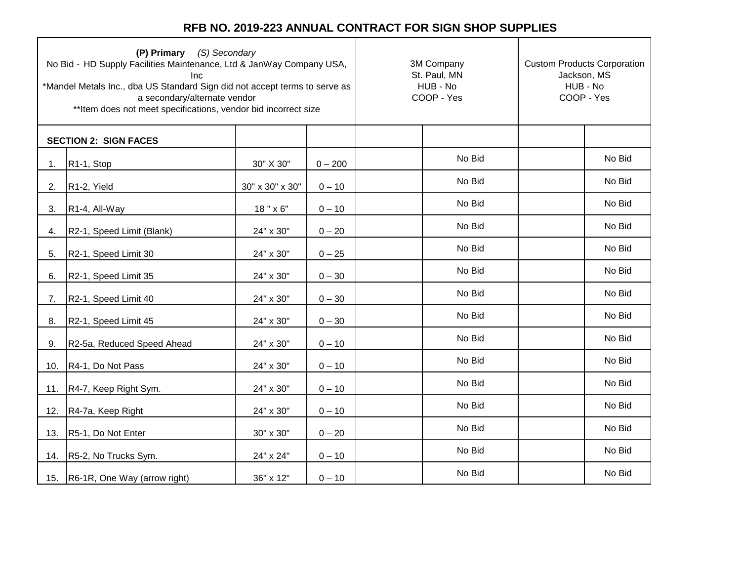| (P) Primary (S) Secondary<br>No Bid - HD Supply Facilities Maintenance, Ltd & JanWay Company USA,<br>Inc<br>*Mandel Metals Inc., dba US Standard Sign did not accept terms to serve as<br>a secondary/alternate vendor<br>** Item does not meet specifications, vendor bid incorrect size |                                  |                 | 3M Company<br>St. Paul, MN<br>HUB - No<br>COOP - Yes | <b>Custom Products Corporation</b><br>Jackson, MS<br>HUB - No<br>COOP - Yes |  |        |
|-------------------------------------------------------------------------------------------------------------------------------------------------------------------------------------------------------------------------------------------------------------------------------------------|----------------------------------|-----------------|------------------------------------------------------|-----------------------------------------------------------------------------|--|--------|
|                                                                                                                                                                                                                                                                                           | <b>SECTION 2: SIGN FACES</b>     |                 |                                                      |                                                                             |  |        |
| 1.                                                                                                                                                                                                                                                                                        | R <sub>1</sub> -1, Stop          | 30" X 30"       | $0 - 200$                                            | No Bid                                                                      |  | No Bid |
| 2.                                                                                                                                                                                                                                                                                        | R <sub>1</sub> -2, Yield         | 30" x 30" x 30" | $0 - 10$                                             | No Bid                                                                      |  | No Bid |
| 3.                                                                                                                                                                                                                                                                                        | R1-4, All-Way                    | 18" x 6"        | $0 - 10$                                             | No Bid                                                                      |  | No Bid |
| 4.                                                                                                                                                                                                                                                                                        | R2-1, Speed Limit (Blank)        | 24" x 30"       | $0 - 20$                                             | No Bid                                                                      |  | No Bid |
| 5.                                                                                                                                                                                                                                                                                        | R2-1, Speed Limit 30             | 24" x 30"       | $0 - 25$                                             | No Bid                                                                      |  | No Bid |
| 6.                                                                                                                                                                                                                                                                                        | R2-1, Speed Limit 35             | 24" x 30"       | $0 - 30$                                             | No Bid                                                                      |  | No Bid |
| 7.                                                                                                                                                                                                                                                                                        | R2-1, Speed Limit 40             | 24" x 30"       | $0 - 30$                                             | No Bid                                                                      |  | No Bid |
| 8.                                                                                                                                                                                                                                                                                        | R2-1, Speed Limit 45             | 24" x 30"       | $0 - 30$                                             | No Bid                                                                      |  | No Bid |
| 9.                                                                                                                                                                                                                                                                                        | R2-5a, Reduced Speed Ahead       | 24" x 30"       | $0 - 10$                                             | No Bid                                                                      |  | No Bid |
| 10.                                                                                                                                                                                                                                                                                       | R4-1, Do Not Pass                | 24" x 30"       | $0 - 10$                                             | No Bid                                                                      |  | No Bid |
| 11.                                                                                                                                                                                                                                                                                       | R4-7, Keep Right Sym.            | 24" x 30"       | $0 - 10$                                             | No Bid                                                                      |  | No Bid |
| 12.                                                                                                                                                                                                                                                                                       | R4-7a, Keep Right                | 24" x 30"       | $0 - 10$                                             | No Bid                                                                      |  | No Bid |
| 13.                                                                                                                                                                                                                                                                                       | R5-1, Do Not Enter               | 30" x 30"       | $0 - 20$                                             | No Bid                                                                      |  | No Bid |
| 14.                                                                                                                                                                                                                                                                                       | R5-2, No Trucks Sym.             | 24" x 24"       | $0 - 10$                                             | No Bid                                                                      |  | No Bid |
|                                                                                                                                                                                                                                                                                           | 15. R6-1R, One Way (arrow right) | 36" x 12"       | $0 - 10$                                             | No Bid                                                                      |  | No Bid |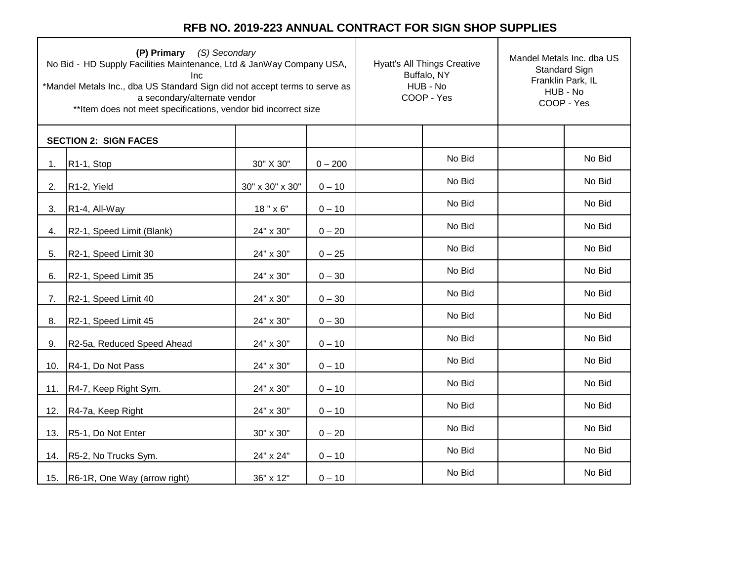| (P) Primary (S) Secondary<br>No Bid - HD Supply Facilities Maintenance, Ltd & JanWay Company USA,<br>Inc<br>*Mandel Metals Inc., dba US Standard Sign did not accept terms to serve as<br>a secondary/alternate vendor<br>** Item does not meet specifications, vendor bid incorrect size |                                  |                 | <b>Hyatt's All Things Creative</b><br>Buffalo, NY<br>HUB - No<br>COOP - Yes | Mandel Metals Inc. dba US<br>Standard Sign<br>Franklin Park, IL<br>HUB - No<br>COOP - Yes |  |        |
|-------------------------------------------------------------------------------------------------------------------------------------------------------------------------------------------------------------------------------------------------------------------------------------------|----------------------------------|-----------------|-----------------------------------------------------------------------------|-------------------------------------------------------------------------------------------|--|--------|
|                                                                                                                                                                                                                                                                                           | <b>SECTION 2: SIGN FACES</b>     |                 |                                                                             |                                                                                           |  |        |
| 1.                                                                                                                                                                                                                                                                                        | R <sub>1</sub> -1, Stop          | 30" X 30"       | $0 - 200$                                                                   | No Bid                                                                                    |  | No Bid |
| 2.                                                                                                                                                                                                                                                                                        | R <sub>1</sub> -2, Yield         | 30" x 30" x 30" | $0 - 10$                                                                    | No Bid                                                                                    |  | No Bid |
| 3.                                                                                                                                                                                                                                                                                        | R1-4, All-Way                    | 18" x 6"        | $0 - 10$                                                                    | No Bid                                                                                    |  | No Bid |
| 4.                                                                                                                                                                                                                                                                                        | R2-1, Speed Limit (Blank)        | 24" x 30"       | $0 - 20$                                                                    | No Bid                                                                                    |  | No Bid |
| 5.                                                                                                                                                                                                                                                                                        | R2-1, Speed Limit 30             | 24" x 30"       | $0 - 25$                                                                    | No Bid                                                                                    |  | No Bid |
| 6.                                                                                                                                                                                                                                                                                        | R2-1, Speed Limit 35             | 24" x 30"       | $0 - 30$                                                                    | No Bid                                                                                    |  | No Bid |
| 7.                                                                                                                                                                                                                                                                                        | R2-1, Speed Limit 40             | 24" x 30"       | $0 - 30$                                                                    | No Bid                                                                                    |  | No Bid |
| 8.                                                                                                                                                                                                                                                                                        | R2-1, Speed Limit 45             | 24" x 30"       | $0 - 30$                                                                    | No Bid                                                                                    |  | No Bid |
| 9.                                                                                                                                                                                                                                                                                        | R2-5a, Reduced Speed Ahead       | 24" x 30"       | $0 - 10$                                                                    | No Bid                                                                                    |  | No Bid |
| 10.                                                                                                                                                                                                                                                                                       | R4-1, Do Not Pass                | 24" x 30"       | $0 - 10$                                                                    | No Bid                                                                                    |  | No Bid |
| 11.                                                                                                                                                                                                                                                                                       | R4-7, Keep Right Sym.            | 24" x 30"       | $0 - 10$                                                                    | No Bid                                                                                    |  | No Bid |
| 12.                                                                                                                                                                                                                                                                                       | R4-7a, Keep Right                | 24" x 30"       | $0 - 10$                                                                    | No Bid                                                                                    |  | No Bid |
| 13.                                                                                                                                                                                                                                                                                       | R5-1, Do Not Enter               | 30" x 30"       | $0 - 20$                                                                    | No Bid                                                                                    |  | No Bid |
| 14.                                                                                                                                                                                                                                                                                       | R5-2, No Trucks Sym.             | 24" x 24"       | $0 - 10$                                                                    | No Bid                                                                                    |  | No Bid |
|                                                                                                                                                                                                                                                                                           | 15. R6-1R, One Way (arrow right) | 36" x 12"       | $0 - 10$                                                                    | No Bid                                                                                    |  | No Bid |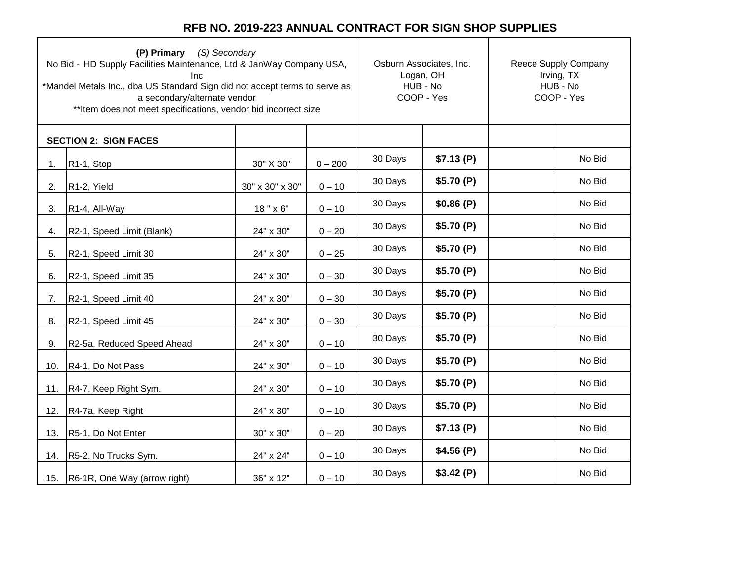| (P) Primary (S) Secondary<br>No Bid - HD Supply Facilities Maintenance, Ltd & JanWay Company USA,<br>Inc<br>*Mandel Metals Inc., dba US Standard Sign did not accept terms to serve as<br>a secondary/alternate vendor<br>** Item does not meet specifications, vendor bid incorrect size |                              |                 | Osburn Associates, Inc.<br>Logan, OH<br>HUB - No<br>COOP - Yes |         | Reece Supply Company<br>Irving, TX<br>HUB - No<br>COOP - Yes |  |        |
|-------------------------------------------------------------------------------------------------------------------------------------------------------------------------------------------------------------------------------------------------------------------------------------------|------------------------------|-----------------|----------------------------------------------------------------|---------|--------------------------------------------------------------|--|--------|
|                                                                                                                                                                                                                                                                                           | <b>SECTION 2: SIGN FACES</b> |                 |                                                                |         |                                                              |  |        |
| 1.                                                                                                                                                                                                                                                                                        | R <sub>1</sub> -1, Stop      | 30" X 30"       | $0 - 200$                                                      | 30 Days | \$7.13(P)                                                    |  | No Bid |
| 2.                                                                                                                                                                                                                                                                                        | R <sub>1</sub> -2, Yield     | 30" x 30" x 30" | $0 - 10$                                                       | 30 Days | \$5.70(P)                                                    |  | No Bid |
| 3.                                                                                                                                                                                                                                                                                        | R1-4, All-Way                | 18" x 6"        | $0 - 10$                                                       | 30 Days | \$0.86(P)                                                    |  | No Bid |
| 4.                                                                                                                                                                                                                                                                                        | R2-1, Speed Limit (Blank)    | 24" x 30"       | $0 - 20$                                                       | 30 Days | \$5.70(P)                                                    |  | No Bid |
| 5.                                                                                                                                                                                                                                                                                        | R2-1, Speed Limit 30         | 24" x 30"       | $0 - 25$                                                       | 30 Days | \$5.70(P)                                                    |  | No Bid |
| 6.                                                                                                                                                                                                                                                                                        | R2-1, Speed Limit 35         | 24" x 30"       | $0 - 30$                                                       | 30 Days | \$5.70(P)                                                    |  | No Bid |
| 7.                                                                                                                                                                                                                                                                                        | R2-1, Speed Limit 40         | 24" x 30"       | $0 - 30$                                                       | 30 Days | \$5.70(P)                                                    |  | No Bid |
| 8.                                                                                                                                                                                                                                                                                        | R2-1, Speed Limit 45         | 24" x 30"       | $0 - 30$                                                       | 30 Days | \$5.70(P)                                                    |  | No Bid |
| 9.                                                                                                                                                                                                                                                                                        | R2-5a, Reduced Speed Ahead   | 24" x 30"       | $0 - 10$                                                       | 30 Days | \$5.70(P)                                                    |  | No Bid |
| 10.                                                                                                                                                                                                                                                                                       | R4-1, Do Not Pass            | 24" x 30"       | $0 - 10$                                                       | 30 Days | \$5.70(P)                                                    |  | No Bid |
| 11.                                                                                                                                                                                                                                                                                       | R4-7, Keep Right Sym.        | 24" x 30"       | $0 - 10$                                                       | 30 Days | \$5.70(P)                                                    |  | No Bid |
| 12.                                                                                                                                                                                                                                                                                       | R4-7a, Keep Right            | 24" x 30"       | $0 - 10$                                                       | 30 Days | \$5.70(P)                                                    |  | No Bid |
| 13.                                                                                                                                                                                                                                                                                       | R5-1, Do Not Enter           | 30" x 30"       | $0 - 20$                                                       | 30 Days | \$7.13(P)                                                    |  | No Bid |
| 14.                                                                                                                                                                                                                                                                                       | R5-2, No Trucks Sym.         | 24" x 24"       | $0 - 10$                                                       | 30 Days | \$4.56(P)                                                    |  | No Bid |
| 15.                                                                                                                                                                                                                                                                                       | R6-1R, One Way (arrow right) | 36" x 12"       | $0 - 10$                                                       | 30 Days | \$3.42(P)                                                    |  | No Bid |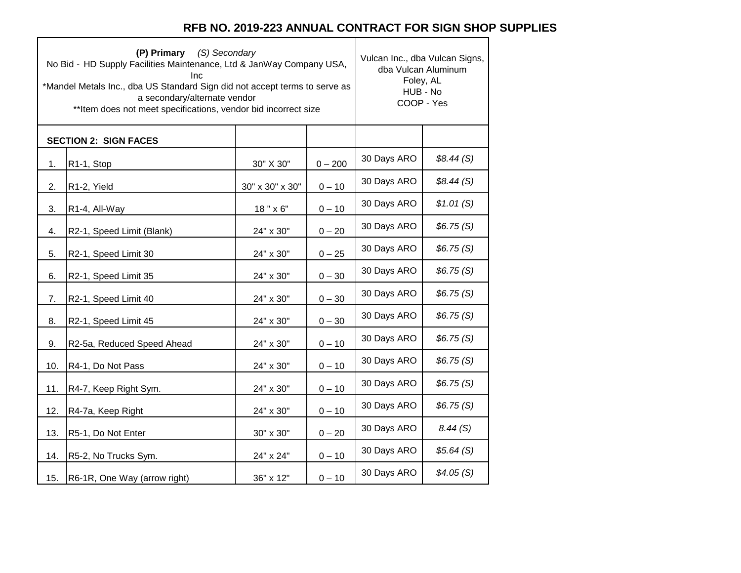٦

 $\top$ 

|     | (P) Primary (S) Secondary<br>No Bid - HD Supply Facilities Maintenance, Ltd & JanWay Company USA,<br>Inc<br>*Mandel Metals Inc., dba US Standard Sign did not accept terms to serve as<br>a secondary/alternate vendor<br>** Item does not meet specifications, vendor bid incorrect size | Vulcan Inc., dba Vulcan Signs,<br>dba Vulcan Aluminum<br>Foley, AL<br>HUB - No<br>COOP - Yes |           |             |           |
|-----|-------------------------------------------------------------------------------------------------------------------------------------------------------------------------------------------------------------------------------------------------------------------------------------------|----------------------------------------------------------------------------------------------|-----------|-------------|-----------|
|     | <b>SECTION 2: SIGN FACES</b>                                                                                                                                                                                                                                                              |                                                                                              |           |             |           |
| 1.  | R1-1, Stop                                                                                                                                                                                                                                                                                | 30" X 30"                                                                                    | $0 - 200$ | 30 Days ARO | \$8.44(S) |
| 2.  | R1-2, Yield                                                                                                                                                                                                                                                                               | 30" x 30" x 30"                                                                              | $0 - 10$  | 30 Days ARO | \$8.44(S) |
| 3.  | R1-4, All-Way                                                                                                                                                                                                                                                                             | 18" x 6"                                                                                     | $0 - 10$  | 30 Days ARO | \$1.01(S) |
| 4.  | R2-1, Speed Limit (Blank)                                                                                                                                                                                                                                                                 | 24" x 30"                                                                                    | $0 - 20$  | 30 Days ARO | \$6.75(S) |
| 5.  | R2-1, Speed Limit 30                                                                                                                                                                                                                                                                      | 24" x 30"                                                                                    | $0 - 25$  | 30 Days ARO | \$6.75(S) |
| 6.  | R2-1, Speed Limit 35                                                                                                                                                                                                                                                                      | 24" x 30"                                                                                    | $0 - 30$  | 30 Days ARO | \$6.75(S) |
| 7.  | R2-1, Speed Limit 40                                                                                                                                                                                                                                                                      | 24" x 30"                                                                                    | $0 - 30$  | 30 Days ARO | \$6.75(S) |
| 8.  | R2-1, Speed Limit 45                                                                                                                                                                                                                                                                      | 24" x 30"                                                                                    | $0 - 30$  | 30 Days ARO | \$6.75(S) |
| 9.  | R2-5a, Reduced Speed Ahead                                                                                                                                                                                                                                                                | 24" x 30"                                                                                    | $0 - 10$  | 30 Days ARO | \$6.75(S) |
| 10. | R4-1, Do Not Pass                                                                                                                                                                                                                                                                         | 24" x 30"                                                                                    | $0 - 10$  | 30 Days ARO | \$6.75(S) |
| 11. | R4-7, Keep Right Sym.                                                                                                                                                                                                                                                                     | 24" x 30"                                                                                    | $0 - 10$  | 30 Days ARO | \$6.75(S) |
| 12. | R4-7a, Keep Right                                                                                                                                                                                                                                                                         | 24" x 30"                                                                                    | $0 - 10$  | 30 Days ARO | \$6.75(S) |
| 13. | R5-1, Do Not Enter                                                                                                                                                                                                                                                                        | 30" x 30"                                                                                    | $0 - 20$  | 30 Days ARO | 8.44(S)   |
| 14. | R5-2, No Trucks Sym.                                                                                                                                                                                                                                                                      | 24" x 24"                                                                                    | $0 - 10$  | 30 Days ARO | \$5.64(S) |
| 15. | R6-1R, One Way (arrow right)                                                                                                                                                                                                                                                              | 36" x 12"                                                                                    | $0 - 10$  | 30 Days ARO | \$4.05(S) |

 $\Gamma$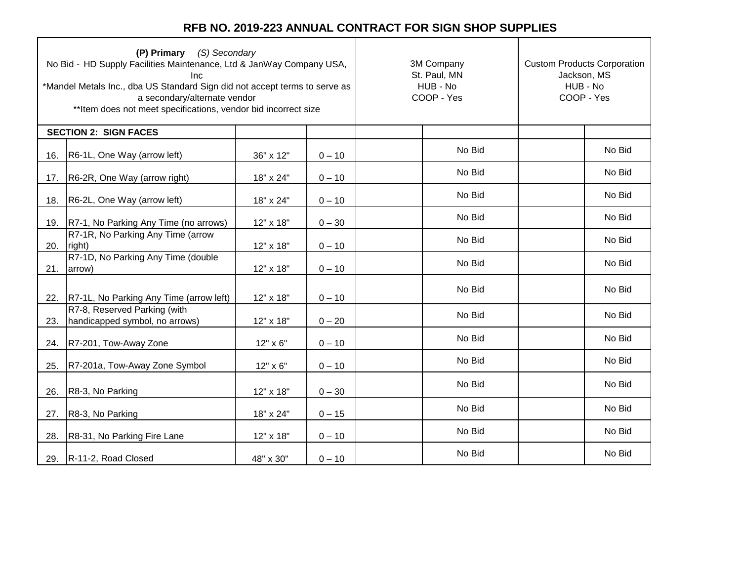| (P) Primary (S) Secondary<br>No Bid - HD Supply Facilities Maintenance, Ltd & JanWay Company USA,<br>Inc<br>*Mandel Metals Inc., dba US Standard Sign did not accept terms to serve as<br>a secondary/alternate vendor<br>** Item does not meet specifications, vendor bid incorrect size |                                                                |           | 3M Company<br>St. Paul, MN<br>HUB - No<br>COOP - Yes | <b>Custom Products Corporation</b><br>Jackson, MS<br>HUB - No<br>COOP - Yes |  |        |
|-------------------------------------------------------------------------------------------------------------------------------------------------------------------------------------------------------------------------------------------------------------------------------------------|----------------------------------------------------------------|-----------|------------------------------------------------------|-----------------------------------------------------------------------------|--|--------|
|                                                                                                                                                                                                                                                                                           | <b>SECTION 2: SIGN FACES</b>                                   |           |                                                      |                                                                             |  |        |
| 16.                                                                                                                                                                                                                                                                                       | R6-1L, One Way (arrow left)                                    | 36" x 12" | $0 - 10$                                             | No Bid                                                                      |  | No Bid |
| 17.                                                                                                                                                                                                                                                                                       | R6-2R, One Way (arrow right)                                   | 18" x 24" | $0 - 10$                                             | No Bid                                                                      |  | No Bid |
| 18.                                                                                                                                                                                                                                                                                       | R6-2L, One Way (arrow left)                                    | 18" x 24" | $0 - 10$                                             | No Bid                                                                      |  | No Bid |
| 19.                                                                                                                                                                                                                                                                                       | R7-1, No Parking Any Time (no arrows)                          | 12" x 18" | $0 - 30$                                             | No Bid                                                                      |  | No Bid |
| 20.                                                                                                                                                                                                                                                                                       | R7-1R, No Parking Any Time (arrow<br>right)                    | 12" x 18" | $0 - 10$                                             | No Bid                                                                      |  | No Bid |
| 21.                                                                                                                                                                                                                                                                                       | R7-1D, No Parking Any Time (double<br>arrow)                   | 12" x 18" | $0 - 10$                                             | No Bid                                                                      |  | No Bid |
| 22.                                                                                                                                                                                                                                                                                       | R7-1L, No Parking Any Time (arrow left)                        | 12" x 18" | $0 - 10$                                             | No Bid                                                                      |  | No Bid |
| 23.                                                                                                                                                                                                                                                                                       | R7-8, Reserved Parking (with<br>handicapped symbol, no arrows) | 12" x 18" | $0 - 20$                                             | No Bid                                                                      |  | No Bid |
| 24.                                                                                                                                                                                                                                                                                       | R7-201, Tow-Away Zone                                          | 12" x 6"  | $0 - 10$                                             | No Bid                                                                      |  | No Bid |
| 25.                                                                                                                                                                                                                                                                                       | R7-201a, Tow-Away Zone Symbol                                  | 12" x 6"  | $0 - 10$                                             | No Bid                                                                      |  | No Bid |
| 26.                                                                                                                                                                                                                                                                                       | R8-3, No Parking                                               | 12" x 18" | $0 - 30$                                             | No Bid                                                                      |  | No Bid |
| 27.                                                                                                                                                                                                                                                                                       | R8-3, No Parking                                               | 18" x 24" | $0 - 15$                                             | No Bid                                                                      |  | No Bid |
| 28.                                                                                                                                                                                                                                                                                       | R8-31, No Parking Fire Lane                                    | 12" x 18" | $0 - 10$                                             | No Bid                                                                      |  | No Bid |
|                                                                                                                                                                                                                                                                                           | 29. R-11-2, Road Closed                                        | 48" x 30" | $0 - 10$                                             | No Bid                                                                      |  | No Bid |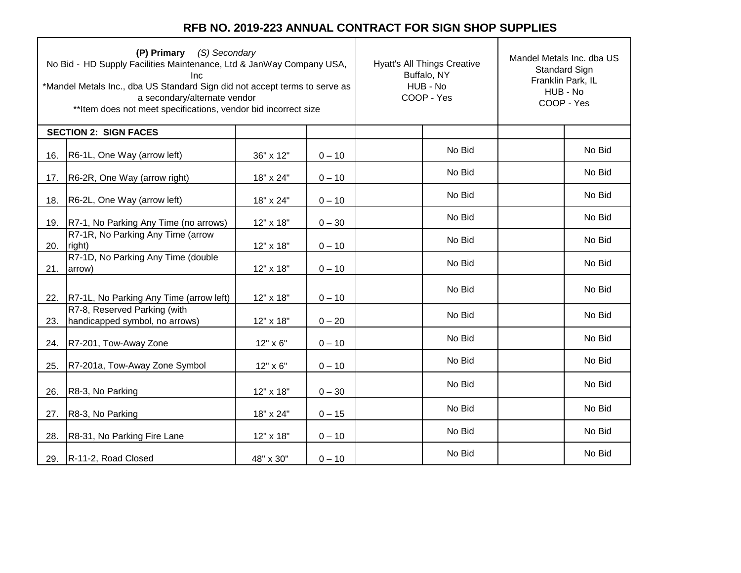| (P) Primary (S) Secondary<br>No Bid - HD Supply Facilities Maintenance, Ltd & JanWay Company USA,<br>Inc<br>*Mandel Metals Inc., dba US Standard Sign did not accept terms to serve as<br>a secondary/alternate vendor<br>** Item does not meet specifications, vendor bid incorrect size |                                                                |           | <b>Hyatt's All Things Creative</b><br>Buffalo, NY<br>HUB - No<br>COOP - Yes | Mandel Metals Inc. dba US<br>Standard Sign<br>Franklin Park, IL<br>HUB - No<br>COOP - Yes |  |        |
|-------------------------------------------------------------------------------------------------------------------------------------------------------------------------------------------------------------------------------------------------------------------------------------------|----------------------------------------------------------------|-----------|-----------------------------------------------------------------------------|-------------------------------------------------------------------------------------------|--|--------|
|                                                                                                                                                                                                                                                                                           | <b>SECTION 2: SIGN FACES</b>                                   |           |                                                                             |                                                                                           |  |        |
| 16.                                                                                                                                                                                                                                                                                       | R6-1L, One Way (arrow left)                                    | 36" x 12" | $0 - 10$                                                                    | No Bid                                                                                    |  | No Bid |
| 17.                                                                                                                                                                                                                                                                                       | R6-2R, One Way (arrow right)                                   | 18" x 24" | $0 - 10$                                                                    | No Bid                                                                                    |  | No Bid |
| 18.                                                                                                                                                                                                                                                                                       | R6-2L, One Way (arrow left)                                    | 18" x 24" | $0 - 10$                                                                    | No Bid                                                                                    |  | No Bid |
| 19.                                                                                                                                                                                                                                                                                       | R7-1, No Parking Any Time (no arrows)                          | 12" x 18" | $0 - 30$                                                                    | No Bid                                                                                    |  | No Bid |
| 20.                                                                                                                                                                                                                                                                                       | R7-1R, No Parking Any Time (arrow<br>right)                    | 12" x 18" | $0 - 10$                                                                    | No Bid                                                                                    |  | No Bid |
| 21.                                                                                                                                                                                                                                                                                       | R7-1D, No Parking Any Time (double<br>arrow)                   | 12" x 18" | $0 - 10$                                                                    | No Bid                                                                                    |  | No Bid |
| 22.                                                                                                                                                                                                                                                                                       | R7-1L, No Parking Any Time (arrow left)                        | 12" x 18" | $0 - 10$                                                                    | No Bid                                                                                    |  | No Bid |
| 23.                                                                                                                                                                                                                                                                                       | R7-8, Reserved Parking (with<br>handicapped symbol, no arrows) | 12" x 18" | $0 - 20$                                                                    | No Bid                                                                                    |  | No Bid |
| 24.                                                                                                                                                                                                                                                                                       | R7-201, Tow-Away Zone                                          | 12" x 6"  | $0 - 10$                                                                    | No Bid                                                                                    |  | No Bid |
| 25.                                                                                                                                                                                                                                                                                       | R7-201a, Tow-Away Zone Symbol                                  | 12" x 6"  | $0 - 10$                                                                    | No Bid                                                                                    |  | No Bid |
| 26.                                                                                                                                                                                                                                                                                       | R8-3, No Parking                                               | 12" x 18" | $0 - 30$                                                                    | No Bid                                                                                    |  | No Bid |
| 27.                                                                                                                                                                                                                                                                                       | R8-3, No Parking                                               | 18" x 24" | $0 - 15$                                                                    | No Bid                                                                                    |  | No Bid |
| 28.                                                                                                                                                                                                                                                                                       | R8-31, No Parking Fire Lane                                    | 12" x 18" | $0 - 10$                                                                    | No Bid                                                                                    |  | No Bid |
|                                                                                                                                                                                                                                                                                           | 29. R-11-2, Road Closed                                        | 48" x 30" | $0 - 10$                                                                    | No Bid                                                                                    |  | No Bid |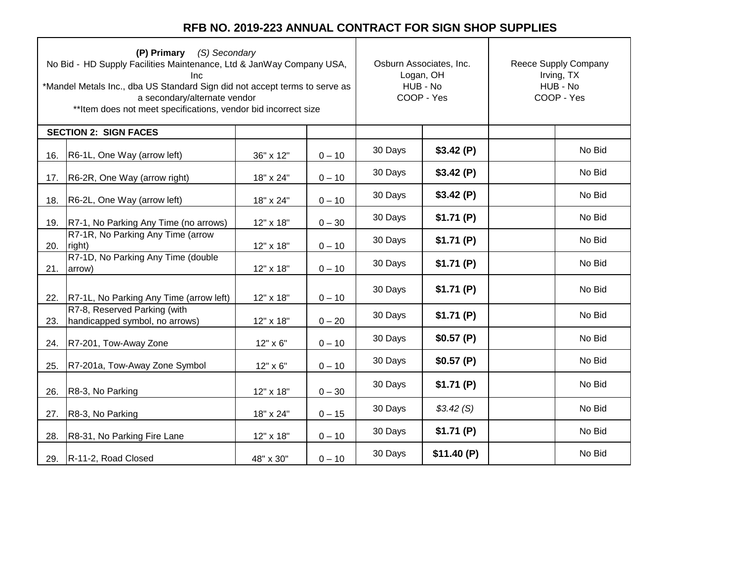|     | (P) Primary (S) Secondary<br>No Bid - HD Supply Facilities Maintenance, Ltd & JanWay Company USA,<br>Inc<br>*Mandel Metals Inc., dba US Standard Sign did not accept terms to serve as<br>a secondary/alternate vendor<br>** Item does not meet specifications, vendor bid incorrect size | Osburn Associates, Inc.<br>Logan, OH<br>HUB - No<br>COOP - Yes |          | Reece Supply Company<br>Irving, TX<br>HUB - No<br>COOP - Yes |            |  |        |
|-----|-------------------------------------------------------------------------------------------------------------------------------------------------------------------------------------------------------------------------------------------------------------------------------------------|----------------------------------------------------------------|----------|--------------------------------------------------------------|------------|--|--------|
|     | <b>SECTION 2: SIGN FACES</b>                                                                                                                                                                                                                                                              |                                                                |          |                                                              |            |  |        |
| 16. | R6-1L, One Way (arrow left)                                                                                                                                                                                                                                                               | 36" x 12"                                                      | $0 - 10$ | 30 Days                                                      | \$3.42(P)  |  | No Bid |
| 17. | R6-2R, One Way (arrow right)                                                                                                                                                                                                                                                              | 18" x 24"                                                      | $0 - 10$ | 30 Days                                                      | \$3.42(P)  |  | No Bid |
| 18. | R6-2L, One Way (arrow left)                                                                                                                                                                                                                                                               | 18" x 24"                                                      | $0 - 10$ | 30 Days                                                      | \$3.42(P)  |  | No Bid |
| 19. | R7-1, No Parking Any Time (no arrows)                                                                                                                                                                                                                                                     | 12" x 18"                                                      | $0 - 30$ | 30 Days                                                      | \$1.71(P)  |  | No Bid |
| 20. | R7-1R, No Parking Any Time (arrow<br>right)                                                                                                                                                                                                                                               | 12" x 18"                                                      | $0 - 10$ | 30 Days                                                      | \$1.71(P)  |  | No Bid |
| 21. | R7-1D, No Parking Any Time (double<br>arrow)                                                                                                                                                                                                                                              | 12" x 18"                                                      | $0 - 10$ | 30 Days                                                      | \$1.71(P)  |  | No Bid |
| 22. | R7-1L, No Parking Any Time (arrow left)                                                                                                                                                                                                                                                   | 12" x 18"                                                      | $0 - 10$ | 30 Days                                                      | \$1.71(P)  |  | No Bid |
| 23. | R7-8, Reserved Parking (with<br>handicapped symbol, no arrows)                                                                                                                                                                                                                            | 12" x 18"                                                      | $0 - 20$ | 30 Days                                                      | \$1.71(P)  |  | No Bid |
| 24. | R7-201, Tow-Away Zone                                                                                                                                                                                                                                                                     | 12" x 6"                                                       | $0 - 10$ | 30 Days                                                      | \$0.57(P)  |  | No Bid |
| 25. | R7-201a, Tow-Away Zone Symbol                                                                                                                                                                                                                                                             | 12" x 6"                                                       | $0 - 10$ | 30 Days                                                      | \$0.57(P)  |  | No Bid |
| 26. | R8-3, No Parking                                                                                                                                                                                                                                                                          | 12" x 18"                                                      | $0 - 30$ | 30 Days                                                      | \$1.71(P)  |  | No Bid |
| 27. | R8-3, No Parking                                                                                                                                                                                                                                                                          | 18" x 24"                                                      | $0 - 15$ | 30 Days                                                      | \$3.42(S)  |  | No Bid |
| 28. | R8-31, No Parking Fire Lane                                                                                                                                                                                                                                                               | 12" x 18"                                                      | $0 - 10$ | 30 Days                                                      | \$1.71(P)  |  | No Bid |
|     | 29. R-11-2, Road Closed                                                                                                                                                                                                                                                                   | 48" x 30"                                                      | $0 - 10$ | 30 Days                                                      | \$11.40(P) |  | No Bid |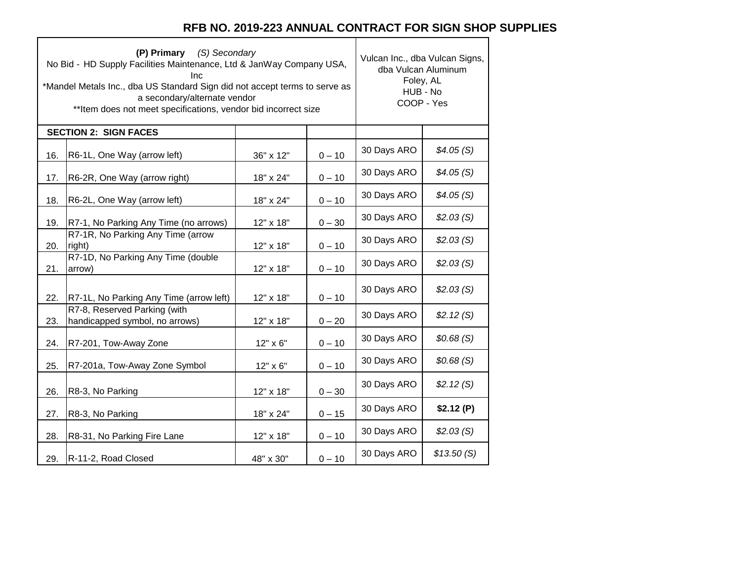|     | (S) Secondary<br>(P) Primary<br>No Bid - HD Supply Facilities Maintenance, Ltd & JanWay Company USA,<br>Inc<br>*Mandel Metals Inc., dba US Standard Sign did not accept terms to serve as<br>a secondary/alternate vendor<br>** Item does not meet specifications, vendor bid incorrect size | Vulcan Inc., dba Vulcan Signs,<br>dba Vulcan Aluminum<br>Foley, AL<br>HUB - No<br>COOP - Yes |          |             |            |
|-----|----------------------------------------------------------------------------------------------------------------------------------------------------------------------------------------------------------------------------------------------------------------------------------------------|----------------------------------------------------------------------------------------------|----------|-------------|------------|
|     | <b>SECTION 2: SIGN FACES</b>                                                                                                                                                                                                                                                                 |                                                                                              |          |             |            |
| 16. | R6-1L, One Way (arrow left)                                                                                                                                                                                                                                                                  | 36" x 12"                                                                                    | $0 - 10$ | 30 Days ARO | \$4.05(S)  |
| 17. | R6-2R, One Way (arrow right)                                                                                                                                                                                                                                                                 | 18" x 24"                                                                                    | $0 - 10$ | 30 Days ARO | \$4.05(S)  |
| 18. | R6-2L, One Way (arrow left)                                                                                                                                                                                                                                                                  | 18" x 24"                                                                                    | $0 - 10$ | 30 Days ARO | \$4.05(S)  |
| 19. | R7-1, No Parking Any Time (no arrows)                                                                                                                                                                                                                                                        | 12" x 18"                                                                                    | $0 - 30$ | 30 Days ARO | \$2.03(S)  |
| 20. | R7-1R, No Parking Any Time (arrow<br>right)                                                                                                                                                                                                                                                  | 12" x 18"                                                                                    | $0 - 10$ | 30 Days ARO | \$2.03(S)  |
| 21. | R7-1D, No Parking Any Time (double<br>arrow)                                                                                                                                                                                                                                                 | 12" x 18"                                                                                    | $0 - 10$ | 30 Days ARO | \$2.03(S)  |
| 22. | R7-1L, No Parking Any Time (arrow left)                                                                                                                                                                                                                                                      | 12" x 18"                                                                                    | $0 - 10$ | 30 Days ARO | \$2.03(S)  |
| 23. | R7-8, Reserved Parking (with<br>handicapped symbol, no arrows)                                                                                                                                                                                                                               | 12" x 18"                                                                                    | $0 - 20$ | 30 Days ARO | \$2.12(S)  |
| 24. | R7-201, Tow-Away Zone                                                                                                                                                                                                                                                                        | 12" x 6"                                                                                     | $0 - 10$ | 30 Days ARO | \$0.68(S)  |
| 25. | R7-201a, Tow-Away Zone Symbol                                                                                                                                                                                                                                                                | 12" x 6"                                                                                     | $0 - 10$ | 30 Days ARO | \$0.68(S)  |
| 26. | R8-3, No Parking                                                                                                                                                                                                                                                                             | 12" x 18"                                                                                    | $0 - 30$ | 30 Days ARO | \$2.12(S)  |
| 27. | R8-3, No Parking                                                                                                                                                                                                                                                                             | 18" x 24"                                                                                    | $0 - 15$ | 30 Days ARO | \$2.12(P)  |
| 28. | R8-31, No Parking Fire Lane                                                                                                                                                                                                                                                                  | 12" x 18"                                                                                    | $0 - 10$ | 30 Days ARO | \$2.03(S)  |
| 29. | R-11-2, Road Closed                                                                                                                                                                                                                                                                          | 48" x 30"                                                                                    | $0 - 10$ | 30 Days ARO | \$13.50(S) |

Г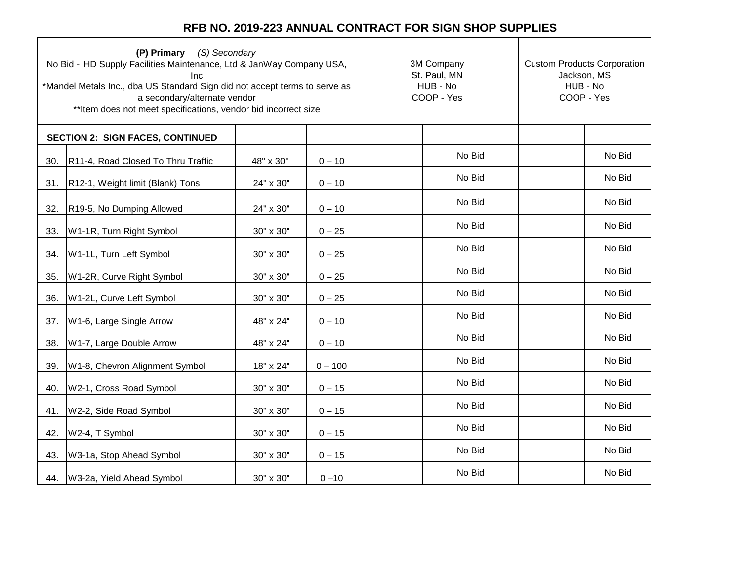| (P) Primary (S) Secondary<br>No Bid - HD Supply Facilities Maintenance, Ltd & JanWay Company USA,<br><b>Inc</b><br>*Mandel Metals Inc., dba US Standard Sign did not accept terms to serve as<br>a secondary/alternate vendor<br>** Item does not meet specifications, vendor bid incorrect size |                                         |           | 3M Company<br>St. Paul, MN<br>HUB - No<br>COOP - Yes | <b>Custom Products Corporation</b><br>Jackson, MS<br>HUB - No<br>COOP - Yes |  |        |
|--------------------------------------------------------------------------------------------------------------------------------------------------------------------------------------------------------------------------------------------------------------------------------------------------|-----------------------------------------|-----------|------------------------------------------------------|-----------------------------------------------------------------------------|--|--------|
|                                                                                                                                                                                                                                                                                                  | <b>SECTION 2: SIGN FACES, CONTINUED</b> |           |                                                      |                                                                             |  |        |
| 30.                                                                                                                                                                                                                                                                                              | R11-4, Road Closed To Thru Traffic      | 48" x 30" | $0 - 10$                                             | No Bid                                                                      |  | No Bid |
| 31.                                                                                                                                                                                                                                                                                              | R12-1, Weight limit (Blank) Tons        | 24" x 30" | $0 - 10$                                             | No Bid                                                                      |  | No Bid |
| 32.                                                                                                                                                                                                                                                                                              | R19-5, No Dumping Allowed               | 24" x 30" | $0 - 10$                                             | No Bid                                                                      |  | No Bid |
| 33.                                                                                                                                                                                                                                                                                              | W1-1R, Turn Right Symbol                | 30" x 30" | $0 - 25$                                             | No Bid                                                                      |  | No Bid |
| 34.                                                                                                                                                                                                                                                                                              | W1-1L, Turn Left Symbol                 | 30" x 30" | $0 - 25$                                             | No Bid                                                                      |  | No Bid |
| 35.                                                                                                                                                                                                                                                                                              | W1-2R, Curve Right Symbol               | 30" x 30" | $0 - 25$                                             | No Bid                                                                      |  | No Bid |
| 36.                                                                                                                                                                                                                                                                                              | W1-2L, Curve Left Symbol                | 30" x 30" | $0 - 25$                                             | No Bid                                                                      |  | No Bid |
| 37.                                                                                                                                                                                                                                                                                              | W1-6, Large Single Arrow                | 48" x 24" | $0 - 10$                                             | No Bid                                                                      |  | No Bid |
| 38.                                                                                                                                                                                                                                                                                              | W1-7, Large Double Arrow                | 48" x 24" | $0 - 10$                                             | No Bid                                                                      |  | No Bid |
| 39.                                                                                                                                                                                                                                                                                              | W1-8, Chevron Alignment Symbol          | 18" x 24" | $0 - 100$                                            | No Bid                                                                      |  | No Bid |
| 40.                                                                                                                                                                                                                                                                                              | W2-1, Cross Road Symbol                 | 30" x 30" | $0 - 15$                                             | No Bid                                                                      |  | No Bid |
| 41.                                                                                                                                                                                                                                                                                              | W2-2, Side Road Symbol                  | 30" x 30" | $0 - 15$                                             | No Bid                                                                      |  | No Bid |
| 42.                                                                                                                                                                                                                                                                                              | W2-4, T Symbol                          | 30" x 30" | $0 - 15$                                             | No Bid                                                                      |  | No Bid |
| 43.                                                                                                                                                                                                                                                                                              | W3-1a, Stop Ahead Symbol                | 30" x 30" | $0 - 15$                                             | No Bid                                                                      |  | No Bid |
|                                                                                                                                                                                                                                                                                                  | 44. W3-2a, Yield Ahead Symbol           | 30" x 30" | $0 - 10$                                             | No Bid                                                                      |  | No Bid |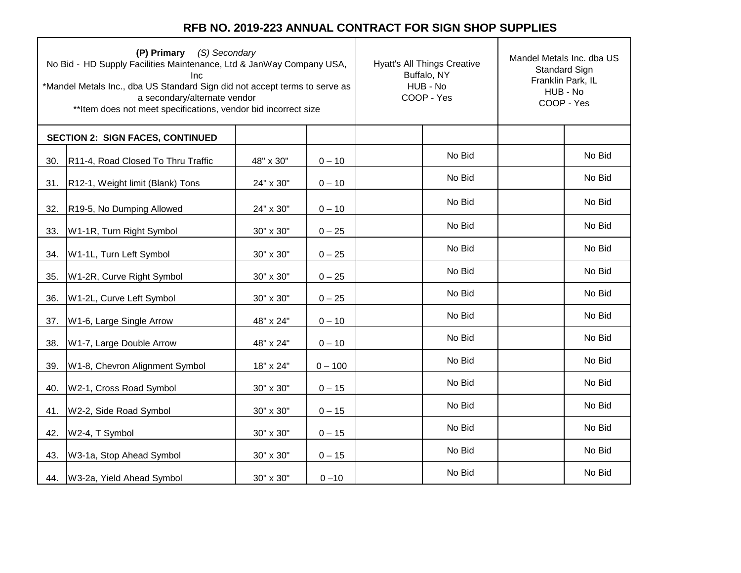| (P) Primary (S) Secondary<br>No Bid - HD Supply Facilities Maintenance, Ltd & JanWay Company USA,<br><b>Inc</b><br>*Mandel Metals Inc., dba US Standard Sign did not accept terms to serve as<br>a secondary/alternate vendor<br>** Item does not meet specifications, vendor bid incorrect size |                                         |           | <b>Hyatt's All Things Creative</b><br>Buffalo, NY<br>HUB - No<br>COOP - Yes | Mandel Metals Inc. dba US<br><b>Standard Sign</b><br>Franklin Park, IL<br>HUB - No<br>COOP - Yes |  |        |
|--------------------------------------------------------------------------------------------------------------------------------------------------------------------------------------------------------------------------------------------------------------------------------------------------|-----------------------------------------|-----------|-----------------------------------------------------------------------------|--------------------------------------------------------------------------------------------------|--|--------|
|                                                                                                                                                                                                                                                                                                  | <b>SECTION 2: SIGN FACES, CONTINUED</b> |           |                                                                             |                                                                                                  |  |        |
| 30.                                                                                                                                                                                                                                                                                              | R11-4, Road Closed To Thru Traffic      | 48" x 30" | $0 - 10$                                                                    | No Bid                                                                                           |  | No Bid |
| 31.                                                                                                                                                                                                                                                                                              | R12-1, Weight limit (Blank) Tons        | 24" x 30" | $0 - 10$                                                                    | No Bid                                                                                           |  | No Bid |
| 32.                                                                                                                                                                                                                                                                                              | R19-5, No Dumping Allowed               | 24" x 30" | $0 - 10$                                                                    | No Bid                                                                                           |  | No Bid |
| 33.                                                                                                                                                                                                                                                                                              | W1-1R, Turn Right Symbol                | 30" x 30" | $0 - 25$                                                                    | No Bid                                                                                           |  | No Bid |
| 34.                                                                                                                                                                                                                                                                                              | W1-1L, Turn Left Symbol                 | 30" x 30" | $0 - 25$                                                                    | No Bid                                                                                           |  | No Bid |
| 35.                                                                                                                                                                                                                                                                                              | W1-2R, Curve Right Symbol               | 30" x 30" | $0 - 25$                                                                    | No Bid                                                                                           |  | No Bid |
| 36.                                                                                                                                                                                                                                                                                              | W1-2L, Curve Left Symbol                | 30" x 30" | $0 - 25$                                                                    | No Bid                                                                                           |  | No Bid |
| 37.                                                                                                                                                                                                                                                                                              | W1-6, Large Single Arrow                | 48" x 24" | $0 - 10$                                                                    | No Bid                                                                                           |  | No Bid |
| 38.                                                                                                                                                                                                                                                                                              | W1-7, Large Double Arrow                | 48" x 24" | $0 - 10$                                                                    | No Bid                                                                                           |  | No Bid |
| 39.                                                                                                                                                                                                                                                                                              | W1-8, Chevron Alignment Symbol          | 18" x 24" | $0 - 100$                                                                   | No Bid                                                                                           |  | No Bid |
| 40.                                                                                                                                                                                                                                                                                              | W2-1, Cross Road Symbol                 | 30" x 30" | $0 - 15$                                                                    | No Bid                                                                                           |  | No Bid |
| 41.                                                                                                                                                                                                                                                                                              | W2-2, Side Road Symbol                  | 30" x 30" | $0 - 15$                                                                    | No Bid                                                                                           |  | No Bid |
| 42.                                                                                                                                                                                                                                                                                              | W2-4, T Symbol                          | 30" x 30" | $0 - 15$                                                                    | No Bid                                                                                           |  | No Bid |
| 43.                                                                                                                                                                                                                                                                                              | W3-1a, Stop Ahead Symbol                | 30" x 30" | $0 - 15$                                                                    | No Bid                                                                                           |  | No Bid |
|                                                                                                                                                                                                                                                                                                  | 44. W3-2a, Yield Ahead Symbol           | 30" x 30" | $0 - 10$                                                                    | No Bid                                                                                           |  | No Bid |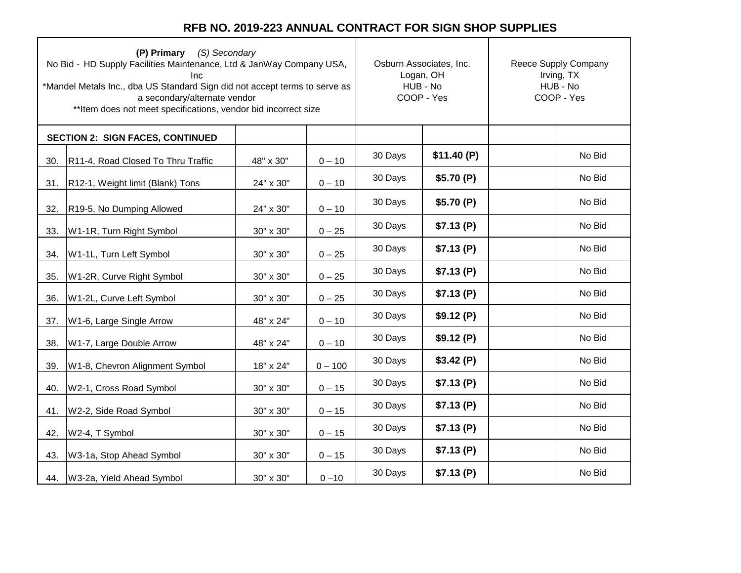| (P) Primary (S) Secondary<br>No Bid - HD Supply Facilities Maintenance, Ltd & JanWay Company USA,<br><b>Inc</b><br>*Mandel Metals Inc., dba US Standard Sign did not accept terms to serve as<br>a secondary/alternate vendor<br>** Item does not meet specifications, vendor bid incorrect size |                                         |           |           | Osburn Associates, Inc.<br>Logan, OH<br>HUB - No<br>COOP - Yes |            | Reece Supply Company<br>Irving, TX<br>HUB - No<br>COOP - Yes |        |
|--------------------------------------------------------------------------------------------------------------------------------------------------------------------------------------------------------------------------------------------------------------------------------------------------|-----------------------------------------|-----------|-----------|----------------------------------------------------------------|------------|--------------------------------------------------------------|--------|
|                                                                                                                                                                                                                                                                                                  | <b>SECTION 2: SIGN FACES, CONTINUED</b> |           |           |                                                                |            |                                                              |        |
| 30.                                                                                                                                                                                                                                                                                              | R11-4, Road Closed To Thru Traffic      | 48" x 30" | $0 - 10$  | 30 Days                                                        | \$11.40(P) |                                                              | No Bid |
| 31.                                                                                                                                                                                                                                                                                              | R12-1, Weight limit (Blank) Tons        | 24" x 30" | $0 - 10$  | 30 Days                                                        | \$5.70(P)  |                                                              | No Bid |
| 32.                                                                                                                                                                                                                                                                                              | R19-5, No Dumping Allowed               | 24" x 30" | $0 - 10$  | 30 Days                                                        | \$5.70(P)  |                                                              | No Bid |
| 33.                                                                                                                                                                                                                                                                                              | W1-1R, Turn Right Symbol                | 30" x 30" | $0 - 25$  | 30 Days                                                        | \$7.13(P)  |                                                              | No Bid |
| 34.                                                                                                                                                                                                                                                                                              | W1-1L, Turn Left Symbol                 | 30" x 30" | $0 - 25$  | 30 Days                                                        | \$7.13(P)  |                                                              | No Bid |
| 35.                                                                                                                                                                                                                                                                                              | W1-2R, Curve Right Symbol               | 30" x 30" | $0 - 25$  | 30 Days                                                        | \$7.13(P)  |                                                              | No Bid |
| 36.                                                                                                                                                                                                                                                                                              | W1-2L, Curve Left Symbol                | 30" x 30" | $0 - 25$  | 30 Days                                                        | \$7.13(P)  |                                                              | No Bid |
| 37.                                                                                                                                                                                                                                                                                              | W1-6, Large Single Arrow                | 48" x 24" | $0 - 10$  | 30 Days                                                        | \$9.12(P)  |                                                              | No Bid |
| 38.                                                                                                                                                                                                                                                                                              | W1-7, Large Double Arrow                | 48" x 24" | $0 - 10$  | 30 Days                                                        | \$9.12(P)  |                                                              | No Bid |
| 39.                                                                                                                                                                                                                                                                                              | W1-8, Chevron Alignment Symbol          | 18" x 24" | $0 - 100$ | 30 Days                                                        | \$3.42(P)  |                                                              | No Bid |
| 40.                                                                                                                                                                                                                                                                                              | W2-1, Cross Road Symbol                 | 30" x 30" | $0 - 15$  | 30 Days                                                        | \$7.13(P)  |                                                              | No Bid |
| 41.                                                                                                                                                                                                                                                                                              | W2-2, Side Road Symbol                  | 30" x 30" | $0 - 15$  | 30 Days                                                        | \$7.13(P)  |                                                              | No Bid |
| 42.                                                                                                                                                                                                                                                                                              | W2-4, T Symbol                          | 30" x 30" | $0 - 15$  | 30 Days                                                        | \$7.13(P)  |                                                              | No Bid |
| 43.                                                                                                                                                                                                                                                                                              | W3-1a, Stop Ahead Symbol                | 30" x 30" | $0 - 15$  | 30 Days                                                        | \$7.13(P)  |                                                              | No Bid |
| 44.                                                                                                                                                                                                                                                                                              | W3-2a, Yield Ahead Symbol               | 30" x 30" | $0 - 10$  | 30 Days                                                        | \$7.13(P)  |                                                              | No Bid |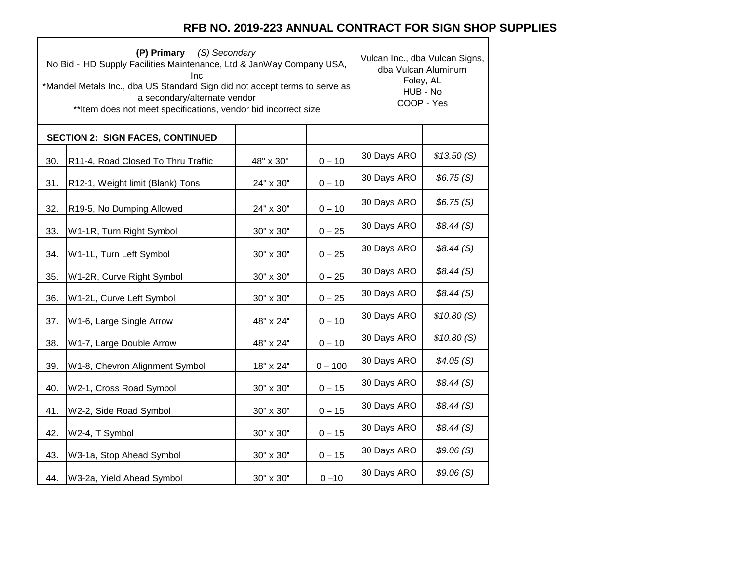٦

 $\top$ 

|     | (P) Primary (S) Secondary<br>No Bid - HD Supply Facilities Maintenance, Ltd & JanWay Company USA,<br>Inc<br>*Mandel Metals Inc., dba US Standard Sign did not accept terms to serve as<br>a secondary/alternate vendor<br>** Item does not meet specifications, vendor bid incorrect size | Vulcan Inc., dba Vulcan Signs,<br>dba Vulcan Aluminum<br>Foley, AL<br>HUB - No<br>COOP - Yes |           |             |            |
|-----|-------------------------------------------------------------------------------------------------------------------------------------------------------------------------------------------------------------------------------------------------------------------------------------------|----------------------------------------------------------------------------------------------|-----------|-------------|------------|
|     | <b>SECTION 2: SIGN FACES, CONTINUED</b>                                                                                                                                                                                                                                                   |                                                                                              |           |             |            |
| 30. | R11-4, Road Closed To Thru Traffic                                                                                                                                                                                                                                                        | 48" x 30"                                                                                    | $0 - 10$  | 30 Days ARO | \$13.50(S) |
| 31. | R12-1, Weight limit (Blank) Tons                                                                                                                                                                                                                                                          | 24" x 30"                                                                                    | $0 - 10$  | 30 Days ARO | \$6.75(S)  |
| 32. | R19-5, No Dumping Allowed                                                                                                                                                                                                                                                                 | 24" x 30"                                                                                    | $0 - 10$  | 30 Days ARO | \$6.75(S)  |
| 33. | W1-1R, Turn Right Symbol                                                                                                                                                                                                                                                                  | 30" x 30"                                                                                    | $0 - 25$  | 30 Days ARO | \$8.44(S)  |
| 34. | W1-1L, Turn Left Symbol                                                                                                                                                                                                                                                                   | 30" x 30"                                                                                    | $0 - 25$  | 30 Days ARO | \$8.44(S)  |
| 35. | W1-2R, Curve Right Symbol                                                                                                                                                                                                                                                                 | 30" x 30"                                                                                    | $0 - 25$  | 30 Days ARO | \$8.44(S)  |
| 36. | W1-2L, Curve Left Symbol                                                                                                                                                                                                                                                                  | 30" x 30"                                                                                    | $0 - 25$  | 30 Days ARO | \$8.44(S)  |
| 37. | W1-6, Large Single Arrow                                                                                                                                                                                                                                                                  | 48" x 24"                                                                                    | $0 - 10$  | 30 Days ARO | \$10.80(S) |
| 38. | W1-7, Large Double Arrow                                                                                                                                                                                                                                                                  | 48" x 24"                                                                                    | $0 - 10$  | 30 Days ARO | \$10.80(S) |
| 39. | W1-8, Chevron Alignment Symbol                                                                                                                                                                                                                                                            | 18" x 24"                                                                                    | $0 - 100$ | 30 Days ARO | \$4.05(S)  |
| 40. | W2-1, Cross Road Symbol                                                                                                                                                                                                                                                                   | $30" \times 30"$                                                                             | $0 - 15$  | 30 Days ARO | \$8.44(S)  |
| 41. | W2-2, Side Road Symbol                                                                                                                                                                                                                                                                    | 30" x 30"                                                                                    | $0 - 15$  | 30 Days ARO | \$8.44(S)  |
| 42. | W2-4, T Symbol                                                                                                                                                                                                                                                                            | 30" x 30"                                                                                    | $0 - 15$  | 30 Days ARO | \$8.44(S)  |
| 43. | W3-1a, Stop Ahead Symbol                                                                                                                                                                                                                                                                  | 30" x 30"                                                                                    | $0 - 15$  | 30 Days ARO | \$9.06(S)  |
| 44. | W3-2a, Yield Ahead Symbol                                                                                                                                                                                                                                                                 | 30" x 30"                                                                                    | $0 - 10$  | 30 Days ARO | \$9.06(S)  |

 $\Gamma$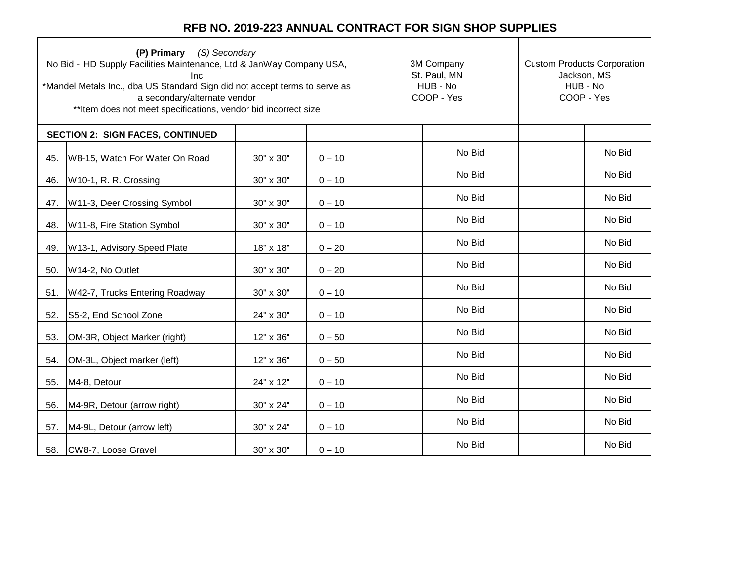ㄱ

| (P) Primary (S) Secondary<br>No Bid - HD Supply Facilities Maintenance, Ltd & JanWay Company USA,<br>Inc<br>*Mandel Metals Inc., dba US Standard Sign did not accept terms to serve as<br>a secondary/alternate vendor<br>** Item does not meet specifications, vendor bid incorrect size |                                         |           | 3M Company<br>St. Paul, MN<br>HUB - No<br>COOP - Yes | <b>Custom Products Corporation</b><br>Jackson, MS<br>HUB - No<br>COOP - Yes |  |        |
|-------------------------------------------------------------------------------------------------------------------------------------------------------------------------------------------------------------------------------------------------------------------------------------------|-----------------------------------------|-----------|------------------------------------------------------|-----------------------------------------------------------------------------|--|--------|
|                                                                                                                                                                                                                                                                                           | <b>SECTION 2: SIGN FACES, CONTINUED</b> |           |                                                      |                                                                             |  |        |
| 45.                                                                                                                                                                                                                                                                                       | W8-15, Watch For Water On Road          | 30" x 30" | $0 - 10$                                             | No Bid                                                                      |  | No Bid |
| 46.                                                                                                                                                                                                                                                                                       | W10-1, R. R. Crossing                   | 30" x 30" | $0 - 10$                                             | No Bid                                                                      |  | No Bid |
| 47.                                                                                                                                                                                                                                                                                       | W11-3, Deer Crossing Symbol             | 30" x 30" | $0 - 10$                                             | No Bid                                                                      |  | No Bid |
| 48.                                                                                                                                                                                                                                                                                       | W11-8, Fire Station Symbol              | 30" x 30" | $0 - 10$                                             | No Bid                                                                      |  | No Bid |
| 49.                                                                                                                                                                                                                                                                                       | W13-1, Advisory Speed Plate             | 18" x 18" | $0 - 20$                                             | No Bid                                                                      |  | No Bid |
| 50.                                                                                                                                                                                                                                                                                       | W14-2, No Outlet                        | 30" x 30" | $0 - 20$                                             | No Bid                                                                      |  | No Bid |
| 51.                                                                                                                                                                                                                                                                                       | W42-7, Trucks Entering Roadway          | 30" x 30" | $0 - 10$                                             | No Bid                                                                      |  | No Bid |
| 52.                                                                                                                                                                                                                                                                                       | S5-2, End School Zone                   | 24" x 30" | $0 - 10$                                             | No Bid                                                                      |  | No Bid |
| 53.                                                                                                                                                                                                                                                                                       | OM-3R, Object Marker (right)            | 12" x 36" | $0 - 50$                                             | No Bid                                                                      |  | No Bid |
| 54.                                                                                                                                                                                                                                                                                       | OM-3L, Object marker (left)             | 12" x 36" | $0 - 50$                                             | No Bid                                                                      |  | No Bid |
| 55.                                                                                                                                                                                                                                                                                       | M4-8, Detour                            | 24" x 12" | $0 - 10$                                             | No Bid                                                                      |  | No Bid |
| 56.                                                                                                                                                                                                                                                                                       | M4-9R, Detour (arrow right)             | 30" x 24" | $0 - 10$                                             | No Bid                                                                      |  | No Bid |
| 57.                                                                                                                                                                                                                                                                                       | M4-9L, Detour (arrow left)              | 30" x 24" | $0 - 10$                                             | No Bid                                                                      |  | No Bid |
| 58.                                                                                                                                                                                                                                                                                       | CW8-7, Loose Gravel                     | 30" x 30" | $0 - 10$                                             | No Bid                                                                      |  | No Bid |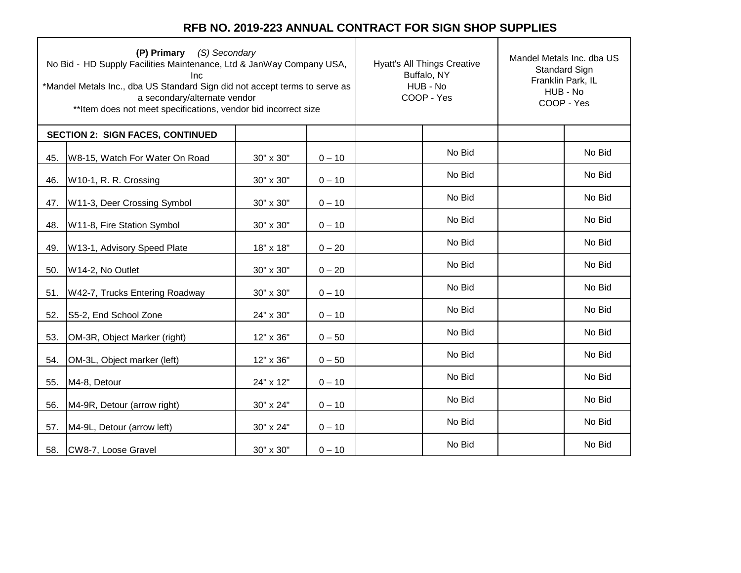| (P) Primary (S) Secondary<br>No Bid - HD Supply Facilities Maintenance, Ltd & JanWay Company USA,<br>Inc<br>*Mandel Metals Inc., dba US Standard Sign did not accept terms to serve as<br>a secondary/alternate vendor<br>** Item does not meet specifications, vendor bid incorrect size |                                         |           |          | <b>Hyatt's All Things Creative</b><br>Buffalo, NY<br>HUB - No<br>COOP - Yes | Mandel Metals Inc. dba US<br><b>Standard Sign</b><br>Franklin Park, IL<br>HUB - No<br>COOP - Yes |        |
|-------------------------------------------------------------------------------------------------------------------------------------------------------------------------------------------------------------------------------------------------------------------------------------------|-----------------------------------------|-----------|----------|-----------------------------------------------------------------------------|--------------------------------------------------------------------------------------------------|--------|
|                                                                                                                                                                                                                                                                                           | <b>SECTION 2: SIGN FACES, CONTINUED</b> |           |          |                                                                             |                                                                                                  |        |
| 45.                                                                                                                                                                                                                                                                                       | W8-15, Watch For Water On Road          | 30" x 30" | $0 - 10$ | No Bid                                                                      |                                                                                                  | No Bid |
| 46.                                                                                                                                                                                                                                                                                       | W10-1, R. R. Crossing                   | 30" x 30" | $0 - 10$ | No Bid                                                                      |                                                                                                  | No Bid |
| 47.                                                                                                                                                                                                                                                                                       | W11-3, Deer Crossing Symbol             | 30" x 30" | $0 - 10$ | No Bid                                                                      |                                                                                                  | No Bid |
| 48.                                                                                                                                                                                                                                                                                       | W11-8, Fire Station Symbol              | 30" x 30" | $0 - 10$ | No Bid                                                                      |                                                                                                  | No Bid |
| 49.                                                                                                                                                                                                                                                                                       | W13-1, Advisory Speed Plate             | 18" x 18" | $0 - 20$ | No Bid                                                                      |                                                                                                  | No Bid |
| 50.                                                                                                                                                                                                                                                                                       | W14-2, No Outlet                        | 30" x 30" | $0 - 20$ | No Bid                                                                      |                                                                                                  | No Bid |
| 51.                                                                                                                                                                                                                                                                                       | W42-7, Trucks Entering Roadway          | 30" x 30" | $0 - 10$ | No Bid                                                                      |                                                                                                  | No Bid |
| 52.                                                                                                                                                                                                                                                                                       | S5-2, End School Zone                   | 24" x 30" | $0 - 10$ | No Bid                                                                      |                                                                                                  | No Bid |
| 53.                                                                                                                                                                                                                                                                                       | OM-3R, Object Marker (right)            | 12" x 36" | $0 - 50$ | No Bid                                                                      |                                                                                                  | No Bid |
| 54.                                                                                                                                                                                                                                                                                       | OM-3L, Object marker (left)             | 12" x 36" | $0 - 50$ | No Bid                                                                      |                                                                                                  | No Bid |
| 55.                                                                                                                                                                                                                                                                                       | M4-8, Detour                            | 24" x 12" | $0 - 10$ | No Bid                                                                      |                                                                                                  | No Bid |
| 56.                                                                                                                                                                                                                                                                                       | M4-9R, Detour (arrow right)             | 30" x 24" | $0 - 10$ | No Bid                                                                      |                                                                                                  | No Bid |
| 57.                                                                                                                                                                                                                                                                                       | M4-9L, Detour (arrow left)              | 30" x 24" | $0 - 10$ | No Bid                                                                      |                                                                                                  | No Bid |
| 58.                                                                                                                                                                                                                                                                                       | CW8-7, Loose Gravel                     | 30" x 30" | $0 - 10$ | No Bid                                                                      |                                                                                                  | No Bid |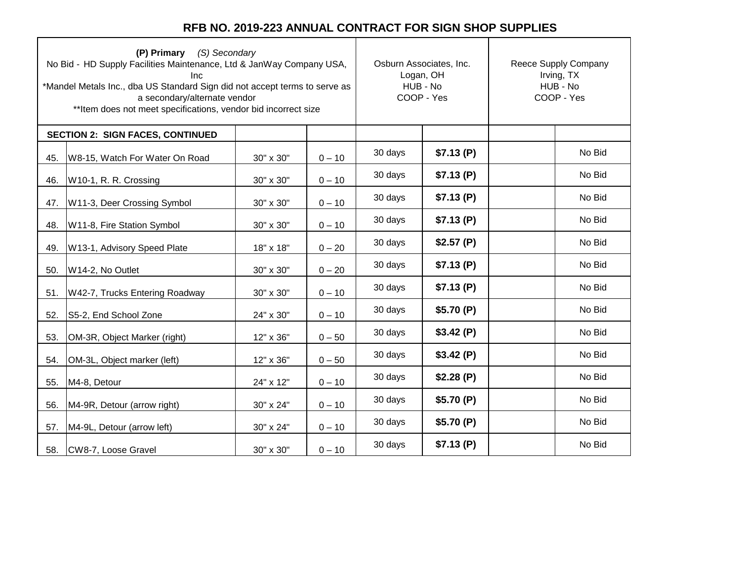|     | (P) Primary (S) Secondary<br>No Bid - HD Supply Facilities Maintenance, Ltd & JanWay Company USA,<br>Inc<br>*Mandel Metals Inc., dba US Standard Sign did not accept terms to serve as<br>a secondary/alternate vendor<br>** Item does not meet specifications, vendor bid incorrect size | Osburn Associates, Inc.<br>Logan, OH<br>HUB - No<br>COOP - Yes |          | Reece Supply Company<br>Irving, TX<br>HUB - No<br>COOP - Yes |           |  |        |
|-----|-------------------------------------------------------------------------------------------------------------------------------------------------------------------------------------------------------------------------------------------------------------------------------------------|----------------------------------------------------------------|----------|--------------------------------------------------------------|-----------|--|--------|
|     | <b>SECTION 2: SIGN FACES, CONTINUED</b>                                                                                                                                                                                                                                                   |                                                                |          |                                                              |           |  |        |
| 45. | W8-15, Watch For Water On Road                                                                                                                                                                                                                                                            | 30" x 30"                                                      | $0 - 10$ | 30 days                                                      | \$7.13(P) |  | No Bid |
| 46. | W10-1, R. R. Crossing                                                                                                                                                                                                                                                                     | 30" x 30"                                                      | $0 - 10$ | 30 days                                                      | \$7.13(P) |  | No Bid |
| 47. | W11-3, Deer Crossing Symbol                                                                                                                                                                                                                                                               | 30" x 30"                                                      | $0 - 10$ | 30 days                                                      | \$7.13(P) |  | No Bid |
| 48. | W11-8, Fire Station Symbol                                                                                                                                                                                                                                                                | 30" x 30"                                                      | $0 - 10$ | 30 days                                                      | \$7.13(P) |  | No Bid |
| 49. | W13-1, Advisory Speed Plate                                                                                                                                                                                                                                                               | 18" x 18"                                                      | $0 - 20$ | 30 days                                                      | \$2.57(P) |  | No Bid |
| 50. | W14-2, No Outlet                                                                                                                                                                                                                                                                          | 30" x 30"                                                      | $0 - 20$ | 30 days                                                      | \$7.13(P) |  | No Bid |
| 51. | W42-7, Trucks Entering Roadway                                                                                                                                                                                                                                                            | 30" x 30"                                                      | $0 - 10$ | 30 days                                                      | \$7.13(P) |  | No Bid |
| 52. | S5-2, End School Zone                                                                                                                                                                                                                                                                     | 24" x 30"                                                      | $0 - 10$ | 30 days                                                      | \$5.70(P) |  | No Bid |
| 53. | OM-3R, Object Marker (right)                                                                                                                                                                                                                                                              | 12" x 36"                                                      | $0 - 50$ | 30 days                                                      | \$3.42(P) |  | No Bid |
| 54. | OM-3L, Object marker (left)                                                                                                                                                                                                                                                               | 12" x 36"                                                      | $0 - 50$ | 30 days                                                      | \$3.42(P) |  | No Bid |
| 55. | M4-8, Detour                                                                                                                                                                                                                                                                              | 24" x 12"                                                      | $0 - 10$ | 30 days                                                      | \$2.28(P) |  | No Bid |
| 56. | M4-9R, Detour (arrow right)                                                                                                                                                                                                                                                               | 30" x 24"                                                      | $0 - 10$ | 30 days                                                      | \$5.70(P) |  | No Bid |
| 57. | M4-9L, Detour (arrow left)                                                                                                                                                                                                                                                                | 30" x 24"                                                      | $0 - 10$ | 30 days                                                      | \$5.70(P) |  | No Bid |
| 58. | CW8-7, Loose Gravel                                                                                                                                                                                                                                                                       | 30" x 30"                                                      | $0 - 10$ | 30 days                                                      | \$7.13(P) |  | No Bid |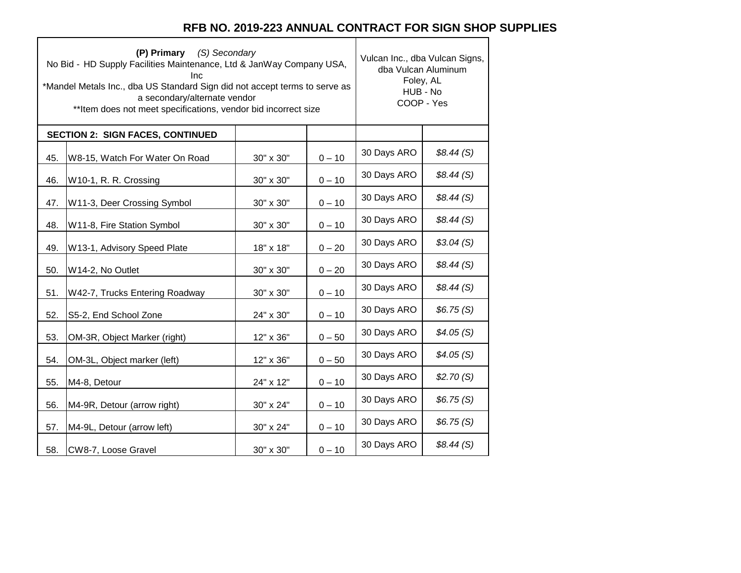┑

|     | (P) Primary (S) Secondary<br>No Bid - HD Supply Facilities Maintenance, Ltd & JanWay Company USA,<br>Inc<br>*Mandel Metals Inc., dba US Standard Sign did not accept terms to serve as<br>a secondary/alternate vendor<br>** Item does not meet specifications, vendor bid incorrect size | Vulcan Inc., dba Vulcan Signs,<br>dba Vulcan Aluminum<br>Foley, AL<br>HUB - No<br>COOP - Yes |          |             |           |
|-----|-------------------------------------------------------------------------------------------------------------------------------------------------------------------------------------------------------------------------------------------------------------------------------------------|----------------------------------------------------------------------------------------------|----------|-------------|-----------|
|     | <b>SECTION 2: SIGN FACES, CONTINUED</b>                                                                                                                                                                                                                                                   |                                                                                              |          |             |           |
| 45. | W8-15, Watch For Water On Road                                                                                                                                                                                                                                                            | 30" x 30"                                                                                    | $0 - 10$ | 30 Days ARO | \$8.44(S) |
| 46. | W10-1, R. R. Crossing                                                                                                                                                                                                                                                                     | 30" x 30"                                                                                    | $0 - 10$ | 30 Days ARO | \$8.44(S) |
| 47. | W11-3, Deer Crossing Symbol                                                                                                                                                                                                                                                               | 30" x 30"                                                                                    | $0 - 10$ | 30 Days ARO | \$8.44(S) |
| 48. | W11-8, Fire Station Symbol                                                                                                                                                                                                                                                                | 30" x 30"                                                                                    | $0 - 10$ | 30 Days ARO | \$8.44(S) |
| 49. | W13-1, Advisory Speed Plate                                                                                                                                                                                                                                                               | 18" x 18"                                                                                    | $0 - 20$ | 30 Days ARO | \$3.04(S) |
| 50. | W14-2, No Outlet                                                                                                                                                                                                                                                                          | 30" x 30"                                                                                    | $0 - 20$ | 30 Days ARO | \$8.44(S) |
| 51. | W42-7, Trucks Entering Roadway                                                                                                                                                                                                                                                            | 30" x 30"                                                                                    | $0 - 10$ | 30 Days ARO | \$8.44(S) |
| 52. | S5-2, End School Zone                                                                                                                                                                                                                                                                     | 24" x 30"                                                                                    | $0 - 10$ | 30 Days ARO | \$6.75(S) |
| 53. | OM-3R, Object Marker (right)                                                                                                                                                                                                                                                              | 12" x 36"                                                                                    | $0 - 50$ | 30 Days ARO | \$4.05(S) |
| 54. | OM-3L, Object marker (left)                                                                                                                                                                                                                                                               | 12" x 36"                                                                                    | $0 - 50$ | 30 Days ARO | \$4.05(S) |
| 55. | M4-8, Detour                                                                                                                                                                                                                                                                              | 24" x 12"                                                                                    | $0 - 10$ | 30 Days ARO | \$2.70(S) |
| 56. | M4-9R, Detour (arrow right)                                                                                                                                                                                                                                                               | 30" x 24"                                                                                    | $0 - 10$ | 30 Days ARO | \$6.75(S) |
| 57. | M4-9L, Detour (arrow left)                                                                                                                                                                                                                                                                | 30" x 24"                                                                                    | $0 - 10$ | 30 Days ARO | \$6.75(S) |
| 58. | CW8-7, Loose Gravel                                                                                                                                                                                                                                                                       | 30" x 30"                                                                                    | $0 - 10$ | 30 Days ARO | \$8.44(S) |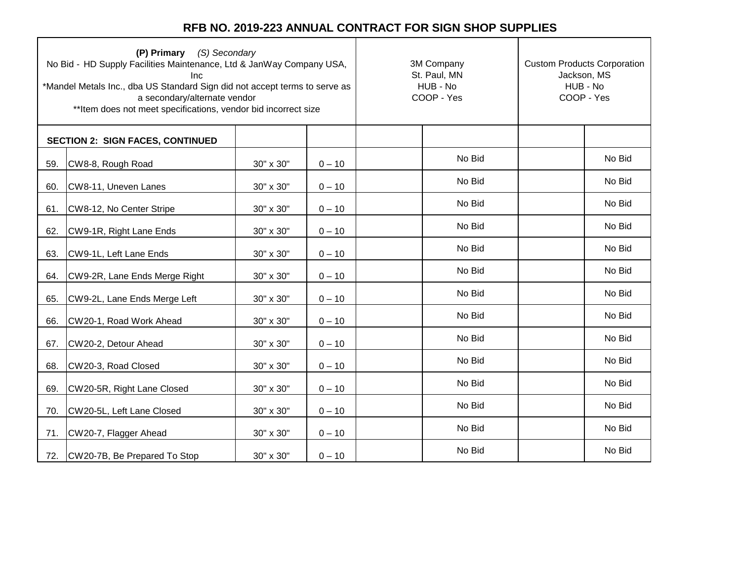| (P) Primary (S) Secondary<br>No Bid - HD Supply Facilities Maintenance, Ltd & JanWay Company USA,<br><b>Inc</b><br>*Mandel Metals Inc., dba US Standard Sign did not accept terms to serve as<br>a secondary/alternate vendor<br>** Item does not meet specifications, vendor bid incorrect size |                                         |           |          | 3M Company<br>St. Paul, MN<br>HUB - No<br>COOP - Yes | <b>Custom Products Corporation</b><br>Jackson, MS<br>HUB - No<br>COOP - Yes |  |
|--------------------------------------------------------------------------------------------------------------------------------------------------------------------------------------------------------------------------------------------------------------------------------------------------|-----------------------------------------|-----------|----------|------------------------------------------------------|-----------------------------------------------------------------------------|--|
|                                                                                                                                                                                                                                                                                                  | <b>SECTION 2: SIGN FACES, CONTINUED</b> |           |          |                                                      |                                                                             |  |
| 59.                                                                                                                                                                                                                                                                                              | CW8-8, Rough Road                       | 30" x 30" | $0 - 10$ | No Bid                                               | No Bid                                                                      |  |
| 60.                                                                                                                                                                                                                                                                                              | CW8-11, Uneven Lanes                    | 30" x 30" | $0 - 10$ | No Bid                                               | No Bid                                                                      |  |
| 61.                                                                                                                                                                                                                                                                                              | CW8-12, No Center Stripe                | 30" x 30" | $0 - 10$ | No Bid                                               | No Bid                                                                      |  |
| 62.                                                                                                                                                                                                                                                                                              | CW9-1R, Right Lane Ends                 | 30" x 30" | $0 - 10$ | No Bid                                               | No Bid                                                                      |  |
| 63.                                                                                                                                                                                                                                                                                              | CW9-1L, Left Lane Ends                  | 30" x 30" | $0 - 10$ | No Bid                                               | No Bid                                                                      |  |
| 64.                                                                                                                                                                                                                                                                                              | CW9-2R, Lane Ends Merge Right           | 30" x 30" | $0 - 10$ | No Bid                                               | No Bid                                                                      |  |
| 65.                                                                                                                                                                                                                                                                                              | CW9-2L, Lane Ends Merge Left            | 30" x 30" | $0 - 10$ | No Bid                                               | No Bid                                                                      |  |
| 66.                                                                                                                                                                                                                                                                                              | CW20-1, Road Work Ahead                 | 30" x 30" | $0 - 10$ | No Bid                                               | No Bid                                                                      |  |
| 67.                                                                                                                                                                                                                                                                                              | CW20-2, Detour Ahead                    | 30" x 30" | $0 - 10$ | No Bid                                               | No Bid                                                                      |  |
| 68.                                                                                                                                                                                                                                                                                              | CW20-3, Road Closed                     | 30" x 30" | $0 - 10$ | No Bid                                               | No Bid                                                                      |  |
| 69.                                                                                                                                                                                                                                                                                              | CW20-5R, Right Lane Closed              | 30" x 30" | $0 - 10$ | No Bid                                               | No Bid                                                                      |  |
| 70.                                                                                                                                                                                                                                                                                              | CW20-5L, Left Lane Closed               | 30" x 30" | $0 - 10$ | No Bid                                               | No Bid                                                                      |  |
| 71.                                                                                                                                                                                                                                                                                              | CW20-7, Flagger Ahead                   | 30" x 30" | $0 - 10$ | No Bid                                               | No Bid                                                                      |  |
| 72.                                                                                                                                                                                                                                                                                              | CW20-7B, Be Prepared To Stop            | 30" x 30" | $0 - 10$ | No Bid                                               | No Bid                                                                      |  |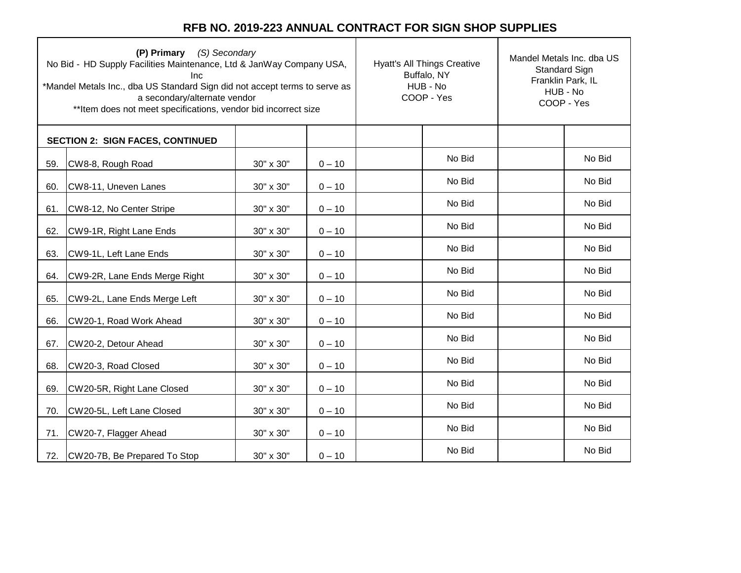|     | (P) Primary (S) Secondary<br>No Bid - HD Supply Facilities Maintenance, Ltd & JanWay Company USA,<br><b>Inc</b><br>*Mandel Metals Inc., dba US Standard Sign did not accept terms to serve as<br>a secondary/alternate vendor<br>** Item does not meet specifications, vendor bid incorrect size |           | <b>Hyatt's All Things Creative</b><br>Buffalo, NY<br>HUB - No<br>COOP - Yes | Mandel Metals Inc. dba US<br>Standard Sign<br>Franklin Park, IL<br>HUB - No<br>COOP - Yes |  |        |
|-----|--------------------------------------------------------------------------------------------------------------------------------------------------------------------------------------------------------------------------------------------------------------------------------------------------|-----------|-----------------------------------------------------------------------------|-------------------------------------------------------------------------------------------|--|--------|
|     | <b>SECTION 2: SIGN FACES, CONTINUED</b>                                                                                                                                                                                                                                                          |           |                                                                             |                                                                                           |  |        |
| 59. | CW8-8, Rough Road                                                                                                                                                                                                                                                                                | 30" x 30" | $0 - 10$                                                                    | No Bid                                                                                    |  | No Bid |
| 60. | CW8-11, Uneven Lanes                                                                                                                                                                                                                                                                             | 30" x 30" | $0 - 10$                                                                    | No Bid                                                                                    |  | No Bid |
| 61. | CW8-12, No Center Stripe                                                                                                                                                                                                                                                                         | 30" x 30" | $0 - 10$                                                                    | No Bid                                                                                    |  | No Bid |
| 62. | CW9-1R, Right Lane Ends                                                                                                                                                                                                                                                                          | 30" x 30" | $0 - 10$                                                                    | No Bid                                                                                    |  | No Bid |
| 63. | CW9-1L, Left Lane Ends                                                                                                                                                                                                                                                                           | 30" x 30" | $0 - 10$                                                                    | No Bid                                                                                    |  | No Bid |
| 64. | CW9-2R, Lane Ends Merge Right                                                                                                                                                                                                                                                                    | 30" x 30" | $0 - 10$                                                                    | No Bid                                                                                    |  | No Bid |
| 65. | CW9-2L, Lane Ends Merge Left                                                                                                                                                                                                                                                                     | 30" x 30" | $0 - 10$                                                                    | No Bid                                                                                    |  | No Bid |
| 66. | CW20-1, Road Work Ahead                                                                                                                                                                                                                                                                          | 30" x 30" | $0 - 10$                                                                    | No Bid                                                                                    |  | No Bid |
| 67. | CW20-2, Detour Ahead                                                                                                                                                                                                                                                                             | 30" x 30" | $0 - 10$                                                                    | No Bid                                                                                    |  | No Bid |
| 68. | CW20-3, Road Closed                                                                                                                                                                                                                                                                              | 30" x 30" | $0 - 10$                                                                    | No Bid                                                                                    |  | No Bid |
| 69. | CW20-5R, Right Lane Closed                                                                                                                                                                                                                                                                       | 30" x 30" | $0 - 10$                                                                    | No Bid                                                                                    |  | No Bid |
| 70. | CW20-5L, Left Lane Closed                                                                                                                                                                                                                                                                        | 30" x 30" | $0 - 10$                                                                    | No Bid                                                                                    |  | No Bid |
| 71. | CW20-7, Flagger Ahead                                                                                                                                                                                                                                                                            | 30" x 30" | $0 - 10$                                                                    | No Bid                                                                                    |  | No Bid |
|     | 72. CW20-7B, Be Prepared To Stop                                                                                                                                                                                                                                                                 | 30" x 30" | $0 - 10$                                                                    | No Bid                                                                                    |  | No Bid |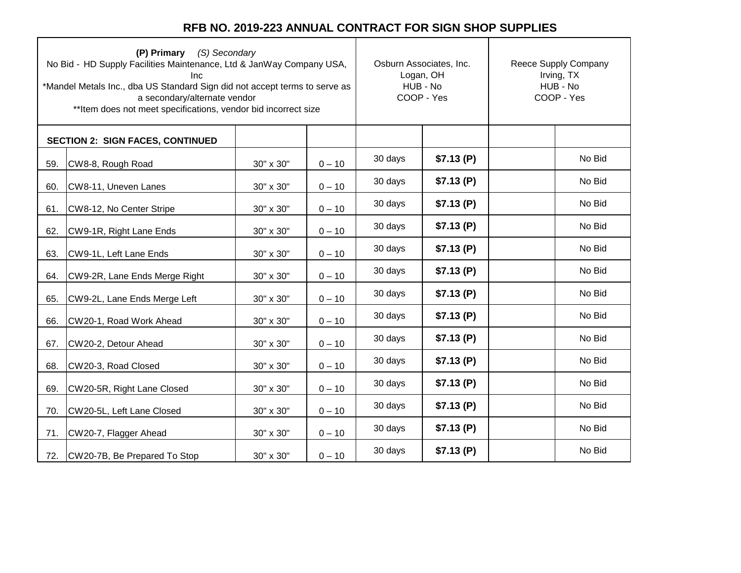|     | (P) Primary (S) Secondary<br>No Bid - HD Supply Facilities Maintenance, Ltd & JanWay Company USA,<br>Inc.<br>*Mandel Metals Inc., dba US Standard Sign did not accept terms to serve as<br>a secondary/alternate vendor<br>** Item does not meet specifications, vendor bid incorrect size | Osburn Associates, Inc.<br>Logan, OH<br>HUB - No<br>COOP - Yes |          | Reece Supply Company<br>Irving, TX<br>HUB - No<br>COOP - Yes |           |  |        |
|-----|--------------------------------------------------------------------------------------------------------------------------------------------------------------------------------------------------------------------------------------------------------------------------------------------|----------------------------------------------------------------|----------|--------------------------------------------------------------|-----------|--|--------|
|     | <b>SECTION 2: SIGN FACES, CONTINUED</b>                                                                                                                                                                                                                                                    |                                                                |          |                                                              |           |  |        |
| 59. | CW8-8, Rough Road                                                                                                                                                                                                                                                                          | 30" x 30"                                                      | $0 - 10$ | 30 days                                                      | \$7.13(P) |  | No Bid |
| 60. | CW8-11, Uneven Lanes                                                                                                                                                                                                                                                                       | 30" x 30"                                                      | $0 - 10$ | 30 days                                                      | \$7.13(P) |  | No Bid |
| 61. | CW8-12, No Center Stripe                                                                                                                                                                                                                                                                   | 30" x 30"                                                      | $0 - 10$ | 30 days                                                      | \$7.13(P) |  | No Bid |
| 62. | CW9-1R, Right Lane Ends                                                                                                                                                                                                                                                                    | 30" x 30"                                                      | $0 - 10$ | 30 days                                                      | \$7.13(P) |  | No Bid |
| 63. | CW9-1L, Left Lane Ends                                                                                                                                                                                                                                                                     | 30" x 30"                                                      | $0 - 10$ | 30 days                                                      | \$7.13(P) |  | No Bid |
| 64. | CW9-2R, Lane Ends Merge Right                                                                                                                                                                                                                                                              | 30" x 30"                                                      | $0 - 10$ | 30 days                                                      | \$7.13(P) |  | No Bid |
| 65. | CW9-2L, Lane Ends Merge Left                                                                                                                                                                                                                                                               | 30" x 30"                                                      | $0 - 10$ | 30 days                                                      | \$7.13(P) |  | No Bid |
| 66. | CW20-1, Road Work Ahead                                                                                                                                                                                                                                                                    | 30" x 30"                                                      | $0 - 10$ | 30 days                                                      | \$7.13(P) |  | No Bid |
| 67. | CW20-2, Detour Ahead                                                                                                                                                                                                                                                                       | 30" x 30"                                                      | $0 - 10$ | 30 days                                                      | \$7.13(P) |  | No Bid |
| 68. | CW20-3, Road Closed                                                                                                                                                                                                                                                                        | 30" x 30"                                                      | $0 - 10$ | 30 days                                                      | \$7.13(P) |  | No Bid |
| 69. | CW20-5R, Right Lane Closed                                                                                                                                                                                                                                                                 | 30" x 30"                                                      | $0 - 10$ | 30 days                                                      | \$7.13(P) |  | No Bid |
| 70. | CW20-5L, Left Lane Closed                                                                                                                                                                                                                                                                  | 30" x 30"                                                      | $0 - 10$ | 30 days                                                      | \$7.13(P) |  | No Bid |
| 71. | CW20-7, Flagger Ahead                                                                                                                                                                                                                                                                      | 30" x 30"                                                      | $0 - 10$ | 30 days                                                      | \$7.13(P) |  | No Bid |
| 72. | CW20-7B, Be Prepared To Stop                                                                                                                                                                                                                                                               | 30" x 30"                                                      | $0 - 10$ | 30 days                                                      | \$7.13(P) |  | No Bid |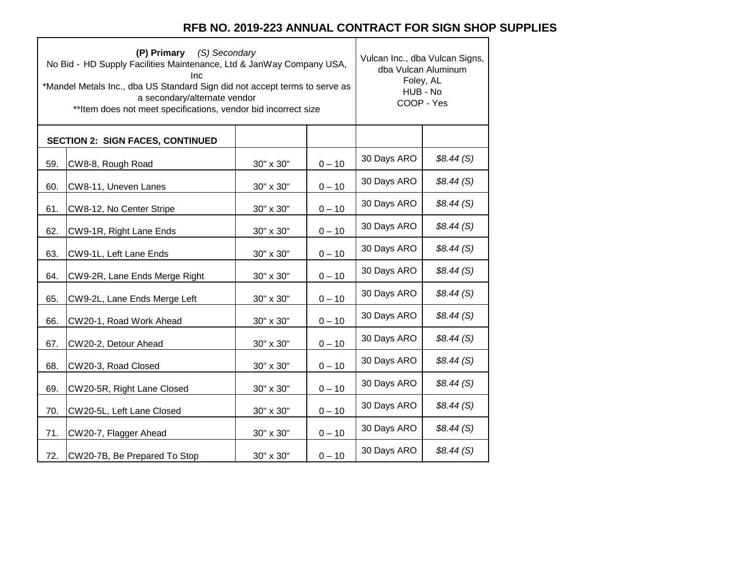٦

 $\top$ 

|     | (P) Primary (S) Secondary<br>No Bid - HD Supply Facilities Maintenance, Ltd & JanWay Company USA,<br>Inc<br>*Mandel Metals Inc., dba US Standard Sign did not accept terms to serve as<br>a secondary/alternate vendor<br>** Item does not meet specifications, vendor bid incorrect size | Vulcan Inc., dba Vulcan Signs,<br>dba Vulcan Aluminum<br>Foley, AL<br>HUB - No<br>COOP - Yes |          |             |           |
|-----|-------------------------------------------------------------------------------------------------------------------------------------------------------------------------------------------------------------------------------------------------------------------------------------------|----------------------------------------------------------------------------------------------|----------|-------------|-----------|
|     | <b>SECTION 2: SIGN FACES, CONTINUED</b>                                                                                                                                                                                                                                                   |                                                                                              |          |             |           |
| 59. | CW8-8, Rough Road                                                                                                                                                                                                                                                                         | 30" x 30"                                                                                    | $0 - 10$ | 30 Days ARO | \$8.44(S) |
| 60. | CW8-11, Uneven Lanes                                                                                                                                                                                                                                                                      | 30" x 30"                                                                                    | $0 - 10$ | 30 Days ARO | \$8.44(S) |
| 61. | CW8-12, No Center Stripe                                                                                                                                                                                                                                                                  | 30" x 30"                                                                                    | $0 - 10$ | 30 Days ARO | \$8.44(S) |
| 62. | CW9-1R, Right Lane Ends                                                                                                                                                                                                                                                                   | 30" x 30"                                                                                    | $0 - 10$ | 30 Days ARO | \$8.44(S) |
| 63. | CW9-1L, Left Lane Ends                                                                                                                                                                                                                                                                    | 30" x 30"                                                                                    | $0 - 10$ | 30 Days ARO | \$8.44(S) |
| 64. | CW9-2R, Lane Ends Merge Right                                                                                                                                                                                                                                                             | 30" x 30"                                                                                    | $0 - 10$ | 30 Days ARO | \$8.44(S) |
| 65. | CW9-2L, Lane Ends Merge Left                                                                                                                                                                                                                                                              | 30" x 30"                                                                                    | $0 - 10$ | 30 Days ARO | \$8.44(S) |
| 66. | CW20-1, Road Work Ahead                                                                                                                                                                                                                                                                   | 30" x 30"                                                                                    | $0 - 10$ | 30 Days ARO | \$8.44(S) |
| 67. | CW20-2, Detour Ahead                                                                                                                                                                                                                                                                      | 30" x 30"                                                                                    | $0 - 10$ | 30 Days ARO | \$8.44(S) |
| 68. | CW20-3, Road Closed                                                                                                                                                                                                                                                                       | 30" x 30"                                                                                    | $0 - 10$ | 30 Days ARO | \$8.44(S) |
| 69. | CW20-5R, Right Lane Closed                                                                                                                                                                                                                                                                | 30" x 30"                                                                                    | $0 - 10$ | 30 Days ARO | \$8.44(S) |
| 70. | CW20-5L, Left Lane Closed                                                                                                                                                                                                                                                                 | 30" x 30"                                                                                    | $0 - 10$ | 30 Days ARO | \$8.44(S) |
| 71. | CW20-7, Flagger Ahead                                                                                                                                                                                                                                                                     | 30" x 30"                                                                                    | $0 - 10$ | 30 Days ARO | \$8.44(S) |
| 72. | CW20-7B, Be Prepared To Stop                                                                                                                                                                                                                                                              | 30" x 30"                                                                                    | $0 - 10$ | 30 Days ARO | \$8.44(S) |

 $\Gamma$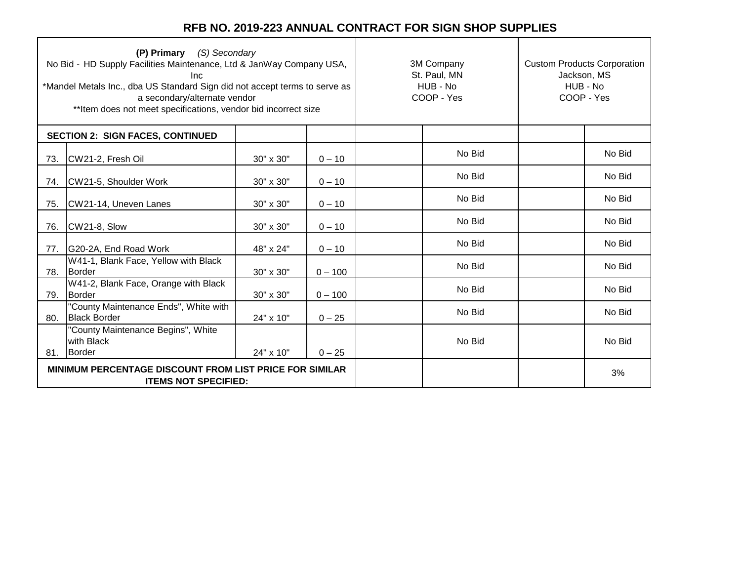┑

| (P) Primary (S) Secondary<br>No Bid - HD Supply Facilities Maintenance, Ltd & JanWay Company USA,<br>Inc<br>*Mandel Metals Inc., dba US Standard Sign did not accept terms to serve as<br>a secondary/alternate vendor<br>** Item does not meet specifications, vendor bid incorrect size |                                                                                               |           | 3M Company<br>St. Paul, MN<br>HUB - No<br>COOP - Yes | <b>Custom Products Corporation</b><br>Jackson, MS<br>HUB - No<br>COOP - Yes |        |
|-------------------------------------------------------------------------------------------------------------------------------------------------------------------------------------------------------------------------------------------------------------------------------------------|-----------------------------------------------------------------------------------------------|-----------|------------------------------------------------------|-----------------------------------------------------------------------------|--------|
|                                                                                                                                                                                                                                                                                           | <b>SECTION 2: SIGN FACES, CONTINUED</b>                                                       |           |                                                      |                                                                             |        |
| 73.                                                                                                                                                                                                                                                                                       | CW21-2, Fresh Oil                                                                             | 30" x 30" | $0 - 10$                                             | No Bid                                                                      | No Bid |
| 74.                                                                                                                                                                                                                                                                                       | CW21-5, Shoulder Work                                                                         | 30" x 30" | $0 - 10$                                             | No Bid                                                                      | No Bid |
| 75.                                                                                                                                                                                                                                                                                       | CW21-14, Uneven Lanes                                                                         | 30" x 30" | $0 - 10$                                             | No Bid                                                                      | No Bid |
| 76.                                                                                                                                                                                                                                                                                       | CW21-8, Slow                                                                                  | 30" x 30" | $0 - 10$                                             | No Bid                                                                      | No Bid |
| 77.                                                                                                                                                                                                                                                                                       | G20-2A, End Road Work                                                                         | 48" x 24" | $0 - 10$                                             | No Bid                                                                      | No Bid |
| 78.                                                                                                                                                                                                                                                                                       | W41-1, Blank Face, Yellow with Black<br>Border                                                | 30" x 30" | $0 - 100$                                            | No Bid                                                                      | No Bid |
| 79.                                                                                                                                                                                                                                                                                       | W41-2, Blank Face, Orange with Black<br>Border                                                | 30" x 30" | $0 - 100$                                            | No Bid                                                                      | No Bid |
| 80.                                                                                                                                                                                                                                                                                       | "County Maintenance Ends", White with<br><b>Black Border</b>                                  | 24" x 10" | $0 - 25$                                             | No Bid                                                                      | No Bid |
| 81.                                                                                                                                                                                                                                                                                       | "County Maintenance Begins", White<br>with Black<br>Border                                    | 24" x 10" | $0 - 25$                                             | No Bid                                                                      | No Bid |
|                                                                                                                                                                                                                                                                                           | <b>MINIMUM PERCENTAGE DISCOUNT FROM LIST PRICE FOR SIMILAR</b><br><b>ITEMS NOT SPECIFIED:</b> |           |                                                      |                                                                             | 3%     |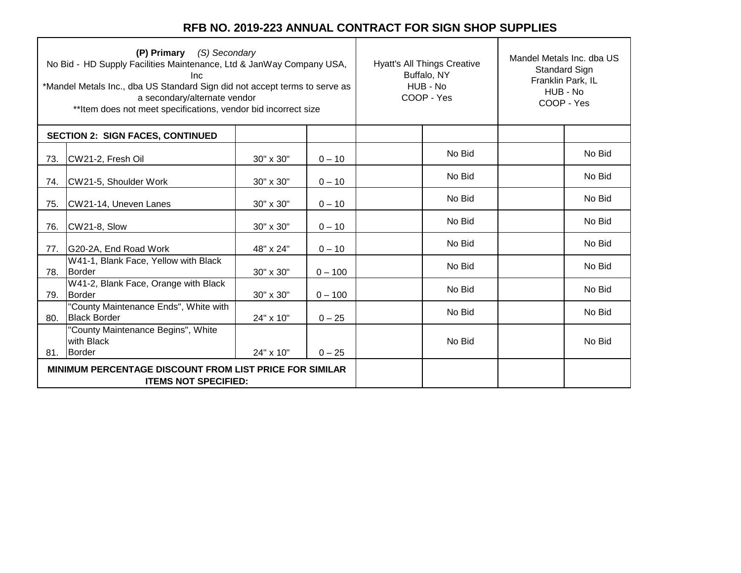| (P) Primary (S) Secondary<br>No Bid - HD Supply Facilities Maintenance, Ltd & JanWay Company USA,<br>Inc.<br>*Mandel Metals Inc., dba US Standard Sign did not accept terms to serve as<br>a secondary/alternate vendor<br>** Item does not meet specifications, vendor bid incorrect size |                                                                                               |           |           | <b>Hyatt's All Things Creative</b><br>Buffalo, NY<br>HUB - No<br>COOP - Yes |        | Mandel Metals Inc. dba US<br><b>Standard Sign</b><br>Franklin Park, IL<br>HUB - No<br>COOP - Yes |        |
|--------------------------------------------------------------------------------------------------------------------------------------------------------------------------------------------------------------------------------------------------------------------------------------------|-----------------------------------------------------------------------------------------------|-----------|-----------|-----------------------------------------------------------------------------|--------|--------------------------------------------------------------------------------------------------|--------|
|                                                                                                                                                                                                                                                                                            | <b>SECTION 2: SIGN FACES, CONTINUED</b>                                                       |           |           |                                                                             |        |                                                                                                  |        |
| 73.                                                                                                                                                                                                                                                                                        | CW21-2, Fresh Oil                                                                             | 30" x 30" | $0 - 10$  |                                                                             | No Bid |                                                                                                  | No Bid |
| 74.                                                                                                                                                                                                                                                                                        | CW21-5, Shoulder Work                                                                         | 30" x 30" | $0 - 10$  |                                                                             | No Bid |                                                                                                  | No Bid |
| 75.                                                                                                                                                                                                                                                                                        | CW21-14, Uneven Lanes                                                                         | 30" x 30" | $0 - 10$  |                                                                             | No Bid |                                                                                                  | No Bid |
| 76.                                                                                                                                                                                                                                                                                        | CW21-8, Slow                                                                                  | 30" x 30" | $0 - 10$  |                                                                             | No Bid |                                                                                                  | No Bid |
| 77.                                                                                                                                                                                                                                                                                        | G20-2A, End Road Work                                                                         | 48" x 24" | $0 - 10$  |                                                                             | No Bid |                                                                                                  | No Bid |
| 78.                                                                                                                                                                                                                                                                                        | W41-1, Blank Face, Yellow with Black<br>Border                                                | 30" x 30" | $0 - 100$ |                                                                             | No Bid |                                                                                                  | No Bid |
| 79.                                                                                                                                                                                                                                                                                        | W41-2, Blank Face, Orange with Black<br>Border                                                | 30" x 30" | $0 - 100$ |                                                                             | No Bid |                                                                                                  | No Bid |
| 80.                                                                                                                                                                                                                                                                                        | "County Maintenance Ends", White with<br><b>Black Border</b>                                  | 24" x 10" | $0 - 25$  |                                                                             | No Bid |                                                                                                  | No Bid |
| 81.                                                                                                                                                                                                                                                                                        | "County Maintenance Begins", White<br>with Black<br>Border                                    | 24" x 10" | $0 - 25$  |                                                                             | No Bid |                                                                                                  | No Bid |
|                                                                                                                                                                                                                                                                                            | <b>MINIMUM PERCENTAGE DISCOUNT FROM LIST PRICE FOR SIMILAR</b><br><b>ITEMS NOT SPECIFIED:</b> |           |           |                                                                             |        |                                                                                                  |        |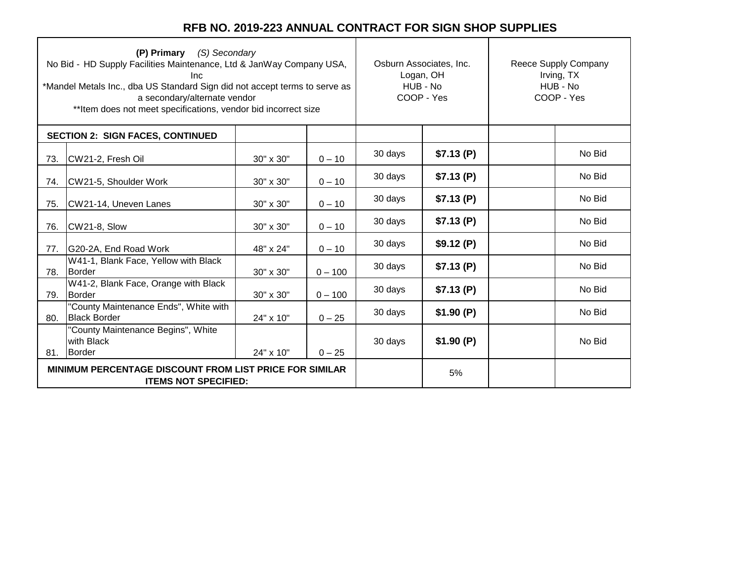|     | (P) Primary (S) Secondary<br>No Bid - HD Supply Facilities Maintenance, Ltd & JanWay Company USA,<br>Inc.<br>*Mandel Metals Inc., dba US Standard Sign did not accept terms to serve as<br>a secondary/alternate vendor<br>** Item does not meet specifications, vendor bid incorrect size | Osburn Associates, Inc.<br>Logan, OH<br>HUB - No<br>COOP - Yes |           | Reece Supply Company<br>Irving, TX<br>HUB - No<br>COOP - Yes |           |  |        |
|-----|--------------------------------------------------------------------------------------------------------------------------------------------------------------------------------------------------------------------------------------------------------------------------------------------|----------------------------------------------------------------|-----------|--------------------------------------------------------------|-----------|--|--------|
|     | <b>SECTION 2: SIGN FACES, CONTINUED</b>                                                                                                                                                                                                                                                    |                                                                |           |                                                              |           |  |        |
| 73. | CW21-2, Fresh Oil                                                                                                                                                                                                                                                                          | 30" x 30"                                                      | $0 - 10$  | 30 days                                                      | \$7.13(P) |  | No Bid |
| 74. | CW21-5, Shoulder Work                                                                                                                                                                                                                                                                      | 30" x 30"                                                      | $0 - 10$  | 30 days                                                      | \$7.13(P) |  | No Bid |
| 75. | CW21-14, Uneven Lanes                                                                                                                                                                                                                                                                      | 30" x 30"                                                      | $0 - 10$  | 30 days                                                      | \$7.13(P) |  | No Bid |
| 76. | CW21-8, Slow                                                                                                                                                                                                                                                                               | 30" x 30"                                                      | $0 - 10$  | 30 days                                                      | \$7.13(P) |  | No Bid |
| 77. | G20-2A, End Road Work                                                                                                                                                                                                                                                                      | 48" x 24"                                                      | $0 - 10$  | 30 days                                                      | \$9.12(P) |  | No Bid |
| 78. | W41-1, Blank Face, Yellow with Black<br>Border                                                                                                                                                                                                                                             | 30" x 30"                                                      | $0 - 100$ | 30 days                                                      | \$7.13(P) |  | No Bid |
| 79. | W41-2, Blank Face, Orange with Black<br>Border                                                                                                                                                                                                                                             | 30" x 30"                                                      | $0 - 100$ | 30 days                                                      | \$7.13(P) |  | No Bid |
| 80. | "County Maintenance Ends", White with<br><b>Black Border</b>                                                                                                                                                                                                                               | 24" x 10"                                                      | $0 - 25$  | 30 days                                                      | \$1.90(P) |  | No Bid |
|     | "County Maintenance Begins", White<br>with Black<br>81. Border                                                                                                                                                                                                                             | 24" x 10"                                                      | $0 - 25$  | 30 days                                                      | \$1.90(P) |  | No Bid |
|     | <b>MINIMUM PERCENTAGE DISCOUNT FROM LIST PRICE FOR SIMILAR</b><br><b>ITEMS NOT SPECIFIED:</b>                                                                                                                                                                                              |                                                                |           |                                                              | 5%        |  |        |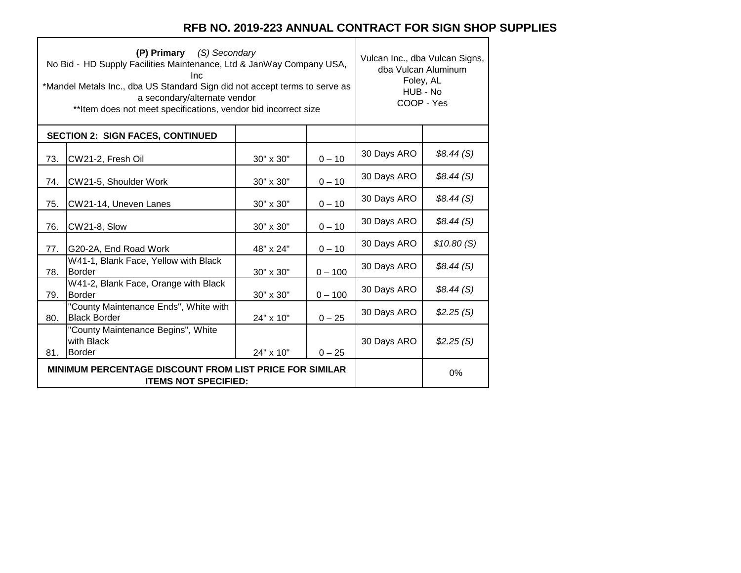٦

 $\top$ 

|     | (P) Primary (S) Secondary<br>No Bid - HD Supply Facilities Maintenance, Ltd & JanWay Company USA,<br>Inc.<br>*Mandel Metals Inc., dba US Standard Sign did not accept terms to serve as<br>a secondary/alternate vendor<br>** Item does not meet specifications, vendor bid incorrect size | Vulcan Inc., dba Vulcan Signs,<br>dba Vulcan Aluminum<br>Foley, AL<br>HUB - No<br>COOP - Yes |           |             |            |
|-----|--------------------------------------------------------------------------------------------------------------------------------------------------------------------------------------------------------------------------------------------------------------------------------------------|----------------------------------------------------------------------------------------------|-----------|-------------|------------|
|     | <b>SECTION 2: SIGN FACES, CONTINUED</b>                                                                                                                                                                                                                                                    |                                                                                              |           |             |            |
| 73. | CW21-2, Fresh Oil                                                                                                                                                                                                                                                                          | 30" x 30"                                                                                    | $0 - 10$  | 30 Days ARO | \$8.44(S)  |
| 74. | CW21-5, Shoulder Work                                                                                                                                                                                                                                                                      | 30" x 30"                                                                                    | $0 - 10$  | 30 Days ARO | \$8.44(S)  |
| 75. | CW21-14, Uneven Lanes                                                                                                                                                                                                                                                                      | 30" x 30"                                                                                    | $0 - 10$  | 30 Days ARO | \$8.44(S)  |
| 76. | CW21-8, Slow                                                                                                                                                                                                                                                                               | 30" x 30"                                                                                    | $0 - 10$  | 30 Days ARO | \$8.44(S)  |
| 77. | G20-2A, End Road Work                                                                                                                                                                                                                                                                      | 48" x 24"                                                                                    | $0 - 10$  | 30 Days ARO | \$10.80(S) |
| 78. | W41-1, Blank Face, Yellow with Black<br><b>Border</b>                                                                                                                                                                                                                                      | 30" x 30"                                                                                    | $0 - 100$ | 30 Days ARO | \$8.44(S)  |
| 79. | W41-2, Blank Face, Orange with Black<br><b>Border</b>                                                                                                                                                                                                                                      | 30" x 30"                                                                                    | $0 - 100$ | 30 Days ARO | \$8.44(S)  |
| 80. | "County Maintenance Ends", White with<br><b>Black Border</b>                                                                                                                                                                                                                               | 24" x 10"                                                                                    | $0 - 25$  | 30 Days ARO | \$2.25(S)  |
| 81. | "County Maintenance Begins", White<br>with Black<br><b>Border</b>                                                                                                                                                                                                                          | 24" x 10"                                                                                    | $0 - 25$  | 30 Days ARO | \$2.25(S)  |
|     | <b>MINIMUM PERCENTAGE DISCOUNT FROM LIST PRICE FOR SIMILAR</b><br><b>ITEMS NOT SPECIFIED:</b>                                                                                                                                                                                              |                                                                                              | 0%        |             |            |

 $\Gamma$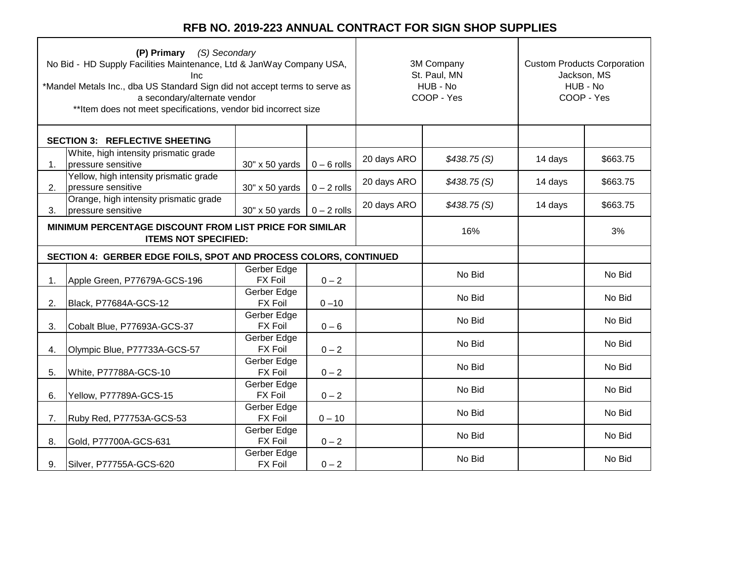|    | (P) Primary (S) Secondary<br>No Bid - HD Supply Facilities Maintenance, Ltd & JanWay Company USA,<br>Inc<br>*Mandel Metals Inc., dba US Standard Sign did not accept terms to serve as<br>a secondary/alternate vendor<br>** Item does not meet specifications, vendor bid incorrect size |                                      |               | 3M Company<br>St. Paul, MN<br>HUB - No<br>COOP - Yes |             | <b>Custom Products Corporation</b><br>Jackson, MS<br>HUB - No<br>COOP - Yes |          |
|----|-------------------------------------------------------------------------------------------------------------------------------------------------------------------------------------------------------------------------------------------------------------------------------------------|--------------------------------------|---------------|------------------------------------------------------|-------------|-----------------------------------------------------------------------------|----------|
|    | <b>SECTION 3: REFLECTIVE SHEETING</b>                                                                                                                                                                                                                                                     |                                      |               |                                                      |             |                                                                             |          |
| 1. | White, high intensity prismatic grade<br>pressure sensitive                                                                                                                                                                                                                               | 30" x 50 yards                       | $0 - 6$ rolls | 20 days ARO                                          | \$438.75(S) | 14 days                                                                     | \$663.75 |
| 2. | Yellow, high intensity prismatic grade<br>pressure sensitive                                                                                                                                                                                                                              | 30" x 50 yards                       | $0 - 2$ rolls | 20 days ARO                                          | \$438.75(S) | 14 days                                                                     | \$663.75 |
| 3. | Orange, high intensity prismatic grade<br>pressure sensitive                                                                                                                                                                                                                              | $30'' \times 50$ yards   0 - 2 rolls |               | 20 days ARO                                          | \$438.75(S) | 14 days                                                                     | \$663.75 |
|    | MINIMUM PERCENTAGE DISCOUNT FROM LIST PRICE FOR SIMILAR<br><b>ITEMS NOT SPECIFIED:</b>                                                                                                                                                                                                    |                                      |               |                                                      | 16%         |                                                                             | 3%       |
|    | SECTION 4: GERBER EDGE FOILS, SPOT AND PROCESS COLORS, CONTINUED                                                                                                                                                                                                                          |                                      |               |                                                      |             |                                                                             |          |
| 1. | Apple Green, P77679A-GCS-196                                                                                                                                                                                                                                                              | Gerber Edge<br><b>FX Foil</b>        | $0 - 2$       |                                                      | No Bid      |                                                                             | No Bid   |
| 2. | Black, P77684A-GCS-12                                                                                                                                                                                                                                                                     | Gerber Edge<br><b>FX Foil</b>        | $0 - 10$      |                                                      | No Bid      |                                                                             | No Bid   |
| 3. | Cobalt Blue, P77693A-GCS-37                                                                                                                                                                                                                                                               | Gerber Edge<br><b>FX Foil</b>        | $0 - 6$       |                                                      | No Bid      |                                                                             | No Bid   |
| 4. | Olympic Blue, P77733A-GCS-57                                                                                                                                                                                                                                                              | Gerber Edge<br><b>FX Foil</b>        | $0 - 2$       |                                                      | No Bid      |                                                                             | No Bid   |
| 5. | White, P77788A-GCS-10                                                                                                                                                                                                                                                                     | Gerber Edge<br><b>FX Foil</b>        | $0 - 2$       |                                                      | No Bid      |                                                                             | No Bid   |
| 6. | Yellow, P77789A-GCS-15                                                                                                                                                                                                                                                                    | Gerber Edge<br><b>FX Foil</b>        | $0 - 2$       |                                                      | No Bid      |                                                                             | No Bid   |
| 7. | Ruby Red, P77753A-GCS-53                                                                                                                                                                                                                                                                  | Gerber Edge<br><b>FX Foil</b>        | $0 - 10$      |                                                      | No Bid      |                                                                             | No Bid   |
| 8. | Gold, P77700A-GCS-631                                                                                                                                                                                                                                                                     | Gerber Edge<br><b>FX Foil</b>        | $0 - 2$       |                                                      | No Bid      |                                                                             | No Bid   |
| 9. | Silver, P77755A-GCS-620                                                                                                                                                                                                                                                                   | Gerber Edge<br><b>FX Foil</b>        | $0 - 2$       |                                                      | No Bid      |                                                                             | No Bid   |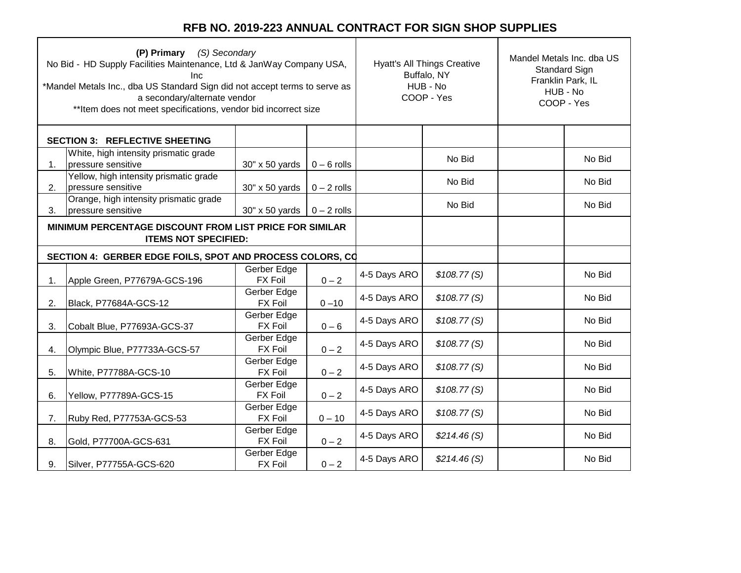| (P) Primary (S) Secondary<br>No Bid - HD Supply Facilities Maintenance, Ltd & JanWay Company USA,<br>Inc<br>*Mandel Metals Inc., dba US Standard Sign did not accept terms to serve as<br>a secondary/alternate vendor<br>** Item does not meet specifications, vendor bid incorrect size |                                                                                        | <b>Hyatt's All Things Creative</b><br>Buffalo, NY<br>HUB - No<br>COOP - Yes |               | Mandel Metals Inc. dba US<br><b>Standard Sign</b><br>Franklin Park, IL<br>HUB - No<br>COOP - Yes |             |  |        |
|-------------------------------------------------------------------------------------------------------------------------------------------------------------------------------------------------------------------------------------------------------------------------------------------|----------------------------------------------------------------------------------------|-----------------------------------------------------------------------------|---------------|--------------------------------------------------------------------------------------------------|-------------|--|--------|
|                                                                                                                                                                                                                                                                                           | <b>SECTION 3: REFLECTIVE SHEETING</b>                                                  |                                                                             |               |                                                                                                  |             |  |        |
| 1.                                                                                                                                                                                                                                                                                        | White, high intensity prismatic grade<br>pressure sensitive                            | 30" x 50 yards                                                              | $0 - 6$ rolls |                                                                                                  | No Bid      |  | No Bid |
| 2.                                                                                                                                                                                                                                                                                        | Yellow, high intensity prismatic grade<br>pressure sensitive                           | 30" x 50 yards                                                              | $0 - 2$ rolls |                                                                                                  | No Bid      |  | No Bid |
| 3.                                                                                                                                                                                                                                                                                        | Orange, high intensity prismatic grade<br>pressure sensitive                           | $30'' \times 50$ yards   0 - 2 rolls                                        |               |                                                                                                  | No Bid      |  | No Bid |
|                                                                                                                                                                                                                                                                                           | MINIMUM PERCENTAGE DISCOUNT FROM LIST PRICE FOR SIMILAR<br><b>ITEMS NOT SPECIFIED:</b> |                                                                             |               |                                                                                                  |             |  |        |
|                                                                                                                                                                                                                                                                                           | SECTION 4: GERBER EDGE FOILS, SPOT AND PROCESS COLORS, CO                              |                                                                             |               |                                                                                                  |             |  |        |
| 1.                                                                                                                                                                                                                                                                                        | Apple Green, P77679A-GCS-196                                                           | Gerber Edge<br><b>FX Foil</b>                                               | $0 - 2$       | 4-5 Days ARO                                                                                     | \$108.77(S) |  | No Bid |
| 2.                                                                                                                                                                                                                                                                                        | Black, P77684A-GCS-12                                                                  | Gerber Edge<br><b>FX Foil</b>                                               | $0 - 10$      | 4-5 Days ARO                                                                                     | \$108.77(S) |  | No Bid |
| 3.                                                                                                                                                                                                                                                                                        | Cobalt Blue, P77693A-GCS-37                                                            | Gerber Edge<br><b>FX Foil</b>                                               | $0 - 6$       | 4-5 Days ARO                                                                                     | \$108.77(S) |  | No Bid |
| 4.                                                                                                                                                                                                                                                                                        | Olympic Blue, P77733A-GCS-57                                                           | Gerber Edge<br><b>FX Foil</b>                                               | $0 - 2$       | 4-5 Days ARO                                                                                     | \$108.77(S) |  | No Bid |
| 5.                                                                                                                                                                                                                                                                                        | White, P77788A-GCS-10                                                                  | Gerber Edge<br><b>FX Foil</b>                                               | $0 - 2$       | 4-5 Days ARO                                                                                     | \$108.77(S) |  | No Bid |
| 6.                                                                                                                                                                                                                                                                                        | Yellow, P77789A-GCS-15                                                                 | Gerber Edge<br><b>FX Foil</b>                                               | $0 - 2$       | 4-5 Days ARO                                                                                     | \$108.77(S) |  | No Bid |
| 7.                                                                                                                                                                                                                                                                                        | Ruby Red, P77753A-GCS-53                                                               | Gerber Edge<br><b>FX Foil</b>                                               | $0 - 10$      | 4-5 Days ARO                                                                                     | \$108.77(S) |  | No Bid |
| 8.                                                                                                                                                                                                                                                                                        | Gold, P77700A-GCS-631                                                                  | Gerber Edge<br><b>FX Foil</b>                                               | $0 - 2$       | 4-5 Days ARO                                                                                     | \$214.46(S) |  | No Bid |
| 9.                                                                                                                                                                                                                                                                                        | Silver, P77755A-GCS-620                                                                | Gerber Edge<br><b>FX Foil</b>                                               | $0 - 2$       | 4-5 Days ARO                                                                                     | \$214.46(S) |  | No Bid |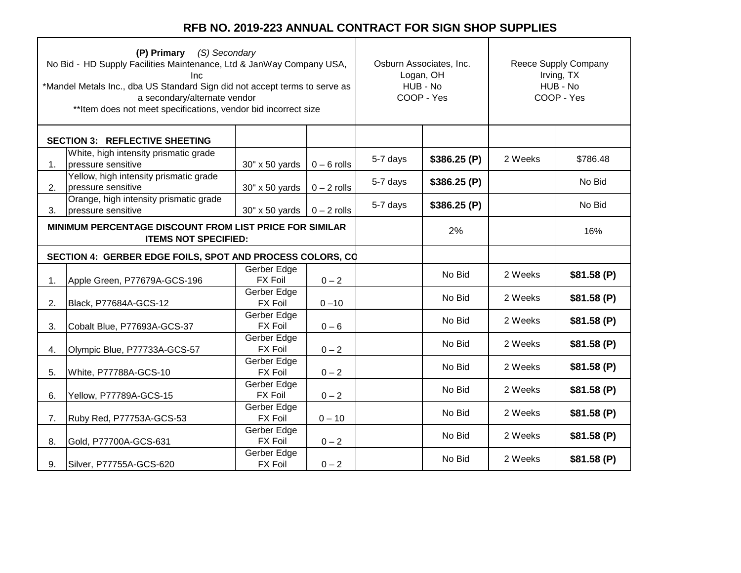| (P) Primary (S) Secondary<br>No Bid - HD Supply Facilities Maintenance, Ltd & JanWay Company USA,<br><b>Inc</b><br>*Mandel Metals Inc., dba US Standard Sign did not accept terms to serve as<br>a secondary/alternate vendor<br>** Item does not meet specifications, vendor bid incorrect size |                                                                                        | Osburn Associates, Inc.<br>Logan, OH<br>HUB - No<br>COOP - Yes |               | Reece Supply Company<br>Irving, TX<br>HUB - No<br>COOP - Yes |             |         |            |
|--------------------------------------------------------------------------------------------------------------------------------------------------------------------------------------------------------------------------------------------------------------------------------------------------|----------------------------------------------------------------------------------------|----------------------------------------------------------------|---------------|--------------------------------------------------------------|-------------|---------|------------|
|                                                                                                                                                                                                                                                                                                  | <b>SECTION 3: REFLECTIVE SHEETING</b>                                                  |                                                                |               |                                                              |             |         |            |
| 1.                                                                                                                                                                                                                                                                                               | White, high intensity prismatic grade<br>pressure sensitive                            | 30" x 50 yards                                                 | $0 - 6$ rolls | 5-7 days                                                     | \$386.25(P) | 2 Weeks | \$786.48   |
| 2.                                                                                                                                                                                                                                                                                               | Yellow, high intensity prismatic grade<br>pressure sensitive                           | 30" x 50 yards                                                 | $0 - 2$ rolls | 5-7 days                                                     | \$386.25(P) |         | No Bid     |
| 3.                                                                                                                                                                                                                                                                                               | Orange, high intensity prismatic grade<br>pressure sensitive                           | 30" x 50 yards                                                 | $0 - 2$ rolls | 5-7 days                                                     | \$386.25(P) |         | No Bid     |
|                                                                                                                                                                                                                                                                                                  | MINIMUM PERCENTAGE DISCOUNT FROM LIST PRICE FOR SIMILAR<br><b>ITEMS NOT SPECIFIED:</b> |                                                                |               |                                                              | 2%          |         | 16%        |
|                                                                                                                                                                                                                                                                                                  | SECTION 4: GERBER EDGE FOILS, SPOT AND PROCESS COLORS, CO                              |                                                                |               |                                                              |             |         |            |
| 1.                                                                                                                                                                                                                                                                                               | Apple Green, P77679A-GCS-196                                                           | Gerber Edge<br><b>FX Foil</b>                                  | $0 - 2$       |                                                              | No Bid      | 2 Weeks | \$81.58(P) |
| 2.                                                                                                                                                                                                                                                                                               | Black, P77684A-GCS-12                                                                  | Gerber Edge<br><b>FX Foil</b>                                  | $0 - 10$      |                                                              | No Bid      | 2 Weeks | \$81.58(P) |
| 3.                                                                                                                                                                                                                                                                                               | Cobalt Blue, P77693A-GCS-37                                                            | Gerber Edge<br><b>FX Foil</b>                                  | $0 - 6$       |                                                              | No Bid      | 2 Weeks | \$81.58(P) |
| 4.                                                                                                                                                                                                                                                                                               | Olympic Blue, P77733A-GCS-57                                                           | Gerber Edge<br><b>FX Foil</b>                                  | $0 - 2$       |                                                              | No Bid      | 2 Weeks | \$81.58(P) |
| 5.                                                                                                                                                                                                                                                                                               | White, P77788A-GCS-10                                                                  | Gerber Edge<br><b>FX Foil</b>                                  | $0 - 2$       |                                                              | No Bid      | 2 Weeks | \$81.58(P) |
| 6.                                                                                                                                                                                                                                                                                               | Yellow, P77789A-GCS-15                                                                 | Gerber Edge<br><b>FX Foil</b>                                  | $0 - 2$       |                                                              | No Bid      | 2 Weeks | \$81.58(P) |
| 7.                                                                                                                                                                                                                                                                                               | Ruby Red, P77753A-GCS-53                                                               | Gerber Edge<br><b>FX Foil</b>                                  | $0 - 10$      |                                                              | No Bid      | 2 Weeks | \$81.58(P) |
| 8.                                                                                                                                                                                                                                                                                               | Gold, P77700A-GCS-631                                                                  | Gerber Edge<br><b>FX Foil</b>                                  | $0 - 2$       |                                                              | No Bid      | 2 Weeks | \$81.58(P) |
| 9.                                                                                                                                                                                                                                                                                               | Silver, P77755A-GCS-620                                                                | Gerber Edge<br><b>FX Foil</b>                                  | $0 - 2$       |                                                              | No Bid      | 2 Weeks | \$81.58(P) |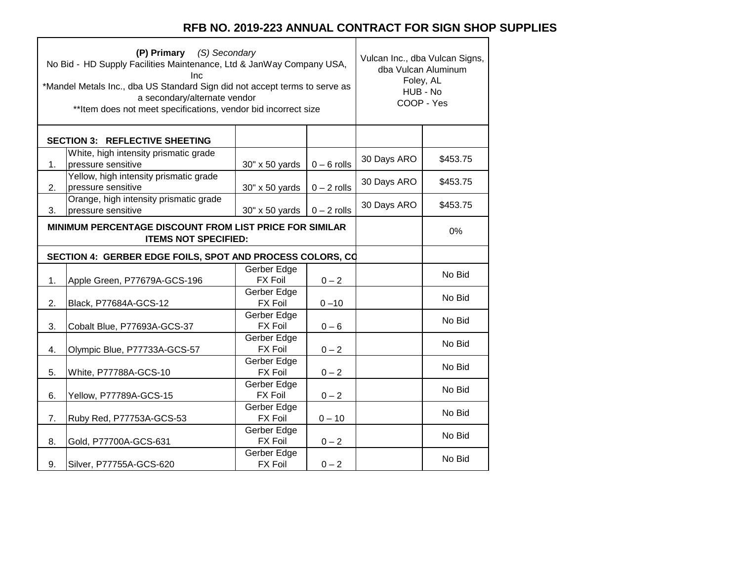٦

 $\top$ 

|    | (P) Primary (S) Secondary<br>No Bid - HD Supply Facilities Maintenance, Ltd & JanWay Company USA,<br>Inc.<br>*Mandel Metals Inc., dba US Standard Sign did not accept terms to serve as<br>a secondary/alternate vendor<br>** Item does not meet specifications, vendor bid incorrect size | Vulcan Inc., dba Vulcan Signs,<br>dba Vulcan Aluminum<br>Foley, AL<br>HUB - No<br>COOP - Yes |               |             |          |
|----|--------------------------------------------------------------------------------------------------------------------------------------------------------------------------------------------------------------------------------------------------------------------------------------------|----------------------------------------------------------------------------------------------|---------------|-------------|----------|
|    | <b>SECTION 3: REFLECTIVE SHEETING</b>                                                                                                                                                                                                                                                      |                                                                                              |               |             |          |
| 1. | White, high intensity prismatic grade<br>pressure sensitive                                                                                                                                                                                                                                | 30" x 50 yards                                                                               | $0 - 6$ rolls | 30 Days ARO | \$453.75 |
| 2. | Yellow, high intensity prismatic grade<br>pressure sensitive                                                                                                                                                                                                                               | 30" x 50 yards                                                                               | $0 - 2$ rolls | 30 Days ARO | \$453.75 |
| 3. | Orange, high intensity prismatic grade<br>pressure sensitive                                                                                                                                                                                                                               | 30" x 50 yards                                                                               | $0 - 2$ rolls | 30 Days ARO | \$453.75 |
|    | MINIMUM PERCENTAGE DISCOUNT FROM LIST PRICE FOR SIMILAR<br><b>ITEMS NOT SPECIFIED:</b>                                                                                                                                                                                                     |                                                                                              | 0%            |             |          |
|    | SECTION 4: GERBER EDGE FOILS, SPOT AND PROCESS COLORS, CO                                                                                                                                                                                                                                  |                                                                                              |               |             |          |
| 1. | Apple Green, P77679A-GCS-196                                                                                                                                                                                                                                                               | Gerber Edge<br><b>FX Foil</b>                                                                | $0 - 2$       |             | No Bid   |
| 2. | Black, P77684A-GCS-12                                                                                                                                                                                                                                                                      | Gerber Edge<br><b>FX Foil</b>                                                                | $0 - 10$      |             | No Bid   |
| 3. | Cobalt Blue, P77693A-GCS-37                                                                                                                                                                                                                                                                | Gerber Edge<br><b>FX Foil</b>                                                                | $0 - 6$       |             | No Bid   |
| 4. | Olympic Blue, P77733A-GCS-57                                                                                                                                                                                                                                                               | Gerber Edge<br><b>FX Foil</b>                                                                | $0 - 2$       |             | No Bid   |
| 5. | White, P77788A-GCS-10                                                                                                                                                                                                                                                                      | Gerber Edge<br><b>FX Foil</b>                                                                | $0 - 2$       |             | No Bid   |
| 6. | Yellow, P77789A-GCS-15                                                                                                                                                                                                                                                                     | Gerber Edge<br><b>FX Foil</b>                                                                | $0 - 2$       |             | No Bid   |
| 7. | Ruby Red, P77753A-GCS-53                                                                                                                                                                                                                                                                   | Gerber Edge<br><b>FX Foil</b>                                                                | $0 - 10$      |             | No Bid   |
| 8. | Gold, P77700A-GCS-631                                                                                                                                                                                                                                                                      | Gerber Edge<br><b>FX Foil</b>                                                                | $0 - 2$       |             | No Bid   |
| 9. | Silver, P77755A-GCS-620                                                                                                                                                                                                                                                                    | Gerber Edge<br><b>FX Foil</b>                                                                | $0 - 2$       |             | No Bid   |

 $\Gamma$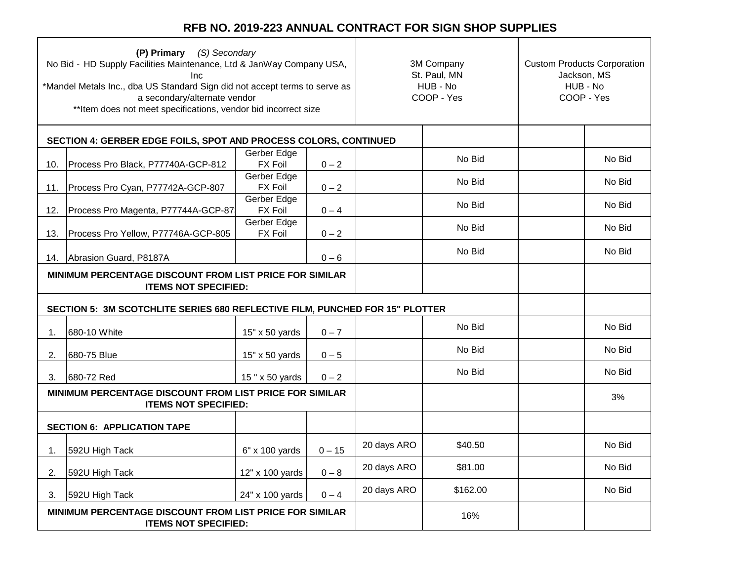|     | (P) Primary (S) Secondary<br>No Bid - HD Supply Facilities Maintenance, Ltd & JanWay Company USA,<br>Inc<br>*Mandel Metals Inc., dba US Standard Sign did not accept terms to serve as<br>a secondary/alternate vendor<br>** Item does not meet specifications, vendor bid incorrect size |                               |          | 3M Company<br>St. Paul, MN<br>HUB - No<br>COOP - Yes |          | <b>Custom Products Corporation</b><br>Jackson, MS<br>HUB - No<br>COOP - Yes |        |
|-----|-------------------------------------------------------------------------------------------------------------------------------------------------------------------------------------------------------------------------------------------------------------------------------------------|-------------------------------|----------|------------------------------------------------------|----------|-----------------------------------------------------------------------------|--------|
|     | SECTION 4: GERBER EDGE FOILS, SPOT AND PROCESS COLORS, CONTINUED                                                                                                                                                                                                                          |                               |          |                                                      |          |                                                                             |        |
| 10. | Process Pro Black, P77740A-GCP-812                                                                                                                                                                                                                                                        | Gerber Edge<br><b>FX Foil</b> | $0 - 2$  |                                                      | No Bid   |                                                                             | No Bid |
| 11. | Process Pro Cyan, P77742A-GCP-807                                                                                                                                                                                                                                                         | Gerber Edge<br><b>FX Foil</b> | $0 - 2$  |                                                      | No Bid   |                                                                             | No Bid |
| 12. | Process Pro Magenta, P77744A-GCP-87                                                                                                                                                                                                                                                       | Gerber Edge<br><b>FX Foil</b> | $0 - 4$  |                                                      | No Bid   |                                                                             | No Bid |
|     |                                                                                                                                                                                                                                                                                           | Gerber Edge<br><b>FX Foil</b> |          |                                                      | No Bid   |                                                                             | No Bid |
| 13. | Process Pro Yellow, P77746A-GCP-805                                                                                                                                                                                                                                                       |                               | $0 - 2$  |                                                      | No Bid   |                                                                             | No Bid |
| 14. | Abrasion Guard, P8187A<br>$0 - 6$<br>MINIMUM PERCENTAGE DISCOUNT FROM LIST PRICE FOR SIMILAR<br><b>ITEMS NOT SPECIFIED:</b>                                                                                                                                                               |                               |          |                                                      |          |                                                                             |        |
|     | SECTION 5: 3M SCOTCHLITE SERIES 680 REFLECTIVE FILM, PUNCHED FOR 15" PLOTTER                                                                                                                                                                                                              |                               |          |                                                      |          |                                                                             |        |
| 1.  | 680-10 White                                                                                                                                                                                                                                                                              | 15" x 50 yards                | $0 - 7$  |                                                      | No Bid   |                                                                             | No Bid |
| 2.  | 680-75 Blue                                                                                                                                                                                                                                                                               | 15" x 50 yards                | $0 - 5$  |                                                      | No Bid   |                                                                             | No Bid |
| 3.  | 680-72 Red                                                                                                                                                                                                                                                                                | 15 " x 50 yards               | $0 - 2$  |                                                      | No Bid   |                                                                             | No Bid |
|     | MINIMUM PERCENTAGE DISCOUNT FROM LIST PRICE FOR SIMILAR<br><b>ITEMS NOT SPECIFIED:</b>                                                                                                                                                                                                    |                               |          |                                                      |          |                                                                             | 3%     |
|     | <b>SECTION 6: APPLICATION TAPE</b>                                                                                                                                                                                                                                                        |                               |          |                                                      |          |                                                                             |        |
| 1.  | 592U High Tack                                                                                                                                                                                                                                                                            | 6" x 100 yards                | $0 - 15$ | 20 days ARO                                          | \$40.50  |                                                                             | No Bid |
| 2.  | 592U High Tack                                                                                                                                                                                                                                                                            | 12" x 100 yards               | $0-8$    | 20 days ARO                                          | \$81.00  |                                                                             | No Bid |
| 3.  | 592U High Tack                                                                                                                                                                                                                                                                            | 24" x 100 yards               | $0 - 4$  | 20 days ARO                                          | \$162.00 |                                                                             | No Bid |
|     | MINIMUM PERCENTAGE DISCOUNT FROM LIST PRICE FOR SIMILAR<br><b>ITEMS NOT SPECIFIED:</b>                                                                                                                                                                                                    |                               |          |                                                      | 16%      |                                                                             |        |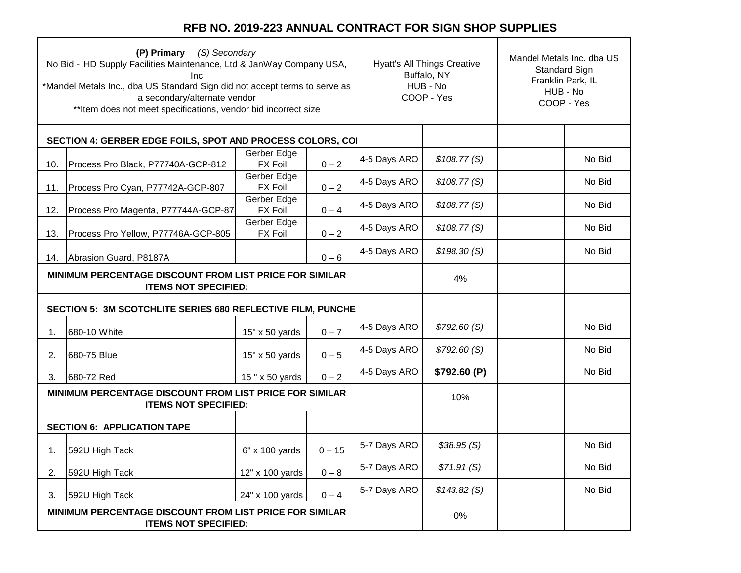|     | (P) Primary (S) Secondary<br>No Bid - HD Supply Facilities Maintenance, Ltd & JanWay Company USA,<br>Inc<br>*Mandel Metals Inc., dba US Standard Sign did not accept terms to serve as<br>a secondary/alternate vendor<br>** Item does not meet specifications, vendor bid incorrect size |                               |          | <b>Hyatt's All Things Creative</b><br>Buffalo, NY<br>HUB - No<br>COOP - Yes |             | Mandel Metals Inc. dba US<br>Standard Sign<br>Franklin Park, IL<br>HUB - No<br>COOP - Yes |        |
|-----|-------------------------------------------------------------------------------------------------------------------------------------------------------------------------------------------------------------------------------------------------------------------------------------------|-------------------------------|----------|-----------------------------------------------------------------------------|-------------|-------------------------------------------------------------------------------------------|--------|
|     | SECTION 4: GERBER EDGE FOILS, SPOT AND PROCESS COLORS, CO                                                                                                                                                                                                                                 |                               |          |                                                                             |             |                                                                                           |        |
| 10. | Process Pro Black, P77740A-GCP-812                                                                                                                                                                                                                                                        | Gerber Edge<br><b>FX Foil</b> | $0 - 2$  | 4-5 Days ARO                                                                | \$108.77(S) |                                                                                           | No Bid |
| 11. | Process Pro Cyan, P77742A-GCP-807                                                                                                                                                                                                                                                         | Gerber Edge<br><b>FX Foil</b> | $0 - 2$  | 4-5 Days ARO                                                                | \$108.77(S) |                                                                                           | No Bid |
| 12. | Process Pro Magenta, P77744A-GCP-87                                                                                                                                                                                                                                                       | Gerber Edge<br>FX Foil        | $0 - 4$  | 4-5 Days ARO                                                                | \$108.77(S) |                                                                                           | No Bid |
| 13. | Process Pro Yellow, P77746A-GCP-805                                                                                                                                                                                                                                                       | Gerber Edge<br><b>FX Foil</b> | $0 - 2$  | 4-5 Days ARO                                                                | \$108.77(S) |                                                                                           | No Bid |
| 14. | Abrasion Guard, P8187A                                                                                                                                                                                                                                                                    |                               | $0 - 6$  | 4-5 Days ARO                                                                | \$198.30(S) |                                                                                           | No Bid |
|     | MINIMUM PERCENTAGE DISCOUNT FROM LIST PRICE FOR SIMILAR<br><b>ITEMS NOT SPECIFIED:</b>                                                                                                                                                                                                    |                               |          |                                                                             | 4%          |                                                                                           |        |
|     | SECTION 5: 3M SCOTCHLITE SERIES 680 REFLECTIVE FILM, PUNCHE                                                                                                                                                                                                                               |                               |          |                                                                             |             |                                                                                           |        |
| 1.  | 680-10 White                                                                                                                                                                                                                                                                              | 15" x 50 yards                | $0 - 7$  | 4-5 Days ARO                                                                | \$792.60(S) |                                                                                           | No Bid |
| 2.  | 680-75 Blue                                                                                                                                                                                                                                                                               | $15" \times 50$ yards         | $0 - 5$  | 4-5 Days ARO                                                                | \$792.60(S) |                                                                                           | No Bid |
| 3.  | 680-72 Red                                                                                                                                                                                                                                                                                | 15" x 50 yards                | $0 - 2$  | 4-5 Days ARO                                                                | \$792.60(P) |                                                                                           | No Bid |
|     | MINIMUM PERCENTAGE DISCOUNT FROM LIST PRICE FOR SIMILAR<br><b>ITEMS NOT SPECIFIED:</b>                                                                                                                                                                                                    |                               |          |                                                                             | 10%         |                                                                                           |        |
|     | <b>SECTION 6: APPLICATION TAPE</b>                                                                                                                                                                                                                                                        |                               |          |                                                                             |             |                                                                                           |        |
| 1.  | 592U High Tack                                                                                                                                                                                                                                                                            | 6" x 100 yards                | $0 - 15$ | 5-7 Days ARO                                                                | \$38.95(S)  |                                                                                           | No Bid |
| 2.  | 592U High Tack                                                                                                                                                                                                                                                                            | 12" x 100 yards               | $0 - 8$  | 5-7 Days ARO                                                                | \$71.91(S)  |                                                                                           | No Bid |
| 3.  | 592U High Tack                                                                                                                                                                                                                                                                            | 24" x 100 yards               | $0 - 4$  | 5-7 Days ARO                                                                | \$143.82(S) |                                                                                           | No Bid |
|     | MINIMUM PERCENTAGE DISCOUNT FROM LIST PRICE FOR SIMILAR<br><b>ITEMS NOT SPECIFIED:</b>                                                                                                                                                                                                    |                               |          |                                                                             | 0%          |                                                                                           |        |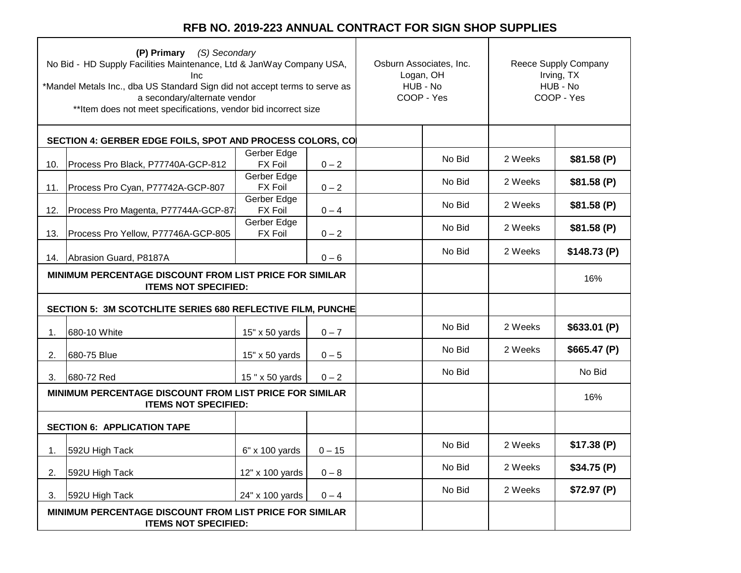|     | (P) Primary (S) Secondary<br>No Bid - HD Supply Facilities Maintenance, Ltd & JanWay Company USA,<br>Inc<br>*Mandel Metals Inc., dba US Standard Sign did not accept terms to serve as<br>a secondary/alternate vendor<br>** Item does not meet specifications, vendor bid incorrect size |                               | Osburn Associates, Inc.<br>Logan, OH<br>HUB - No<br>COOP - Yes |        | Reece Supply Company<br>Irving, TX<br>HUB - No<br>COOP - Yes |             |
|-----|-------------------------------------------------------------------------------------------------------------------------------------------------------------------------------------------------------------------------------------------------------------------------------------------|-------------------------------|----------------------------------------------------------------|--------|--------------------------------------------------------------|-------------|
|     | SECTION 4: GERBER EDGE FOILS, SPOT AND PROCESS COLORS, CO                                                                                                                                                                                                                                 |                               |                                                                |        |                                                              |             |
| 10. | Process Pro Black, P77740A-GCP-812                                                                                                                                                                                                                                                        | Gerber Edge<br><b>FX Foil</b> | $0 - 2$                                                        | No Bid | 2 Weeks                                                      | \$81.58(P)  |
| 11. | Process Pro Cyan, P77742A-GCP-807                                                                                                                                                                                                                                                         | Gerber Edge<br><b>FX Foil</b> | $0 - 2$                                                        | No Bid | 2 Weeks                                                      | \$81.58(P)  |
| 12. | Process Pro Magenta, P77744A-GCP-87                                                                                                                                                                                                                                                       | Gerber Edge<br><b>FX Foil</b> | $0 - 4$                                                        | No Bid | 2 Weeks                                                      | \$81.58(P)  |
| 13. | Process Pro Yellow, P77746A-GCP-805                                                                                                                                                                                                                                                       | Gerber Edge<br><b>FX Foil</b> | $0 - 2$                                                        | No Bid | 2 Weeks                                                      | \$81.58(P)  |
|     | 14. Abrasion Guard, P8187A                                                                                                                                                                                                                                                                |                               | $0 - 6$                                                        | No Bid | 2 Weeks                                                      | \$148.73(P) |
|     | MINIMUM PERCENTAGE DISCOUNT FROM LIST PRICE FOR SIMILAR<br><b>ITEMS NOT SPECIFIED:</b>                                                                                                                                                                                                    |                               |                                                                | 16%    |                                                              |             |
|     | SECTION 5: 3M SCOTCHLITE SERIES 680 REFLECTIVE FILM, PUNCHE                                                                                                                                                                                                                               |                               |                                                                |        |                                                              |             |
| 1.  | 680-10 White                                                                                                                                                                                                                                                                              | 15" x 50 yards                | $0 - 7$                                                        | No Bid | 2 Weeks                                                      | \$633.01(P) |
| 2.  | 680-75 Blue                                                                                                                                                                                                                                                                               | $15" \times 50$ yards         | $0 - 5$                                                        | No Bid | 2 Weeks                                                      | \$665.47(P) |
| 3.  | 680-72 Red                                                                                                                                                                                                                                                                                | 15" x 50 yards                | $0 - 2$                                                        | No Bid |                                                              | No Bid      |
|     | MINIMUM PERCENTAGE DISCOUNT FROM LIST PRICE FOR SIMILAR<br><b>ITEMS NOT SPECIFIED:</b>                                                                                                                                                                                                    |                               |                                                                |        |                                                              | 16%         |
|     | <b>SECTION 6: APPLICATION TAPE</b>                                                                                                                                                                                                                                                        |                               |                                                                |        |                                                              |             |
| 1.  | 592U High Tack                                                                                                                                                                                                                                                                            | 6" x 100 yards                | $0 - 15$                                                       | No Bid | 2 Weeks                                                      | \$17.38(P)  |
| 2.  | 592U High Tack                                                                                                                                                                                                                                                                            | 12" x 100 yards               | $0 - 8$                                                        | No Bid | 2 Weeks                                                      | \$34.75(P)  |
| 3.  | 592U High Tack                                                                                                                                                                                                                                                                            | 24" x 100 yards               | $0 - 4$                                                        | No Bid | 2 Weeks                                                      | \$72.97(P)  |
|     | MINIMUM PERCENTAGE DISCOUNT FROM LIST PRICE FOR SIMILAR<br><b>ITEMS NOT SPECIFIED:</b>                                                                                                                                                                                                    |                               |                                                                |        |                                                              |             |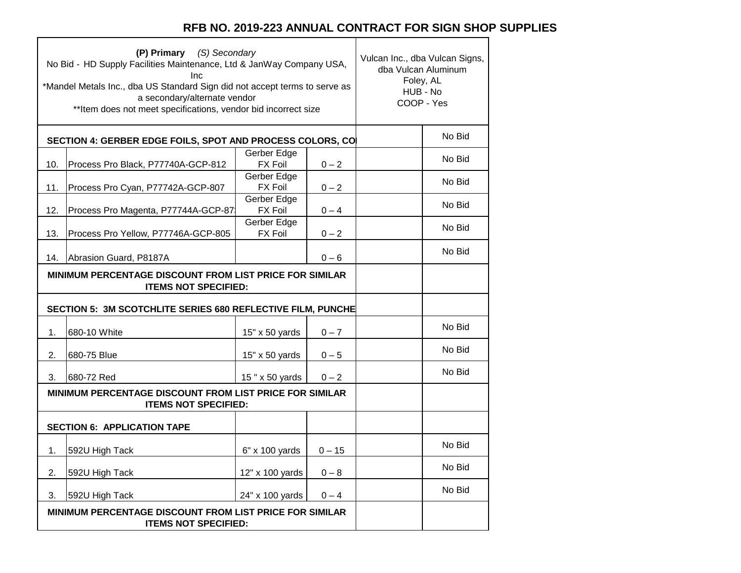┑

|     | (P) Primary (S) Secondary<br>No Bid - HD Supply Facilities Maintenance, Ltd & JanWay Company USA,<br>Inc<br>*Mandel Metals Inc., dba US Standard Sign did not accept terms to serve as<br>a secondary/alternate vendor<br>** Item does not meet specifications, vendor bid incorrect size |                               | Vulcan Inc., dba Vulcan Signs,<br>dba Vulcan Aluminum<br>Foley, AL<br>HUB - No<br>COOP - Yes |  |        |
|-----|-------------------------------------------------------------------------------------------------------------------------------------------------------------------------------------------------------------------------------------------------------------------------------------------|-------------------------------|----------------------------------------------------------------------------------------------|--|--------|
|     | SECTION 4: GERBER EDGE FOILS, SPOT AND PROCESS COLORS, CO                                                                                                                                                                                                                                 |                               |                                                                                              |  | No Bid |
| 10. | Process Pro Black, P77740A-GCP-812                                                                                                                                                                                                                                                        | Gerber Edge<br><b>FX Foil</b> | $0 - 2$                                                                                      |  | No Bid |
| 11. | Process Pro Cyan, P77742A-GCP-807                                                                                                                                                                                                                                                         | Gerber Edge<br><b>FX Foil</b> | $0 - 2$                                                                                      |  | No Bid |
| 12. | Process Pro Magenta, P77744A-GCP-87                                                                                                                                                                                                                                                       | Gerber Edge<br><b>FX Foil</b> | $0 - 4$                                                                                      |  | No Bid |
| 13. | Process Pro Yellow, P77746A-GCP-805                                                                                                                                                                                                                                                       | Gerber Edge<br><b>FX Foil</b> | $0 - 2$                                                                                      |  | No Bid |
| 14. | Abrasion Guard, P8187A                                                                                                                                                                                                                                                                    |                               | $0 - 6$                                                                                      |  | No Bid |
|     | MINIMUM PERCENTAGE DISCOUNT FROM LIST PRICE FOR SIMILAR<br><b>ITEMS NOT SPECIFIED:</b>                                                                                                                                                                                                    |                               |                                                                                              |  |        |
|     | SECTION 5: 3M SCOTCHLITE SERIES 680 REFLECTIVE FILM, PUNCHE                                                                                                                                                                                                                               |                               |                                                                                              |  |        |
| 1.  | 680-10 White                                                                                                                                                                                                                                                                              | 15" x 50 yards                | $0 - 7$                                                                                      |  | No Bid |
| 2.  | 680-75 Blue                                                                                                                                                                                                                                                                               | 15" x 50 yards                | $0 - 5$                                                                                      |  | No Bid |
| 3.  | 680-72 Red                                                                                                                                                                                                                                                                                | 15" x 50 yards                | $0 - 2$                                                                                      |  | No Bid |
|     | MINIMUM PERCENTAGE DISCOUNT FROM LIST PRICE FOR SIMILAR<br><b>ITEMS NOT SPECIFIED:</b>                                                                                                                                                                                                    |                               |                                                                                              |  |        |
|     | <b>SECTION 6: APPLICATION TAPE</b>                                                                                                                                                                                                                                                        |                               |                                                                                              |  |        |
| 1.  | 592U High Tack                                                                                                                                                                                                                                                                            | 6" x 100 yards                | $0 - 15$                                                                                     |  | No Bid |
| 2.  | 592U High Tack                                                                                                                                                                                                                                                                            | 12" x 100 yards               | $0 - 8$                                                                                      |  | No Bid |
| 3.  | 592U High Tack                                                                                                                                                                                                                                                                            | 24" x 100 yards               | $0 - 4$                                                                                      |  | No Bid |
|     | MINIMUM PERCENTAGE DISCOUNT FROM LIST PRICE FOR SIMILAR<br><b>ITEMS NOT SPECIFIED:</b>                                                                                                                                                                                                    |                               |                                                                                              |  |        |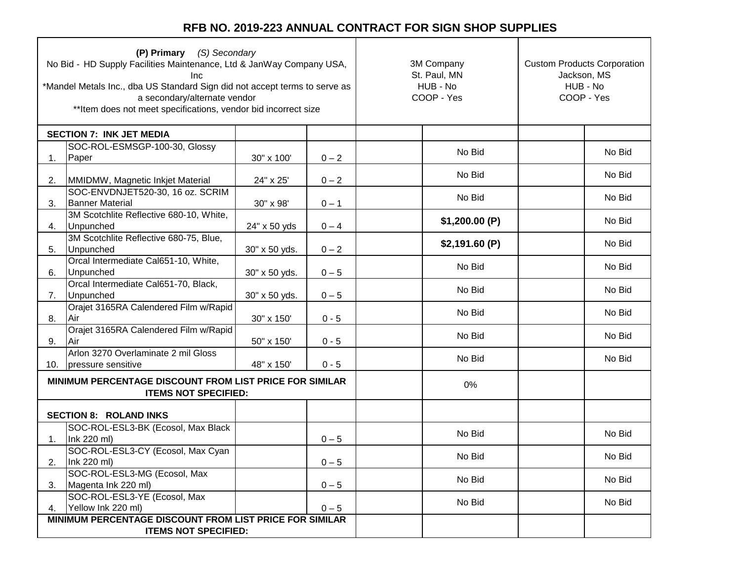| (P) Primary (S) Secondary<br>No Bid - HD Supply Facilities Maintenance, Ltd & JanWay Company USA,<br>Inc<br>*Mandel Metals Inc., dba US Standard Sign did not accept terms to serve as<br>a secondary/alternate vendor<br>** Item does not meet specifications, vendor bid incorrect size |                                                                                        | 3M Company<br>St. Paul, MN<br>HUB - No<br>COOP - Yes | <b>Custom Products Corporation</b><br>Jackson, MS<br>HUB - No<br>COOP - Yes |               |  |        |
|-------------------------------------------------------------------------------------------------------------------------------------------------------------------------------------------------------------------------------------------------------------------------------------------|----------------------------------------------------------------------------------------|------------------------------------------------------|-----------------------------------------------------------------------------|---------------|--|--------|
|                                                                                                                                                                                                                                                                                           | <b>SECTION 7: INK JET MEDIA</b>                                                        |                                                      |                                                                             |               |  |        |
| 1.                                                                                                                                                                                                                                                                                        | SOC-ROL-ESMSGP-100-30, Glossy<br>Paper                                                 | 30" x 100'                                           | $0 - 2$                                                                     | No Bid        |  | No Bid |
| 2.                                                                                                                                                                                                                                                                                        | MMIDMW, Magnetic Inkjet Material                                                       | 24" x 25'                                            | $0 - 2$                                                                     | No Bid        |  | No Bid |
| 3.                                                                                                                                                                                                                                                                                        | SOC-ENVDNJET520-30, 16 oz. SCRIM<br><b>Banner Material</b>                             | 30" x 98'                                            | $0 - 1$                                                                     | No Bid        |  | No Bid |
| 4.                                                                                                                                                                                                                                                                                        | 3M Scotchlite Reflective 680-10, White,<br>Unpunched                                   | 24" x 50 yds                                         | $0 - 4$                                                                     | \$1,200.00(P) |  | No Bid |
| 5.                                                                                                                                                                                                                                                                                        | 3M Scotchlite Reflective 680-75, Blue,<br>Unpunched                                    | 30" x 50 yds.                                        | $0 - 2$                                                                     | \$2,191.60(P) |  | No Bid |
| 6.                                                                                                                                                                                                                                                                                        | Orcal Intermediate Cal651-10, White,<br>Unpunched                                      | 30" x 50 yds.                                        | $0 - 5$                                                                     | No Bid        |  | No Bid |
| 7.                                                                                                                                                                                                                                                                                        | Orcal Intermediate Cal651-70, Black,<br>Unpunched                                      | 30" x 50 yds.                                        | $0 - 5$                                                                     | No Bid        |  | No Bid |
| 8.                                                                                                                                                                                                                                                                                        | Orajet 3165RA Calendered Film w/Rapid<br> Air                                          | 30" x 150'                                           | $0 - 5$                                                                     | No Bid        |  | No Bid |
| 9.                                                                                                                                                                                                                                                                                        | Orajet 3165RA Calendered Film w/Rapid<br>Air                                           | 50" x 150'                                           | $0 - 5$                                                                     | No Bid        |  | No Bid |
| 10.                                                                                                                                                                                                                                                                                       | Arlon 3270 Overlaminate 2 mil Gloss<br>pressure sensitive                              | 48" x 150'                                           | $0 - 5$                                                                     | No Bid        |  | No Bid |
|                                                                                                                                                                                                                                                                                           | MINIMUM PERCENTAGE DISCOUNT FROM LIST PRICE FOR SIMILAR<br><b>ITEMS NOT SPECIFIED:</b> |                                                      |                                                                             | 0%            |  |        |
|                                                                                                                                                                                                                                                                                           | <b>SECTION 8: ROLAND INKS</b>                                                          |                                                      |                                                                             |               |  |        |
| 1.                                                                                                                                                                                                                                                                                        | SOC-ROL-ESL3-BK (Ecosol, Max Black<br>Ink 220 ml)                                      |                                                      | $0 - 5$                                                                     | No Bid        |  | No Bid |
| 2.                                                                                                                                                                                                                                                                                        | SOC-ROL-ESL3-CY (Ecosol, Max Cyan<br>Ink 220 ml)                                       |                                                      | $0 - 5$                                                                     | No Bid        |  | No Bid |
| 3.                                                                                                                                                                                                                                                                                        | SOC-ROL-ESL3-MG (Ecosol, Max<br>Magenta Ink 220 ml)                                    |                                                      | $0 - 5$                                                                     | No Bid        |  | No Bid |
| 4.                                                                                                                                                                                                                                                                                        | SOC-ROL-ESL3-YE (Ecosol, Max<br>Yellow Ink 220 ml)                                     |                                                      | $0 - 5$                                                                     | No Bid        |  | No Bid |
|                                                                                                                                                                                                                                                                                           | MINIMUM PERCENTAGE DISCOUNT FROM LIST PRICE FOR SIMILAR                                |                                                      |                                                                             |               |  |        |
|                                                                                                                                                                                                                                                                                           | <b>ITEMS NOT SPECIFIED:</b>                                                            |                                                      |                                                                             |               |  |        |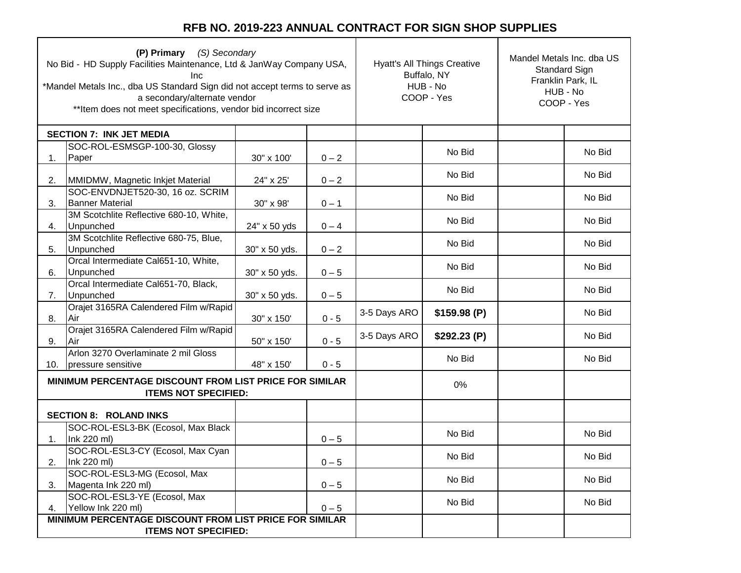| (P) Primary (S) Secondary<br>No Bid - HD Supply Facilities Maintenance, Ltd & JanWay Company USA,<br>Inc<br>*Mandel Metals Inc., dba US Standard Sign did not accept terms to serve as<br>a secondary/alternate vendor<br>** Item does not meet specifications, vendor bid incorrect size |                                                                                        |               |         | <b>Hyatt's All Things Creative</b><br>Buffalo, NY<br>HUB - No<br>COOP - Yes |             | Mandel Metals Inc. dba US<br>Standard Sign<br>Franklin Park, IL<br>HUB - No<br>COOP - Yes |        |
|-------------------------------------------------------------------------------------------------------------------------------------------------------------------------------------------------------------------------------------------------------------------------------------------|----------------------------------------------------------------------------------------|---------------|---------|-----------------------------------------------------------------------------|-------------|-------------------------------------------------------------------------------------------|--------|
|                                                                                                                                                                                                                                                                                           | <b>SECTION 7: INK JET MEDIA</b>                                                        |               |         |                                                                             |             |                                                                                           |        |
| 1.                                                                                                                                                                                                                                                                                        | SOC-ROL-ESMSGP-100-30, Glossy<br>Paper                                                 | 30" x 100'    | $0 - 2$ |                                                                             | No Bid      |                                                                                           | No Bid |
| 2.                                                                                                                                                                                                                                                                                        | MMIDMW, Magnetic Inkjet Material                                                       | 24" x 25'     | $0 - 2$ |                                                                             | No Bid      |                                                                                           | No Bid |
| 3.                                                                                                                                                                                                                                                                                        | SOC-ENVDNJET520-30, 16 oz. SCRIM<br><b>Banner Material</b>                             | 30" x 98'     | $0 - 1$ |                                                                             | No Bid      |                                                                                           | No Bid |
| 4.                                                                                                                                                                                                                                                                                        | 3M Scotchlite Reflective 680-10, White,<br>Unpunched                                   | 24" x 50 yds  | $0 - 4$ |                                                                             | No Bid      |                                                                                           | No Bid |
| 5.                                                                                                                                                                                                                                                                                        | 3M Scotchlite Reflective 680-75, Blue,<br>Unpunched                                    | 30" x 50 yds. | $0 - 2$ |                                                                             | No Bid      |                                                                                           | No Bid |
| 6.                                                                                                                                                                                                                                                                                        | Orcal Intermediate Cal651-10, White,<br>Unpunched                                      | 30" x 50 yds. | $0 - 5$ |                                                                             | No Bid      |                                                                                           | No Bid |
| 7.                                                                                                                                                                                                                                                                                        | Orcal Intermediate Cal651-70, Black,<br>Unpunched                                      | 30" x 50 yds. | $0 - 5$ |                                                                             | No Bid      |                                                                                           | No Bid |
| 8.                                                                                                                                                                                                                                                                                        | Orajet 3165RA Calendered Film w/Rapid<br>.<br>Air                                      | 30" x 150'    | $0 - 5$ | 3-5 Days ARO                                                                | \$159.98(P) |                                                                                           | No Bid |
| 9.                                                                                                                                                                                                                                                                                        | Orajet 3165RA Calendered Film w/Rapid<br>.<br>Air                                      | 50" x 150'    | $0 - 5$ | 3-5 Days ARO                                                                | \$292.23(P) |                                                                                           | No Bid |
| 10.                                                                                                                                                                                                                                                                                       | Arlon 3270 Overlaminate 2 mil Gloss<br>pressure sensitive                              | 48" x 150'    | $0 - 5$ |                                                                             | No Bid      |                                                                                           | No Bid |
|                                                                                                                                                                                                                                                                                           | MINIMUM PERCENTAGE DISCOUNT FROM LIST PRICE FOR SIMILAR<br><b>ITEMS NOT SPECIFIED:</b> |               |         |                                                                             | 0%          |                                                                                           |        |
|                                                                                                                                                                                                                                                                                           | <b>SECTION 8: ROLAND INKS</b>                                                          |               |         |                                                                             |             |                                                                                           |        |
| 1.                                                                                                                                                                                                                                                                                        | SOC-ROL-ESL3-BK (Ecosol, Max Black<br>Ink 220 ml)                                      |               | $0 - 5$ |                                                                             | No Bid      |                                                                                           | No Bid |
| 2.                                                                                                                                                                                                                                                                                        | SOC-ROL-ESL3-CY (Ecosol, Max Cyan<br>Ink 220 ml)                                       |               | $0 - 5$ |                                                                             | No Bid      |                                                                                           | No Bid |
| 3.                                                                                                                                                                                                                                                                                        | SOC-ROL-ESL3-MG (Ecosol, Max<br>Magenta Ink 220 ml)                                    |               | $0 - 5$ |                                                                             | No Bid      |                                                                                           | No Bid |
| 4.                                                                                                                                                                                                                                                                                        | SOC-ROL-ESL3-YE (Ecosol, Max<br>Yellow Ink 220 ml)                                     |               | $0 - 5$ |                                                                             | No Bid      |                                                                                           | No Bid |
|                                                                                                                                                                                                                                                                                           | MINIMUM PERCENTAGE DISCOUNT FROM LIST PRICE FOR SIMILAR                                |               |         |                                                                             |             |                                                                                           |        |
|                                                                                                                                                                                                                                                                                           | <b>ITEMS NOT SPECIFIED:</b>                                                            |               |         |                                                                             |             |                                                                                           |        |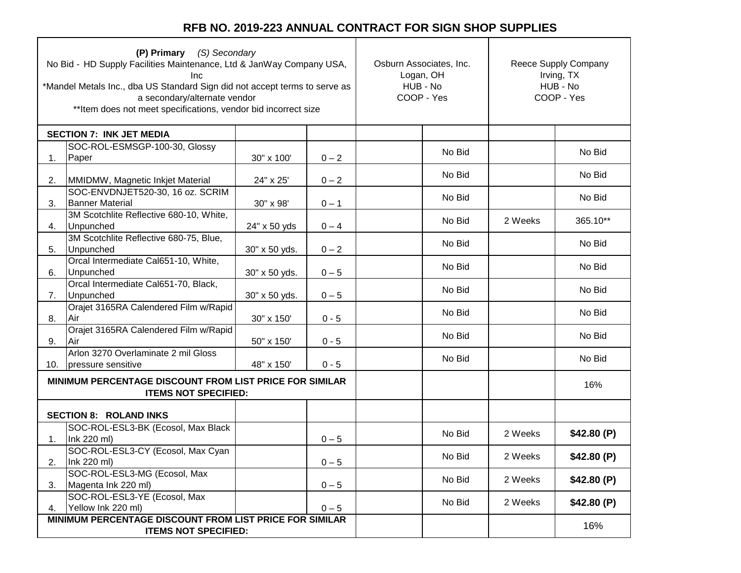| (P) Primary (S) Secondary<br>No Bid - HD Supply Facilities Maintenance, Ltd & JanWay Company USA,<br>Inc<br>*Mandel Metals Inc., dba US Standard Sign did not accept terms to serve as<br>a secondary/alternate vendor<br>** Item does not meet specifications, vendor bid incorrect size |                                                                                        |               | Osburn Associates, Inc.<br>Logan, OH<br>HUB - No<br>COOP - Yes | Reece Supply Company<br>Irving, TX<br>HUB - No<br>COOP - Yes |         |            |
|-------------------------------------------------------------------------------------------------------------------------------------------------------------------------------------------------------------------------------------------------------------------------------------------|----------------------------------------------------------------------------------------|---------------|----------------------------------------------------------------|--------------------------------------------------------------|---------|------------|
|                                                                                                                                                                                                                                                                                           | <b>SECTION 7: INK JET MEDIA</b>                                                        |               |                                                                |                                                              |         |            |
| 1.                                                                                                                                                                                                                                                                                        | SOC-ROL-ESMSGP-100-30, Glossy<br>Paper                                                 | 30" x 100'    | $0 - 2$                                                        | No Bid                                                       |         | No Bid     |
| 2.                                                                                                                                                                                                                                                                                        | MMIDMW, Magnetic Inkjet Material                                                       | 24" x 25'     | $0 - 2$                                                        | No Bid                                                       |         | No Bid     |
| 3.                                                                                                                                                                                                                                                                                        | SOC-ENVDNJET520-30, 16 oz. SCRIM<br><b>Banner Material</b>                             | 30" x 98'     | $0 - 1$                                                        | No Bid                                                       |         | No Bid     |
| 4.                                                                                                                                                                                                                                                                                        | 3M Scotchlite Reflective 680-10, White,<br>Unpunched                                   | 24" x 50 yds  | $0 - 4$                                                        | No Bid                                                       | 2 Weeks | 365.10**   |
| 5.                                                                                                                                                                                                                                                                                        | 3M Scotchlite Reflective 680-75, Blue,<br>Unpunched                                    | 30" x 50 yds. | $0 - 2$                                                        | No Bid                                                       |         | No Bid     |
| 6.                                                                                                                                                                                                                                                                                        | Orcal Intermediate Cal651-10, White,<br>Unpunched                                      | 30" x 50 yds. | $0 - 5$                                                        | No Bid                                                       |         | No Bid     |
| 7.                                                                                                                                                                                                                                                                                        | Orcal Intermediate Cal651-70, Black,<br>Unpunched                                      | 30" x 50 yds. | $0 - 5$                                                        | No Bid                                                       |         | No Bid     |
| 8.                                                                                                                                                                                                                                                                                        | Orajet 3165RA Calendered Film w/Rapid<br>l Air                                         | 30" x 150'    | $0 - 5$                                                        | No Bid                                                       |         | No Bid     |
| 9.                                                                                                                                                                                                                                                                                        | Orajet 3165RA Calendered Film w/Rapid<br><b>IAir</b>                                   | 50" x 150'    | $0 - 5$                                                        | No Bid                                                       |         | No Bid     |
| 10.                                                                                                                                                                                                                                                                                       | Arlon 3270 Overlaminate 2 mil Gloss<br>pressure sensitive                              | 48" x 150'    | $0 - 5$                                                        | No Bid                                                       |         | No Bid     |
|                                                                                                                                                                                                                                                                                           | MINIMUM PERCENTAGE DISCOUNT FROM LIST PRICE FOR SIMILAR<br><b>ITEMS NOT SPECIFIED:</b> |               |                                                                |                                                              |         | 16%        |
|                                                                                                                                                                                                                                                                                           | <b>SECTION 8: ROLAND INKS</b>                                                          |               |                                                                |                                                              |         |            |
| 1.                                                                                                                                                                                                                                                                                        | SOC-ROL-ESL3-BK (Ecosol, Max Black<br>Ink 220 ml)                                      |               | $0 - 5$                                                        | No Bid                                                       | 2 Weeks | \$42.80(P) |
| 2.                                                                                                                                                                                                                                                                                        | SOC-ROL-ESL3-CY (Ecosol, Max Cyan<br>Ink 220 ml)                                       |               | $0 - 5$                                                        | No Bid                                                       | 2 Weeks | \$42.80(P) |
| 3.                                                                                                                                                                                                                                                                                        | SOC-ROL-ESL3-MG (Ecosol, Max<br>Magenta Ink 220 ml)                                    |               | $0 - 5$                                                        | No Bid                                                       | 2 Weeks | \$42.80(P) |
| 4.                                                                                                                                                                                                                                                                                        | SOC-ROL-ESL3-YE (Ecosol, Max<br>Yellow Ink 220 ml)                                     |               | $0 - 5$                                                        | No Bid                                                       | 2 Weeks | \$42.80(P) |
|                                                                                                                                                                                                                                                                                           | MINIMUM PERCENTAGE DISCOUNT FROM LIST PRICE FOR SIMILAR<br><b>ITEMS NOT SPECIFIED:</b> |               |                                                                |                                                              |         | 16%        |
|                                                                                                                                                                                                                                                                                           |                                                                                        |               |                                                                |                                                              |         |            |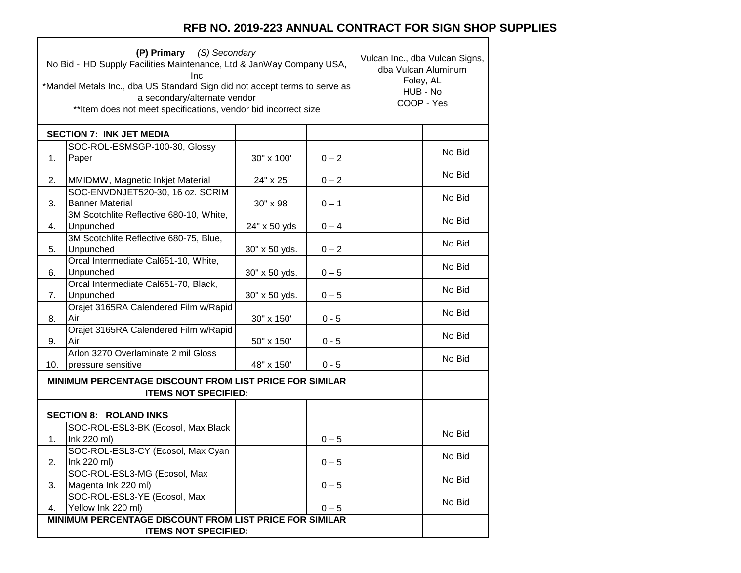┑

|     | (P) Primary (S) Secondary<br>No Bid - HD Supply Facilities Maintenance, Ltd & JanWay Company USA,<br>Inc<br>*Mandel Metals Inc., dba US Standard Sign did not accept terms to serve as<br>a secondary/alternate vendor<br>** Item does not meet specifications, vendor bid incorrect size |               | Vulcan Inc., dba Vulcan Signs,<br>dba Vulcan Aluminum<br>Foley, AL<br>HUB - No<br>COOP - Yes |  |        |
|-----|-------------------------------------------------------------------------------------------------------------------------------------------------------------------------------------------------------------------------------------------------------------------------------------------|---------------|----------------------------------------------------------------------------------------------|--|--------|
|     | <b>SECTION 7: INK JET MEDIA</b>                                                                                                                                                                                                                                                           |               |                                                                                              |  |        |
|     | SOC-ROL-ESMSGP-100-30, Glossy                                                                                                                                                                                                                                                             |               |                                                                                              |  | No Bid |
| 1.  | Paper                                                                                                                                                                                                                                                                                     | 30" x 100'    | $0 - 2$                                                                                      |  |        |
| 2.  | MMIDMW, Magnetic Inkjet Material                                                                                                                                                                                                                                                          | 24" x 25'     | $0 - 2$                                                                                      |  | No Bid |
| 3.  | SOC-ENVDNJET520-30, 16 oz. SCRIM<br><b>Banner Material</b>                                                                                                                                                                                                                                | 30" x 98'     | $0 - 1$                                                                                      |  | No Bid |
| 4.  | 3M Scotchlite Reflective 680-10, White,<br>Unpunched                                                                                                                                                                                                                                      | 24" x 50 yds  | $0 - 4$                                                                                      |  | No Bid |
| 5.  | 3M Scotchlite Reflective 680-75, Blue,<br>Unpunched                                                                                                                                                                                                                                       | 30" x 50 yds. | $0 - 2$                                                                                      |  | No Bid |
| 6.  | Orcal Intermediate Cal651-10, White,<br>Unpunched                                                                                                                                                                                                                                         | 30" x 50 yds. | $0 - 5$                                                                                      |  | No Bid |
| 7.  | Orcal Intermediate Cal651-70, Black,<br>Unpunched                                                                                                                                                                                                                                         | 30" x 50 yds. | $0 - 5$                                                                                      |  | No Bid |
| 8.  | Orajet 3165RA Calendered Film w/Rapid<br>Air                                                                                                                                                                                                                                              | 30" x 150'    | $0 - 5$                                                                                      |  | No Bid |
| 9.  | Orajet 3165RA Calendered Film w/Rapid<br>Air                                                                                                                                                                                                                                              | 50" x 150'    | $0 - 5$                                                                                      |  | No Bid |
|     | Arlon 3270 Overlaminate 2 mil Gloss                                                                                                                                                                                                                                                       |               |                                                                                              |  |        |
| 10. | pressure sensitive                                                                                                                                                                                                                                                                        | 48" x 150'    | $0 - 5$                                                                                      |  | No Bid |
|     | MINIMUM PERCENTAGE DISCOUNT FROM LIST PRICE FOR SIMILAR<br><b>ITEMS NOT SPECIFIED:</b>                                                                                                                                                                                                    |               |                                                                                              |  |        |
|     | <b>SECTION 8: ROLAND INKS</b>                                                                                                                                                                                                                                                             |               |                                                                                              |  |        |
| 1.  | SOC-ROL-ESL3-BK (Ecosol, Max Black<br>Ink 220 ml)                                                                                                                                                                                                                                         |               | $0 - 5$                                                                                      |  | No Bid |
|     | SOC-ROL-ESL3-CY (Ecosol, Max Cyan                                                                                                                                                                                                                                                         |               |                                                                                              |  | No Bid |
| 2.  | Ink 220 ml)<br>SOC-ROL-ESL3-MG (Ecosol, Max                                                                                                                                                                                                                                               |               | $0 - 5$                                                                                      |  | No Bid |
| 3.  | Magenta Ink 220 ml)                                                                                                                                                                                                                                                                       |               | $0 - 5$                                                                                      |  |        |
| 4.  | SOC-ROL-ESL3-YE (Ecosol, Max<br>Yellow Ink 220 ml)                                                                                                                                                                                                                                        |               | $0 - 5$                                                                                      |  | No Bid |
|     | MINIMUM PERCENTAGE DISCOUNT FROM LIST PRICE FOR SIMILAR                                                                                                                                                                                                                                   |               |                                                                                              |  |        |
|     | <b>ITEMS NOT SPECIFIED:</b>                                                                                                                                                                                                                                                               |               |                                                                                              |  |        |

Г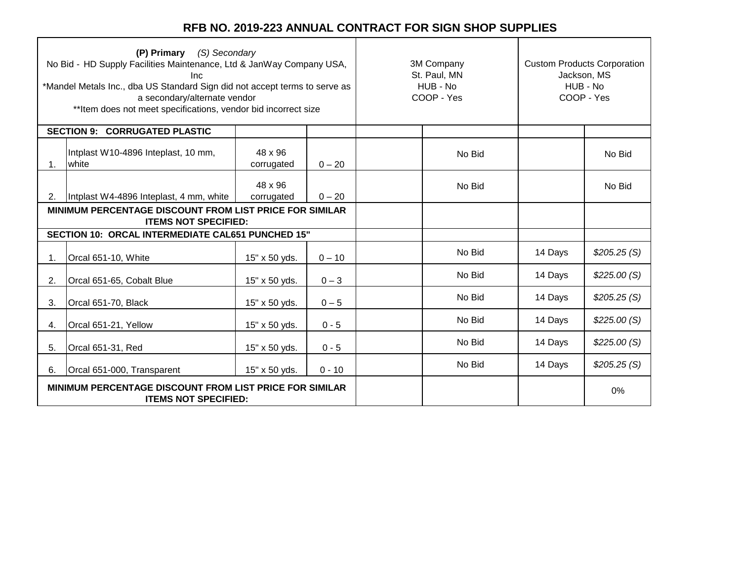| (P) Primary (S) Secondary<br>No Bid - HD Supply Facilities Maintenance, Ltd & JanWay Company USA,<br>Inc<br>*Mandel Metals Inc., dba US Standard Sign did not accept terms to serve as<br>a secondary/alternate vendor<br>** Item does not meet specifications, vendor bid incorrect size |                                                                                               |                       | 3M Company<br>St. Paul, MN<br>HUB - No<br>COOP - Yes |        | <b>Custom Products Corporation</b><br>Jackson, MS<br>HUB - No<br>COOP - Yes |             |
|-------------------------------------------------------------------------------------------------------------------------------------------------------------------------------------------------------------------------------------------------------------------------------------------|-----------------------------------------------------------------------------------------------|-----------------------|------------------------------------------------------|--------|-----------------------------------------------------------------------------|-------------|
|                                                                                                                                                                                                                                                                                           | <b>SECTION 9: CORRUGATED PLASTIC</b>                                                          |                       |                                                      |        |                                                                             |             |
| 1.                                                                                                                                                                                                                                                                                        | Intplast W10-4896 Inteplast, 10 mm,<br>white                                                  | 48 x 96<br>corrugated | $0 - 20$                                             | No Bid |                                                                             | No Bid      |
| 2.                                                                                                                                                                                                                                                                                        | Intplast W4-4896 Inteplast, 4 mm, white                                                       | 48 x 96<br>corrugated | $0 - 20$                                             | No Bid |                                                                             | No Bid      |
|                                                                                                                                                                                                                                                                                           | MINIMUM PERCENTAGE DISCOUNT FROM LIST PRICE FOR SIMILAR<br><b>ITEMS NOT SPECIFIED:</b>        |                       |                                                      |        |                                                                             |             |
|                                                                                                                                                                                                                                                                                           | SECTION 10: ORCAL INTERMEDIATE CAL651 PUNCHED 15"                                             |                       |                                                      |        |                                                                             |             |
| 1.                                                                                                                                                                                                                                                                                        | Orcal 651-10, White                                                                           | 15" x 50 yds.         | $0 - 10$                                             | No Bid | 14 Days                                                                     | \$205.25(S) |
| 2.                                                                                                                                                                                                                                                                                        | Orcal 651-65, Cobalt Blue                                                                     | 15" x 50 yds.         | $0 - 3$                                              | No Bid | 14 Days                                                                     | \$225.00(S) |
| 3.                                                                                                                                                                                                                                                                                        | Orcal 651-70, Black                                                                           | 15" x 50 yds.         | $0 - 5$                                              | No Bid | 14 Days                                                                     | \$205.25(S) |
| 4.                                                                                                                                                                                                                                                                                        | Orcal 651-21, Yellow                                                                          | 15" x 50 yds.         | $0 - 5$                                              | No Bid | 14 Days                                                                     | \$225.00(S) |
| 5.                                                                                                                                                                                                                                                                                        | Orcal 651-31, Red                                                                             | 15" x 50 yds.         | $0 - 5$                                              | No Bid | 14 Days                                                                     | \$225.00(S) |
| 6.                                                                                                                                                                                                                                                                                        | Orcal 651-000, Transparent                                                                    | 15" x 50 yds.         | $0 - 10$                                             | No Bid | 14 Days                                                                     | \$205.25(S) |
|                                                                                                                                                                                                                                                                                           | <b>MINIMUM PERCENTAGE DISCOUNT FROM LIST PRICE FOR SIMILAR</b><br><b>ITEMS NOT SPECIFIED:</b> |                       |                                                      |        |                                                                             | 0%          |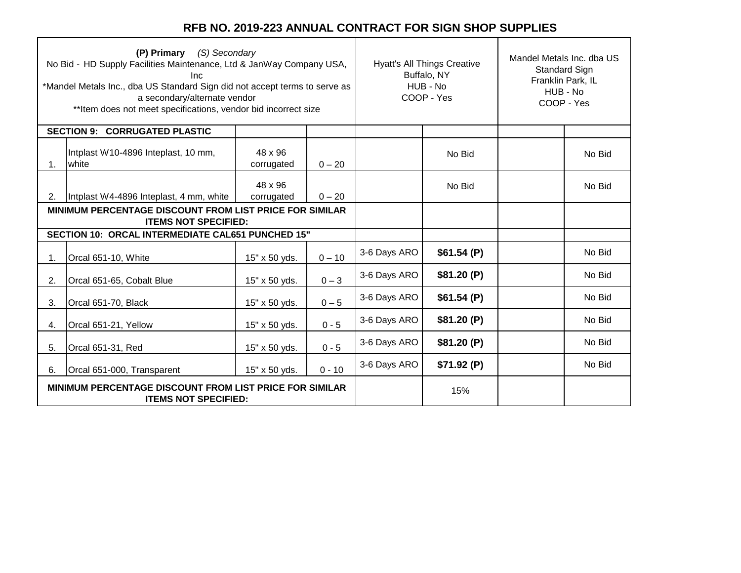| (P) Primary (S) Secondary<br>No Bid - HD Supply Facilities Maintenance, Ltd & JanWay Company USA,<br>Inc<br>*Mandel Metals Inc., dba US Standard Sign did not accept terms to serve as<br>a secondary/alternate vendor<br>** Item does not meet specifications, vendor bid incorrect size |                                                                                               |                       | <b>Hyatt's All Things Creative</b><br>Buffalo, NY<br>HUB - No<br>COOP - Yes |              | Mandel Metals Inc. dba US<br><b>Standard Sign</b><br>Franklin Park, IL<br>HUB - No<br>COOP - Yes |  |        |
|-------------------------------------------------------------------------------------------------------------------------------------------------------------------------------------------------------------------------------------------------------------------------------------------|-----------------------------------------------------------------------------------------------|-----------------------|-----------------------------------------------------------------------------|--------------|--------------------------------------------------------------------------------------------------|--|--------|
|                                                                                                                                                                                                                                                                                           | <b>CORRUGATED PLASTIC</b><br><b>SECTION 9:</b>                                                |                       |                                                                             |              |                                                                                                  |  |        |
| 1.                                                                                                                                                                                                                                                                                        | Intplast W10-4896 Inteplast, 10 mm,<br>white                                                  | 48 x 96<br>corrugated | $0 - 20$                                                                    |              | No Bid                                                                                           |  | No Bid |
| 2.                                                                                                                                                                                                                                                                                        | Intplast W4-4896 Inteplast, 4 mm, white                                                       | 48 x 96<br>corrugated | $0 - 20$                                                                    |              | No Bid                                                                                           |  | No Bid |
|                                                                                                                                                                                                                                                                                           | <b>MINIMUM PERCENTAGE DISCOUNT FROM LIST PRICE FOR SIMILAR</b><br><b>ITEMS NOT SPECIFIED:</b> |                       |                                                                             |              |                                                                                                  |  |        |
|                                                                                                                                                                                                                                                                                           | SECTION 10: ORCAL INTERMEDIATE CAL651 PUNCHED 15"                                             |                       |                                                                             |              |                                                                                                  |  |        |
| 1.                                                                                                                                                                                                                                                                                        | Orcal 651-10, White                                                                           | 15" x 50 yds.         | $0 - 10$                                                                    | 3-6 Days ARO | \$61.54(P)                                                                                       |  | No Bid |
| 2.                                                                                                                                                                                                                                                                                        | Orcal 651-65, Cobalt Blue                                                                     | 15" x 50 yds.         | $0 - 3$                                                                     | 3-6 Days ARO | \$81.20(P)                                                                                       |  | No Bid |
| 3.                                                                                                                                                                                                                                                                                        | Orcal 651-70, Black                                                                           | 15" x 50 yds.         | $0 - 5$                                                                     | 3-6 Days ARO | \$61.54(P)                                                                                       |  | No Bid |
| 4.                                                                                                                                                                                                                                                                                        | Orcal 651-21, Yellow                                                                          | 15" x 50 yds.         | $0 - 5$                                                                     | 3-6 Days ARO | \$81.20(P)                                                                                       |  | No Bid |
| 5.                                                                                                                                                                                                                                                                                        | Orcal 651-31, Red                                                                             | 15" x 50 yds.         | $0 - 5$                                                                     | 3-6 Days ARO | \$81.20(P)                                                                                       |  | No Bid |
| 6.                                                                                                                                                                                                                                                                                        | Orcal 651-000, Transparent                                                                    | 15" x 50 yds.         | $0 - 10$                                                                    | 3-6 Days ARO | \$71.92(P)                                                                                       |  | No Bid |
| <b>MINIMUM PERCENTAGE DISCOUNT FROM LIST PRICE FOR SIMILAR</b><br><b>ITEMS NOT SPECIFIED:</b>                                                                                                                                                                                             |                                                                                               |                       |                                                                             |              | 15%                                                                                              |  |        |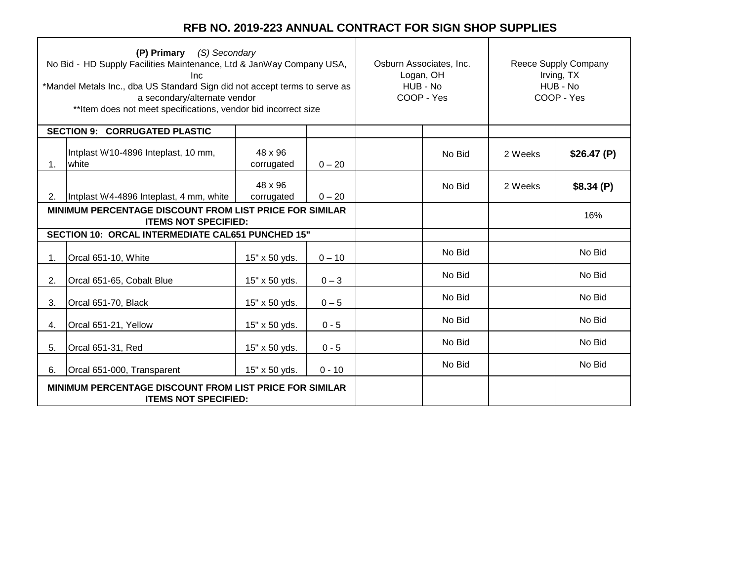| (P) Primary (S) Secondary<br>No Bid - HD Supply Facilities Maintenance, Ltd & JanWay Company USA,<br>Inc<br>*Mandel Metals Inc., dba US Standard Sign did not accept terms to serve as<br>a secondary/alternate vendor<br>** Item does not meet specifications, vendor bid incorrect size |                                                                                               |                       | Osburn Associates, Inc.<br>Logan, OH<br>HUB - No<br>COOP - Yes |  | Reece Supply Company<br>Irving, TX<br>HUB - No<br>COOP - Yes |         |            |
|-------------------------------------------------------------------------------------------------------------------------------------------------------------------------------------------------------------------------------------------------------------------------------------------|-----------------------------------------------------------------------------------------------|-----------------------|----------------------------------------------------------------|--|--------------------------------------------------------------|---------|------------|
|                                                                                                                                                                                                                                                                                           | <b>SECTION 9: CORRUGATED PLASTIC</b>                                                          |                       |                                                                |  |                                                              |         |            |
| 1.                                                                                                                                                                                                                                                                                        | Intplast W10-4896 Inteplast, 10 mm,<br>white                                                  | 48 x 96<br>corrugated | $0 - 20$                                                       |  | No Bid                                                       | 2 Weeks | \$26.47(P) |
| 2.                                                                                                                                                                                                                                                                                        | Intplast W4-4896 Inteplast, 4 mm, white                                                       | 48 x 96<br>corrugated | $0 - 20$                                                       |  | No Bid                                                       | 2 Weeks | \$8.34(P)  |
|                                                                                                                                                                                                                                                                                           | MINIMUM PERCENTAGE DISCOUNT FROM LIST PRICE FOR SIMILAR<br><b>ITEMS NOT SPECIFIED:</b>        |                       |                                                                |  |                                                              |         | 16%        |
|                                                                                                                                                                                                                                                                                           | SECTION 10: ORCAL INTERMEDIATE CAL651 PUNCHED 15"                                             |                       |                                                                |  |                                                              |         |            |
| 1.                                                                                                                                                                                                                                                                                        | Orcal 651-10, White                                                                           | 15" x 50 yds.         | $0 - 10$                                                       |  | No Bid                                                       |         | No Bid     |
| 2.                                                                                                                                                                                                                                                                                        | Orcal 651-65, Cobalt Blue                                                                     | 15" x 50 yds.         | $0 - 3$                                                        |  | No Bid                                                       |         | No Bid     |
| 3.                                                                                                                                                                                                                                                                                        | Orcal 651-70, Black                                                                           | 15" x 50 yds.         | $0 - 5$                                                        |  | No Bid                                                       |         | No Bid     |
| 4.                                                                                                                                                                                                                                                                                        | Orcal 651-21, Yellow                                                                          | 15" x 50 yds.         | $0 - 5$                                                        |  | No Bid                                                       |         | No Bid     |
| 5.                                                                                                                                                                                                                                                                                        | Orcal 651-31, Red                                                                             | 15" x 50 yds.         | $0 - 5$                                                        |  | No Bid                                                       |         | No Bid     |
| 6.                                                                                                                                                                                                                                                                                        | Orcal 651-000, Transparent                                                                    | 15" x 50 yds.         | $0 - 10$                                                       |  | No Bid                                                       |         | No Bid     |
|                                                                                                                                                                                                                                                                                           | <b>MINIMUM PERCENTAGE DISCOUNT FROM LIST PRICE FOR SIMILAR</b><br><b>ITEMS NOT SPECIFIED:</b> |                       |                                                                |  |                                                              |         |            |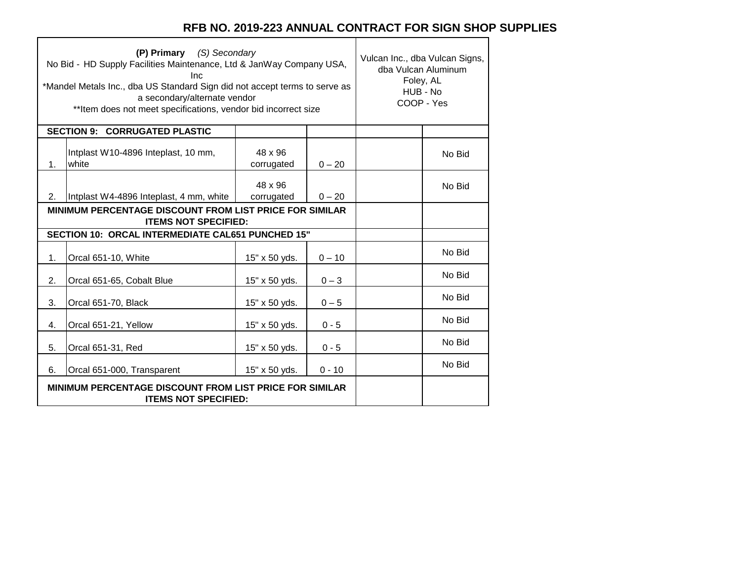٦

 $\top$ 

|    | (P) Primary (S) Secondary<br>No Bid - HD Supply Facilities Maintenance, Ltd & JanWay Company USA,<br><b>Inc</b><br>*Mandel Metals Inc., dba US Standard Sign did not accept terms to serve as<br>a secondary/alternate vendor<br>**Item does not meet specifications, vendor bid incorrect size | Vulcan Inc., dba Vulcan Signs,<br>dba Vulcan Aluminum<br>Foley, AL<br>HUB - No<br>COOP - Yes |          |        |        |
|----|-------------------------------------------------------------------------------------------------------------------------------------------------------------------------------------------------------------------------------------------------------------------------------------------------|----------------------------------------------------------------------------------------------|----------|--------|--------|
|    | <b>SECTION 9: CORRUGATED PLASTIC</b>                                                                                                                                                                                                                                                            |                                                                                              |          |        |        |
| 1. | Intplast W10-4896 Inteplast, 10 mm,<br>white                                                                                                                                                                                                                                                    | 48 x 96<br>corrugated                                                                        | $0 - 20$ |        | No Bid |
| 2. | Intplast W4-4896 Inteplast, 4 mm, white                                                                                                                                                                                                                                                         | 48 x 96<br>corrugated                                                                        | $0 - 20$ |        | No Bid |
|    | <b>MINIMUM PERCENTAGE DISCOUNT FROM LIST PRICE FOR SIMILAR</b><br><b>ITEMS NOT SPECIFIED:</b>                                                                                                                                                                                                   |                                                                                              |          |        |        |
|    | SECTION 10: ORCAL INTERMEDIATE CAL651 PUNCHED 15"                                                                                                                                                                                                                                               |                                                                                              |          |        |        |
| 1. | Orcal 651-10, White                                                                                                                                                                                                                                                                             | 15" x 50 yds.                                                                                | $0 - 10$ |        | No Bid |
| 2. | Orcal 651-65, Cobalt Blue                                                                                                                                                                                                                                                                       | 15" x 50 yds.                                                                                | $0 - 3$  |        | No Bid |
| 3. | Orcal 651-70, Black                                                                                                                                                                                                                                                                             | 15" x 50 yds.                                                                                | $0 - 5$  |        | No Bid |
| 4. | Orcal 651-21, Yellow                                                                                                                                                                                                                                                                            | 15" x 50 yds.                                                                                | $0 - 5$  |        | No Bid |
| 5. | Orcal 651-31, Red                                                                                                                                                                                                                                                                               | 15" x 50 yds.                                                                                | $0 - 5$  |        | No Bid |
| 6. | Orcal 651-000, Transparent                                                                                                                                                                                                                                                                      | $0 - 10$                                                                                     |          | No Bid |        |
|    | <b>MINIMUM PERCENTAGE DISCOUNT FROM LIST PRICE FOR SIMILAR</b><br><b>ITEMS NOT SPECIFIED:</b>                                                                                                                                                                                                   |                                                                                              |          |        |        |

 $\Gamma$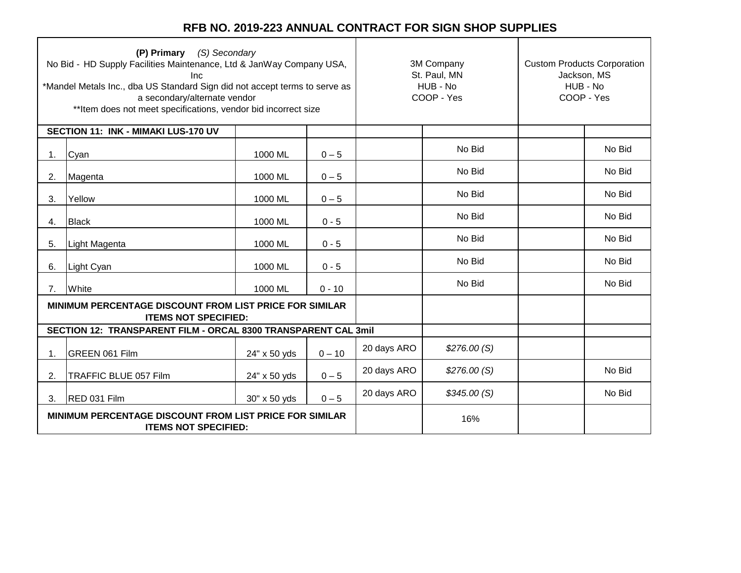| (P) Primary (S) Secondary<br>No Bid - HD Supply Facilities Maintenance, Ltd & JanWay Company USA,<br>Inc<br>*Mandel Metals Inc., dba US Standard Sign did not accept terms to serve as<br>a secondary/alternate vendor<br>** Item does not meet specifications, vendor bid incorrect size |                                                                                               |              |          | 3M Company<br>St. Paul, MN<br>HUB - No<br>COOP - Yes |             | <b>Custom Products Corporation</b><br>Jackson, MS<br>HUB - No<br>COOP - Yes |        |
|-------------------------------------------------------------------------------------------------------------------------------------------------------------------------------------------------------------------------------------------------------------------------------------------|-----------------------------------------------------------------------------------------------|--------------|----------|------------------------------------------------------|-------------|-----------------------------------------------------------------------------|--------|
|                                                                                                                                                                                                                                                                                           | SECTION 11: INK - MIMAKI LUS-170 UV                                                           |              |          |                                                      |             |                                                                             |        |
| 1.                                                                                                                                                                                                                                                                                        | Cyan                                                                                          | 1000 ML      | $0 - 5$  |                                                      | No Bid      |                                                                             | No Bid |
| 2.                                                                                                                                                                                                                                                                                        | Magenta                                                                                       | 1000 ML      | $0 - 5$  |                                                      | No Bid      |                                                                             | No Bid |
| 3.                                                                                                                                                                                                                                                                                        | Yellow                                                                                        | 1000 ML      | $0 - 5$  |                                                      | No Bid      |                                                                             | No Bid |
| 4.                                                                                                                                                                                                                                                                                        | <b>Black</b>                                                                                  | 1000 ML      | $0 - 5$  |                                                      | No Bid      |                                                                             | No Bid |
| 5.                                                                                                                                                                                                                                                                                        | Light Magenta                                                                                 | 1000 ML      | $0 - 5$  |                                                      | No Bid      |                                                                             | No Bid |
| 6.                                                                                                                                                                                                                                                                                        | Light Cyan                                                                                    | 1000 ML      | $0 - 5$  |                                                      | No Bid      |                                                                             | No Bid |
| 7.                                                                                                                                                                                                                                                                                        | White                                                                                         | 1000 ML      | $0 - 10$ |                                                      | No Bid      |                                                                             | No Bid |
|                                                                                                                                                                                                                                                                                           | <b>MINIMUM PERCENTAGE DISCOUNT FROM LIST PRICE FOR SIMILAR</b><br><b>ITEMS NOT SPECIFIED:</b> |              |          |                                                      |             |                                                                             |        |
|                                                                                                                                                                                                                                                                                           | SECTION 12: TRANSPARENT FILM - ORCAL 8300 TRANSPARENT CAL 3mil                                |              |          |                                                      |             |                                                                             |        |
| 1.                                                                                                                                                                                                                                                                                        | <b>GREEN 061 Film</b>                                                                         | 24" x 50 yds | $0 - 10$ | 20 days ARO                                          | \$276.00(S) |                                                                             |        |
| 2.                                                                                                                                                                                                                                                                                        | TRAFFIC BLUE 057 Film                                                                         | 24" x 50 yds | $0 - 5$  | 20 days ARO                                          | \$276.00(S) |                                                                             | No Bid |
| 3.                                                                                                                                                                                                                                                                                        | RED 031 Film                                                                                  | 30" x 50 yds | $0 - 5$  | 20 days ARO                                          | \$345.00(S) |                                                                             | No Bid |
| MINIMUM PERCENTAGE DISCOUNT FROM LIST PRICE FOR SIMILAR<br><b>ITEMS NOT SPECIFIED:</b>                                                                                                                                                                                                    |                                                                                               |              |          | 16%                                                  |             |                                                                             |        |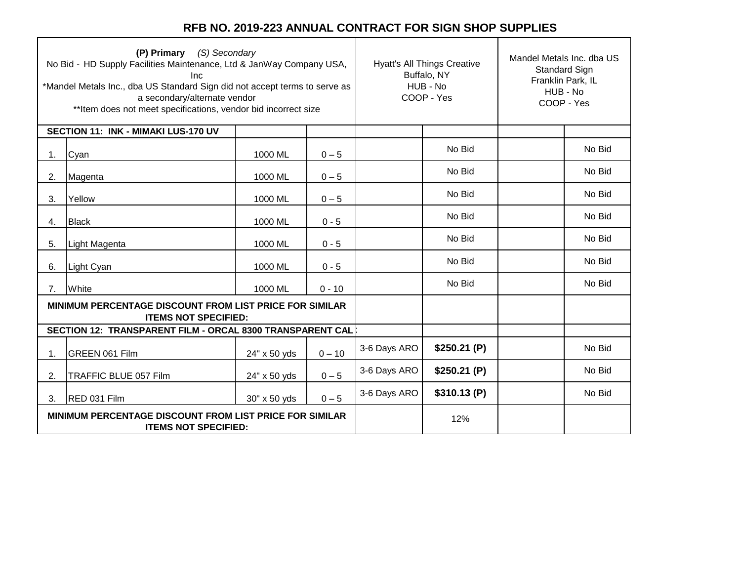| (P) Primary (S) Secondary<br>No Bid - HD Supply Facilities Maintenance, Ltd & JanWay Company USA,<br>Inc<br>*Mandel Metals Inc., dba US Standard Sign did not accept terms to serve as<br>a secondary/alternate vendor<br>** Item does not meet specifications, vendor bid incorrect size |                                                                                               |              | <b>Hyatt's All Things Creative</b><br>Buffalo, NY<br>HUB - No<br>COOP - Yes |              | Mandel Metals Inc. dba US<br>Standard Sign<br>Franklin Park, IL<br>HUB - No<br>COOP - Yes |  |        |
|-------------------------------------------------------------------------------------------------------------------------------------------------------------------------------------------------------------------------------------------------------------------------------------------|-----------------------------------------------------------------------------------------------|--------------|-----------------------------------------------------------------------------|--------------|-------------------------------------------------------------------------------------------|--|--------|
|                                                                                                                                                                                                                                                                                           | SECTION 11: INK - MIMAKI LUS-170 UV                                                           |              |                                                                             |              |                                                                                           |  |        |
| 1.                                                                                                                                                                                                                                                                                        | Cyan                                                                                          | 1000 ML      | $0 - 5$                                                                     |              | No Bid                                                                                    |  | No Bid |
| 2.                                                                                                                                                                                                                                                                                        | Magenta                                                                                       | 1000 ML      | $0 - 5$                                                                     |              | No Bid                                                                                    |  | No Bid |
| 3.                                                                                                                                                                                                                                                                                        | Yellow                                                                                        | 1000 ML      | $0 - 5$                                                                     |              | No Bid                                                                                    |  | No Bid |
| 4.                                                                                                                                                                                                                                                                                        | <b>Black</b>                                                                                  | 1000 ML      | $0 - 5$                                                                     |              | No Bid                                                                                    |  | No Bid |
| 5.                                                                                                                                                                                                                                                                                        | Light Magenta                                                                                 | 1000 ML      | $0 - 5$                                                                     |              | No Bid                                                                                    |  | No Bid |
| 6.                                                                                                                                                                                                                                                                                        | Light Cyan                                                                                    | 1000 ML      | $0 - 5$                                                                     |              | No Bid                                                                                    |  | No Bid |
| 7.                                                                                                                                                                                                                                                                                        | White                                                                                         | 1000 ML      | $0 - 10$                                                                    |              | No Bid                                                                                    |  | No Bid |
|                                                                                                                                                                                                                                                                                           | <b>MINIMUM PERCENTAGE DISCOUNT FROM LIST PRICE FOR SIMILAR</b><br><b>ITEMS NOT SPECIFIED:</b> |              |                                                                             |              |                                                                                           |  |        |
|                                                                                                                                                                                                                                                                                           | SECTION 12: TRANSPARENT FILM - ORCAL 8300 TRANSPARENT CAL                                     |              |                                                                             |              |                                                                                           |  |        |
| 1.                                                                                                                                                                                                                                                                                        | GREEN 061 Film                                                                                | 24" x 50 yds | $0 - 10$                                                                    | 3-6 Days ARO | \$250.21(P)                                                                               |  | No Bid |
| 2.                                                                                                                                                                                                                                                                                        | TRAFFIC BLUE 057 Film                                                                         | 24" x 50 yds | $0 - 5$                                                                     | 3-6 Days ARO | \$250.21(P)                                                                               |  | No Bid |
| 3.                                                                                                                                                                                                                                                                                        | <b>RED 031 Film</b>                                                                           | 30" x 50 yds | $0 - 5$                                                                     | 3-6 Days ARO | \$310.13(P)                                                                               |  | No Bid |
| MINIMUM PERCENTAGE DISCOUNT FROM LIST PRICE FOR SIMILAR<br><b>ITEMS NOT SPECIFIED:</b>                                                                                                                                                                                                    |                                                                                               |              |                                                                             | 12%          |                                                                                           |  |        |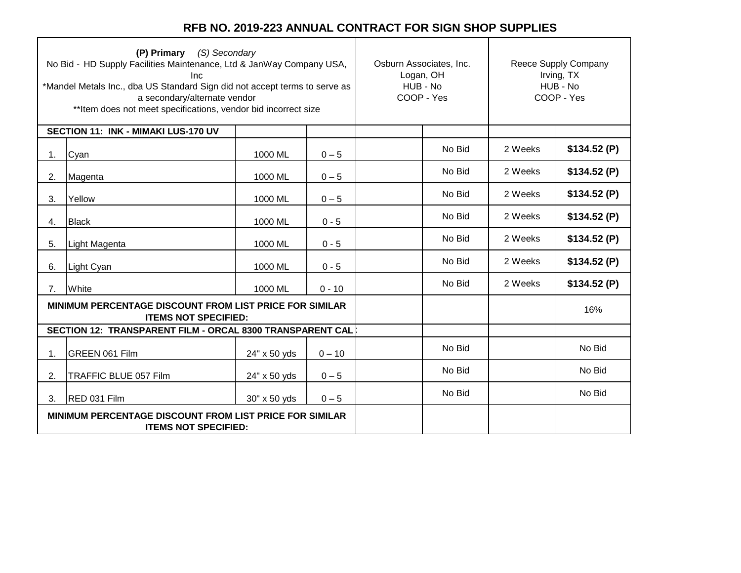| (P) Primary (S) Secondary<br>No Bid - HD Supply Facilities Maintenance, Ltd & JanWay Company USA,<br>Inc<br>*Mandel Metals Inc., dba US Standard Sign did not accept terms to serve as<br>a secondary/alternate vendor<br>** Item does not meet specifications, vendor bid incorrect size |                                                                                        |              | Osburn Associates, Inc.<br>Logan, OH<br>HUB - No<br>COOP - Yes |  | Reece Supply Company<br>Irving, TX<br>HUB - No<br>COOP - Yes |         |             |
|-------------------------------------------------------------------------------------------------------------------------------------------------------------------------------------------------------------------------------------------------------------------------------------------|----------------------------------------------------------------------------------------|--------------|----------------------------------------------------------------|--|--------------------------------------------------------------|---------|-------------|
|                                                                                                                                                                                                                                                                                           | SECTION 11: INK - MIMAKI LUS-170 UV                                                    |              |                                                                |  |                                                              |         |             |
| 1.                                                                                                                                                                                                                                                                                        | Cyan                                                                                   | 1000 ML      | $0 - 5$                                                        |  | No Bid                                                       | 2 Weeks | \$134.52(P) |
| 2.                                                                                                                                                                                                                                                                                        | Magenta                                                                                | 1000 ML      | $0 - 5$                                                        |  | No Bid                                                       | 2 Weeks | \$134.52(P) |
| 3.                                                                                                                                                                                                                                                                                        | Yellow                                                                                 | 1000 ML      | $0 - 5$                                                        |  | No Bid                                                       | 2 Weeks | \$134.52(P) |
| 4.                                                                                                                                                                                                                                                                                        | <b>Black</b>                                                                           | 1000 ML      | $0 - 5$                                                        |  | No Bid                                                       | 2 Weeks | \$134.52(P) |
| 5.                                                                                                                                                                                                                                                                                        | Light Magenta                                                                          | 1000 ML      | $0 - 5$                                                        |  | No Bid                                                       | 2 Weeks | \$134.52(P) |
| 6.                                                                                                                                                                                                                                                                                        | Light Cyan                                                                             | 1000 ML      | $0 - 5$                                                        |  | No Bid                                                       | 2 Weeks | \$134.52(P) |
| 7.                                                                                                                                                                                                                                                                                        | White                                                                                  | 1000 ML      | $0 - 10$                                                       |  | No Bid                                                       | 2 Weeks | \$134.52(P) |
|                                                                                                                                                                                                                                                                                           | MINIMUM PERCENTAGE DISCOUNT FROM LIST PRICE FOR SIMILAR<br><b>ITEMS NOT SPECIFIED:</b> |              |                                                                |  |                                                              |         | 16%         |
|                                                                                                                                                                                                                                                                                           | SECTION 12: TRANSPARENT FILM - ORCAL 8300 TRANSPARENT CAL                              |              |                                                                |  |                                                              |         |             |
| 1.                                                                                                                                                                                                                                                                                        | GREEN 061 Film                                                                         | 24" x 50 yds | $0 - 10$                                                       |  | No Bid                                                       |         | No Bid      |
| 2.                                                                                                                                                                                                                                                                                        | TRAFFIC BLUE 057 Film                                                                  | 24" x 50 yds | $0 - 5$                                                        |  | No Bid                                                       |         | No Bid      |
| 3.                                                                                                                                                                                                                                                                                        | RED 031 Film                                                                           | 30" x 50 yds | $0 - 5$                                                        |  | No Bid                                                       |         | No Bid      |
|                                                                                                                                                                                                                                                                                           | MINIMUM PERCENTAGE DISCOUNT FROM LIST PRICE FOR SIMILAR<br><b>ITEMS NOT SPECIFIED:</b> |              |                                                                |  |                                                              |         |             |